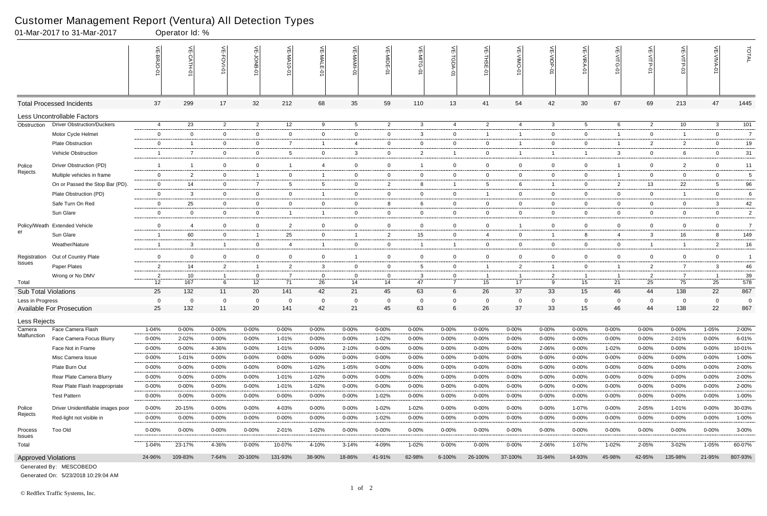|                             | 01-Mar-2017 to 31-Mar-2017        |                      | Operator Id: % |                   |                                 |                         |                    |                      |                      |                |                  |                |                |                   |                |                          |                      |                |                |                |
|-----------------------------|-----------------------------------|----------------------|----------------|-------------------|---------------------------------|-------------------------|--------------------|----------------------|----------------------|----------------|------------------|----------------|----------------|-------------------|----------------|--------------------------|----------------------|----------------|----------------|----------------|
|                             |                                   |                      | $\frac{1}{2}$  | VE-FOVI-0         | 늦                               | VE-MA10-0               | VE-MALE            | 늦                    | VE-MIDE-01           | VE-MITG-0      | VE-TGDA-0        | VE-THSE-01     | VE-VIMO-01     | VE-VIOP-07        | VE-VIRA-01     | $\frac{1}{2}$<br>-VITG-0 | VE-VITP-01           |                | 늰              | TOTAL          |
|                             | <b>Total Processed Incidents</b>  | 37                   | 299            | 17                | 32                              | 212                     | 68                 | 35                   | 59                   | 110            | 13               | 41             | 54             | 42                | 30             | 67                       | 69                   | 213            | 47             | 1445           |
|                             | Less Uncontrollable Factors       |                      |                |                   |                                 |                         |                    |                      |                      |                |                  |                |                |                   |                |                          |                      |                |                |                |
| Obstruction                 | <b>Driver Obstruction/Duckers</b> | 4                    | 23             | $\overline{2}$    | $\overline{2}$                  | 12                      | 9                  | $5\overline{)}$      | $\overline{c}$       | $\mathbf{3}$   | 4                | $\overline{2}$ | $\overline{4}$ | $\mathbf{3}$      | 5              | 6                        | $\overline{2}$       | 10             | $\mathbf{3}$   | 101            |
|                             | Motor Cycle Helmet                | $\mathbf 0$          | $\Omega$       | $\overline{0}$    | $\mathbf 0$                     | $\mathbf 0$             | $\mathbf{0}$       | $\mathbf{0}$         | 0                    | 3              | $\mathbf 0$      | $\overline{1}$ | -1             | $\overline{0}$    | $\mathbf 0$    | $\mathbf 1$              | $\overline{0}$       | $\overline{1}$ | $\mathbf 0$    | $\overline{7}$ |
|                             | <b>Plate Obstruction</b>          | $\overline{0}$       | -1             | $\overline{0}$    | $\overline{0}$                  | $\overline{7}$          | $\mathbf{1}$       | $\overline{4}$       | $\mathbf 0$          | $\mathbf{0}$   | $\mathbf 0$      | $\overline{0}$ | 1              | $\overline{0}$    | $\overline{0}$ | -1                       | $\overline{2}$       | $\overline{2}$ | $\overline{0}$ | 19             |
|                             | Vehicle Obstruction               | -1                   | $\overline{7}$ | $\mathbf 0$       | $\mathbf 0$                     | 5                       | $\mathbf{0}$       | $\mathbf{3}$         | $\mathbf 0$          | $\overline{2}$ | $\overline{1}$   | $\overline{0}$ |                | $\overline{1}$    |                | 3                        | $\mathbf 0$          | 6              | $\mathbf 0$    | 31             |
| Police                      | Driver Obstruction (PD)           | - 1                  | $\overline{1}$ | $\mathbf 0$       | $\mathbf 0$                     | -1                      | $\overline{4}$     | $\overline{0}$       | $\mathbf 0$          | $\mathbf{1}$   | $\overline{0}$   | $\overline{0}$ | $\mathbf 0$    | $\overline{0}$    | $\mathbf 0$    |                          | $\overline{0}$       | $\overline{2}$ | $\mathbf 0$    | 11             |
| Rejects                     | Multiple vehicles in frame        | $\overline{0}$       | 2              | $\overline{0}$    | $\overline{1}$                  | $\mathbf{0}$            | $\mathbf{1}$       | $\overline{0}$       | $\overline{0}$       | $\mathbf{0}$   | 0                | $\overline{0}$ | $\mathbf{0}$   | $\overline{0}$    | $\overline{0}$ | -1                       | $\overline{0}$       | $\mathbf 0$    | $\mathbf{0}$   | 5              |
|                             | On or Passed the Stop Bar (PD).   | $\mathbf 0$          | 14             | $\overline{0}$    | $\overline{7}$                  | 5                       | 5                  | $\mathbf 0$          | $\overline{2}$       | 8              |                  | 5              | 6              | $\mathbf{1}$      | $\overline{0}$ | $\overline{2}$           | 13                   | 22             | 5              | 96             |
|                             | Plate Obstruction (PD)            | $\overline{0}$       | 3              | $\overline{0}$    | $\overline{0}$                  | $\overline{0}$          | $\mathbf{1}$       | $\overline{0}$       | $\overline{0}$       | $\overline{0}$ | $\overline{0}$   | -1             | $\mathbf{0}$   | $\overline{0}$    | $\overline{0}$ | $\overline{0}$           | $\overline{0}$       | $\overline{1}$ | $\overline{0}$ | 6              |
|                             | Safe Turn On Red                  | $\overline{0}$       | 25             | $\overline{0}$    | $\mathbf 0$                     | $\mathbf 0$             | $\mathbf{0}$       | $\mathbf 0$          | 8                    | 6              | $\mathbf{0}$     | $\overline{0}$ | $\mathbf{0}$   | $\overline{0}$    | $\overline{0}$ | $\overline{0}$           | $\overline{0}$       | $\mathbf{0}$   | $\mathbf{3}$   | 42             |
|                             | Sun Glare                         | $\mathbf 0$          | $\mathbf 0$    | $\overline{0}$    | $\mathbf 0$                     | $\overline{\mathbf{1}}$ |                    | $\mathbf 0$          | $\mathbf 0$          | $\mathbf 0$    | $\mathbf 0$      | $\overline{0}$ | $\mathbf{0}$   | $\overline{0}$    | $\mathbf 0$    | $\mathbf 0$              | $\mathbf 0$          | $\mathbf 0$    | $\mathbf 0$    | $\overline{2}$ |
| Policy/Weath                | <b>Extended Vehicle</b>           | $\mathbf 0$          | 4              | $\overline{0}$    | $\mathbf 0$                     | $\overline{2}$          | $\mathbf{0}$       | $\mathbf 0$          | $\mathbf 0$          | $\overline{0}$ | $\mathbf 0$      | $\overline{0}$ |                | $\mathbf 0$       | $\mathbf 0$    | $\overline{0}$           | $\mathbf 0$          | $\mathbf 0$    | $\overline{0}$ | $\overline{7}$ |
| er                          | Sun Glare                         | -1                   | 60             | $\overline{0}$    | $\overline{1}$                  | 25                      | $\overline{0}$     | $\overline{1}$       | $\overline{2}$       | 15             | $\overline{0}$   | $\overline{4}$ | $\mathbf{0}$   | $\overline{1}$    | 8              | 4                        | $\mathbf{3}$         | 16             | 8              | 149            |
|                             | Weather/Nature                    | $\overline{1}$       | 3              | $\overline{1}$    | $\mathbf 0$                     | 4                       |                    | $\mathbf 0$          | $\mathbf 0$          | -1             | $\mathbf{1}$     | $\overline{0}$ | $\mathbf{0}$   | $\mathbf 0$       | $\mathbf 0$    | $\overline{0}$           | $\mathbf{1}$         | $\overline{1}$ | $\overline{2}$ | $16\,$         |
| Registration                | Out of Country Plate              | $\mathbf 0$          | $\Omega$       | $\overline{0}$    | $\mathbf 0$                     | $\mathbf 0$             | $\mathbf{0}$       | $\overline{1}$       | $\mathbf 0$          | $\overline{0}$ | $\mathbf 0$      | $\overline{0}$ | $\mathbf{0}$   | $\overline{0}$    | $\mathbf 0$    | $\mathbf 0$              | $\mathbf 0$          | $\mathbf 0$    | $\overline{0}$ | $\overline{1}$ |
| Issues                      | Paper Plates                      | 2                    | 14             | $\overline{2}$    | $\overline{1}$                  | $\overline{2}$          | $\mathbf{3}$       | $\overline{0}$       | $\mathbf{0}$         | $5^{\circ}$    | $\mathbf{0}$     | $\overline{1}$ | $\overline{2}$ | $\overline{1}$    | $\overline{0}$ | $\overline{1}$           | $\overline{2}$       | $\overline{7}$ | $\mathbf{3}$   | 46             |
| Total                       | Wrong or No DMV                   | $\overline{2}$<br>12 | 10<br>167      | $\mathbf{1}$<br>6 | $\mathbf{0}$<br>12 <sup>2</sup> | - 7<br>71               | $\mathbf{0}$<br>26 | $\overline{0}$<br>14 | $\overline{0}$<br>14 | 3<br>47        | 0<br>$7^{\circ}$ | - 1<br>15      | 1<br>17        | $\mathbf{2}$<br>9 | -1<br>15       | -1<br>21                 | $\overline{2}$<br>25 | 7<br>75        | - 1<br>25      | 39<br>578      |
| <b>Sub Total Violations</b> |                                   | 25                   | 132            | 11                | 20                              | 141                     | 42                 | 21                   | 45                   | 63             | $6\overline{6}$  | 26             | 37             | 33                | 15             | 46                       | 44                   | 138            | 22             | 867            |
| Less in Progress            |                                   | $\overline{0}$       | $\overline{0}$ | $\mathbf 0$       | $\overline{0}$                  | $\Omega$                | $\overline{0}$     | $\overline{0}$       | $\mathbf 0$          | $\mathbf 0$    | $\mathbf 0$      | $\overline{0}$ | $\mathbf 0$    | $\overline{0}$    | 0              | $\overline{0}$           | $\mathbf{0}$         | $\mathbf 0$    | $\mathbf 0$    | - 0            |
|                             | Available For Prosecution         | 25                   | 132            | 11                | 20                              | 141                     | 42                 | 21                   | 45                   | 63             | 6                | 26             | 37             | 33                | 15             | 46                       | 44                   | 138            | 22             | 867            |
| Less Rejects                |                                   |                      |                |                   |                                 |                         |                    |                      |                      |                |                  |                |                |                   |                |                          |                      |                |                |                |
| Camera                      | Face Camera Flash                 | 1-04%                | 0-00%          | $0 - 00%$         | $0 - 00%$                       | 0-00%                   | $0 - 00\%$         | $0 - 00%$            | 0-00%                | $0 - 00%$      | $0 - 00%$        | $0 - 00%$      | $0 - 00%$      | 0-00%             | $0 - 00%$      | $0 - 00%$                | 0-00%                | $0 - 00%$      | $1 - 05%$      | 2-00%          |
| Malfunction                 | Face Camera Focus Blurry          | $0 - 00%$            | 2-02%          | $0 - 00%$         | $0 - 00%$                       | 1-01%                   | 0-00%              | 0-00%                | 1-02%                | $0 - 00%$      | $0 - 00\%$       | $0 - 00%$      | $0 - 00%$      | $0 - 00\%$        | $0 - 00\%$     | $0 - 00%$                | 0-00%                | 2-01%          | $0 - 00\%$     | 6-01%          |
|                             | Face Not in Frame                 | $0 - 00%$            | $0 - 00%$      | 4-36%             | $0 - 00%$                       | 1-01%                   | 0-00%              | 2-10%                | $0 - 00%$            | $0 - 00%$      | 0-00%            | $0 - 00%$      | $0 - 00%$      | 2-06%             | 0-00%          | 1-02%                    | 0-00%                | 0-00%          | $0 - 00%$      | 10-01%         |
|                             | Misc Camera Issue                 | $0 - 00%$            | 1-01%          | $0 - 00\%$        | $0 - 00%$                       | $0 - 00%$               | $0 - 00\%$         | $0 - 00%$            | $0 - 00%$            | $0 - 00%$      | $0 - 00\%$       | $0 - 00%$      | $0 - 00%$      | $0 - 00%$         | $0 - 00\%$     | $0 - 00%$                | 0-00%                | $0 - 00\%$     | $0 - 00\%$     | 1-00%          |
|                             | Plate Burn Out                    | $0 - 00%$            | $0 - 00\%$     | $0 - 00\%$        | $0 - 00%$                       | $0 - 00%$               | 1-02%              | 1-05%                | $0 - 00%$            | $0 - 00%$      | 0-00%            | $0 - 00%$      | $0 - 00%$      | $0 - 00\%$        | $0 - 00%$      | $0 - 00%$                | $0 - 00%$            | 0-00%          | $0 - 00\%$     | 2-00%          |
|                             | Rear Plate Camera Blurry          | $0 - 00%$            | $0 - 00%$      | 0-00%             | $0 - 00%$                       | 1-01%                   | 1-02%              | $0 - 00%$            | $0 - 00%$            | 0-00%          | $0 - 00\%$       | $0 - 00%$      | $0 - 00%$      | $0 - 00\%$        | $0 - 00\%$     | $0 - 00%$                | 0-00%                | $0 - 00\%$     | $0 - 00\%$     | 2-00%          |
|                             | Rear Plate Flash Inappropriate    | $0 - 00%$            | $0 - 00%$      | $0 - 00\%$        | $0 - 00%$                       | 1-01%                   | 1-02%              | $0 - 00\%$           | $0 - 00%$            | $0 - 00\%$     | 0-00%            | $0 - 00%$      | $0 - 00%$      | $0 - 00\%$        | $0 - 00%$      | $0 - 00%$                | 0-00%                | $0 - 00\%$     | $0 - 00\%$     | 2-00%          |
|                             | <b>Test Pattern</b>               | $0 - 00%$            | $0 - 00\%$     | $0 - 00%$         | $0 - 00%$                       | $0 - 00%$               | $0 - 00\%$         | $0 - 00\%$           | 1-02%                | $0 - 00\%$     | 0-00%            | $0 - 00%$      | $0 - 00%$      | $0 - 00\%$        | $0 - 00%$      | $0 - 00%$                | $0 - 00%$            | $0 - 00\%$     | $0 - 00%$      | 1-00%          |
| Police                      | Driver Unidentifiable images poor | $0 - 00\%$           | 20-15%         | $0 - 00%$         | $0 - 00%$                       | 4-03%                   | $0 - 00\%$         | $0 - 00%$            | 1-02%                | 1-02%          | 0-00%            | $0 - 00%$      | $0 - 00%$      | $0 - 00\%$        | 1-07%          | 0-00%                    | 2-05%                | 1-01%          | $0 - 00\%$     | 30-03%         |
| Rejects                     | Red-light not visible in          | $0 - 00\%$           | $0 - 00%$      | $0 - 00\%$        | $0 - 00\%$                      | $0 - 00\%$              | $0 - 00\%$         | $0 - 00\%$           | 1-02%                | $0 - 00\%$     | $0 - 00\%$       | $0 - 00%$      | $0 - 00%$      | $0 - 00\%$        | $0 - 00\%$     | 0-00%                    | $0 - 00%$            | $0 - 00\%$     | $0 - 00\%$     | 1-00%          |
| Process<br><b>Issues</b>    | Too Old                           | $0 - 00\%$           | $0 - 00%$      | $0 - 00\%$        | $0 - 00\%$                      | 2-01%                   | 1-02%              | $0 - 00\%$           | $0 - 00%$            | $0 - 00\%$     | $0 - 00\%$       | $0 - 00%$      | $0 - 00%$      | $0 - 00\%$        | $0 - 00\%$     | $0 - 00%$                | $0 - 00%$            | $0 - 00%$      | $0 - 00\%$     | 3-00%          |
| Total                       |                                   | 1-04%                | 23-17%         | 4-36%             | $0 - 00\%$                      | 10-07%                  | 4-10%              | $3 - 14%$            | 4-09%                | 1-02%          | $0 - 00\%$       | $0 - 00%$      | $0 - 00%$      | 2-06%             | $1 - 07%$      | $1 - 02%$                | 2-05%                | 3-02%          | $1 - 05%$      | 60-07%         |
| <b>Approved Violations</b>  |                                   | 24-96%               | 109-83%        | 7-64%             | 20-100%                         | 131-93%                 | 38-90%             | 18-86%               | 41-91%               | 62-98%         | 6-100%           | 26-100%        | 37-100%        | 31-94%            | 14-93%         | 45-98%                   | 42-95%               | 135-98%        | 21-95%         | 807-93%        |

Generated On: 5/23/2018 10:29:04 AM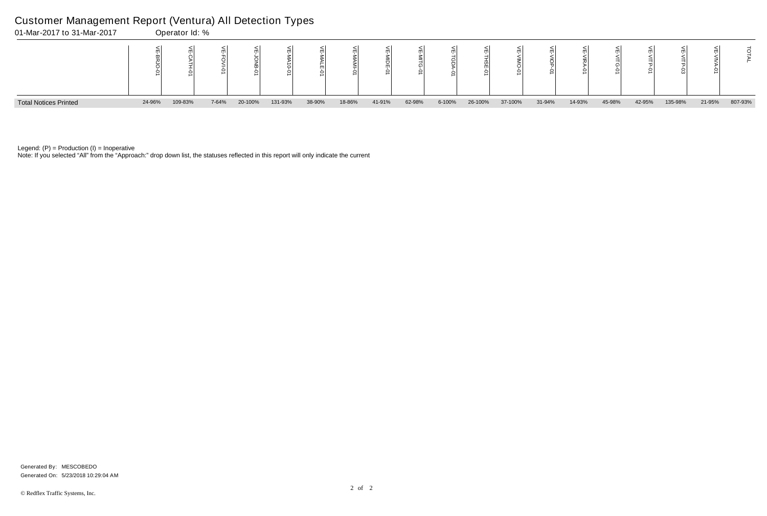Note: If you selected "All" from the "Approach:" drop down list, the statuses reflected in this report will only indicate the current



Legend:  $(P)$  = Production  $(I)$  = Inoperative

## Customer Management Report (Ventura) All Detection Types

|    | 씆<br><b>VITG-01</b> | ⋚<br>∃<br>년<br>인 | ⋚<br>$\frac{1}{5}$<br>င္ပ် | щ      | Ě       |
|----|---------------------|------------------|----------------------------|--------|---------|
| 'n | 45-98%              | 42-95%           | 135-98%                    | 21-95% | 807-93% |

Generated On: 5/23/2018 10:29:04 AM Generated By: MESCOBEDO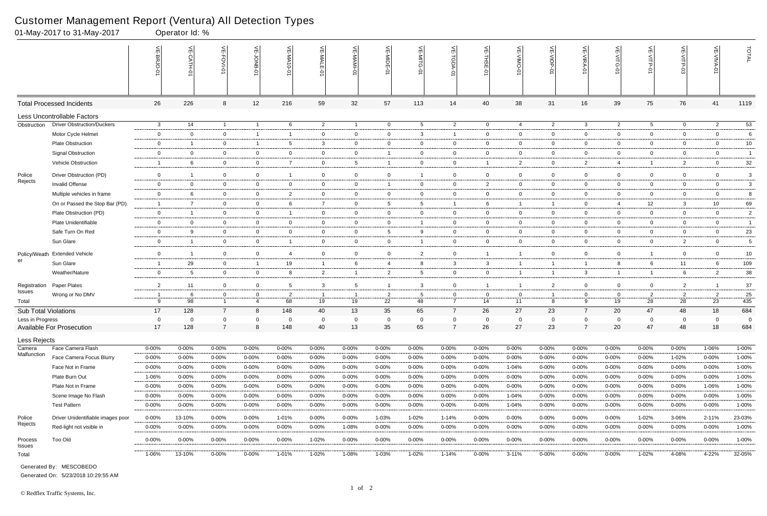|                             | 01-May-2017 to 31-May-2017         |                         | Operator Id: %            |                                |                               |                         |                |                      |                      |                                  |                     |                      |                    |                |                     |                                                                 |                      |                      |                      |                |
|-----------------------------|------------------------------------|-------------------------|---------------------------|--------------------------------|-------------------------------|-------------------------|----------------|----------------------|----------------------|----------------------------------|---------------------|----------------------|--------------------|----------------|---------------------|-----------------------------------------------------------------|----------------------|----------------------|----------------------|----------------|
|                             |                                    |                         | $\widetilde{E}$<br>CATH-0 | VE-FOVI-01                     | 늦                             | VE-MA'<br>$10 - 01$     | VE-MALE<br>ò   | ۴                    | VE-MIDE-01           | VE-MITG-<br>$\overrightarrow{Q}$ | VE-TGDA-0           | VE-THSE-01           | VE-VIMO-01         | VE-VIOP-01     | VE-VIRA-01          | $\stackrel{\textstyle<}{\scriptstyle\rm m}$<br><b>NITG</b><br>ò | VE-VITP-01           | VE-VITP-03           | $\leq$               | TOTAL          |
|                             | <b>Total Processed Incidents</b>   | 26                      | 226                       | 8                              | 12                            | 216                     | 59             | 32                   | 57                   | 113                              | 14                  | 40                   | 38                 | 31             | 16                  | 39                                                              | 75                   | 76                   | 41                   | 1119           |
|                             | <b>Less Uncontrollable Factors</b> |                         |                           |                                |                               |                         |                |                      |                      |                                  |                     |                      |                    |                |                     |                                                                 |                      |                      |                      |                |
| Obstruction                 | <b>Driver Obstruction/Duckers</b>  | $\mathbf{3}$            | 14                        | $\overline{1}$                 | $\overline{1}$                | 6                       | $\overline{2}$ | $\overline{1}$       | $\overline{0}$       | $5\overline{)}$                  | $\overline{2}$      | $\overline{0}$       | $\overline{4}$     | $\overline{2}$ | $\mathbf{3}$        | $\overline{2}$                                                  | $5\overline{)}$      | $\overline{0}$       | $\overline{2}$       | 53             |
|                             | Motor Cycle Helmet                 | $\mathbf 0$             | $\overline{0}$            | $\overline{0}$                 | $\overline{1}$                | -1                      | $\mathbf{0}$   | $\overline{0}$       | $\mathbf 0$          | $\mathbf{3}$                     | $\overline{1}$      | $\overline{0}$       | $\mathbf{0}$       | $\overline{0}$ | $\mathbf 0$         | $\overline{0}$                                                  | $\overline{0}$       | $\mathbf 0$          | $\mathbf 0$          | 6              |
|                             | <b>Plate Obstruction</b>           | $\mathbf 0$             | $\overline{1}$            | $\overline{0}$                 | $\overline{1}$                | 5                       | 3              | $\overline{0}$       | $\mathbf 0$          | $\mathbf{0}$                     | $\overline{0}$      | $\overline{0}$       | $\mathbf{0}$       | $\overline{0}$ | $\overline{0}$      | $\mathbf 0$                                                     | $\overline{0}$       | $\overline{0}$       | $\overline{0}$       | 10             |
|                             | <b>Signal Obstruction</b>          | $\overline{0}$          | $\Omega$                  | $\overline{0}$                 | $\mathbf 0$                   | 0                       | $\mathbf{0}$   | $\overline{0}$       |                      | $\overline{0}$                   | $\mathbf 0$         | $\overline{0}$       | $\mathbf{0}$       | $\overline{0}$ | $\overline{0}$      | $\mathbf 0$                                                     | $\overline{0}$       | $\mathbf 0$          | $\overline{0}$       | $\overline{1}$ |
|                             | Vehicle Obstruction                | -1                      | 6                         | $\overline{0}$                 | $\overline{0}$                | $\overline{7}$          | $\mathbf{0}$   | $5\overline{)}$      | -1                   | $\overline{0}$                   | $\overline{0}$      | $\overline{1}$       | $\overline{2}$     | $\overline{0}$ | $\overline{2}$      | 4                                                               | $\mathbf{1}$         | $\overline{2}$       | $\overline{0}$       | 32             |
| Police                      | Driver Obstruction (PD)            | $\mathbf 0$             | -1                        | $\overline{0}$                 | $\mathbf 0$                   | -1                      | $\mathbf{0}$   | $\mathbf 0$          | $\mathbf 0$          | $\mathbf{1}$                     | $\mathbf 0$         | $\overline{0}$       | $\mathbf{0}$       | $\overline{0}$ | $\mathbf 0$         | $\overline{0}$                                                  | $\overline{0}$       | $\overline{0}$       | $\overline{0}$       | 3              |
| Rejects                     | Invalid Offense                    | $\overline{0}$          | $\overline{0}$            | $\mathbf 0$                    | $\mathbf 0$                   | 0                       | $\mathbf{0}$   | $\overline{0}$       |                      | $\overline{0}$                   | $\mathbf 0$         | $\overline{2}$       | $\mathbf{0}$       | $\overline{0}$ | $\mathbf 0$         | $\mathbf 0$                                                     | $\overline{0}$       | $\mathbf 0$          | $\mathbf 0$          | 3              |
|                             | Multiple vehicles in frame         | $\overline{0}$          | 6                         | $\overline{0}$                 | $\overline{0}$                | $\overline{2}$          | $\mathbf 0$    | $\overline{0}$       | $\overline{0}$       | $\overline{0}$                   | $\mathbf{0}$        | $\overline{0}$       | $\overline{0}$     | $\overline{0}$ | $\overline{0}$      | $\overline{0}$                                                  | $\overline{0}$       | $\overline{0}$       | $\overline{0}$       | 8              |
|                             | On or Passed the Stop Bar (PD).    | $\overline{\mathbf{1}}$ | $\overline{7}$            | $\overline{0}$                 | $\mathbf 0$                   | 6                       | $\overline{7}$ | $\overline{0}$       | $5\overline{)}$      | $5^{\circ}$                      | $\overline{1}$      | 6                    | $\mathbf{1}$       | $\overline{1}$ | $\overline{0}$      | 4                                                               | 12                   | $\mathbf{3}$         | 10                   | 69             |
|                             | Plate Obstruction (PD)             | $\mathbf 0$             | -1                        | $\mathbf 0$                    | $\mathbf 0$                   | $\overline{\mathbf{1}}$ | $\mathbf{0}$   | $\overline{0}$       | $\mathbf 0$          | $\overline{0}$                   | $\mathbf{0}$        | $\overline{0}$       | $\mathbf{0}$       | $\overline{0}$ | $\mathbf 0$         | $\mathbf 0$                                                     | $\mathbf 0$          | $\mathbf 0$          | $\overline{0}$       | $\overline{2}$ |
|                             | Plate Unidentifiable               | $\overline{0}$          | $\overline{0}$            | $\overline{0}$                 | $\overline{0}$                | $\overline{0}$          | $\overline{0}$ | $\overline{0}$       | $\overline{0}$       | 1                                | $\overline{0}$      | $\overline{0}$       | $\overline{0}$     | $\overline{0}$ | $\overline{0}$      | $\overline{0}$                                                  | $\overline{0}$       | $\mathbf 0$          | $\overline{0}$       | $\overline{1}$ |
|                             | Safe Turn On Red                   | $\overline{0}$          | 9                         | $\overline{0}$                 | $\overline{0}$                | $\mathbf 0$             | $\mathbf{0}$   | $\overline{0}$       | $5\overline{)}$      | 9                                | $\overline{0}$      | $\overline{0}$       | $\mathbf{0}$       | $\overline{0}$ | $\mathbf 0$         | $\overline{0}$                                                  | $\overline{0}$       | $\mathbf 0$          | $\overline{0}$       | 23             |
|                             | Sun Glare                          | $\mathbf 0$             | -1                        | $\overline{0}$                 | $\overline{0}$                | -1                      | $\mathbf{0}$   | $\mathbf 0$          | $\overline{0}$       | $\mathbf{1}$                     | $\mathbf 0$         | $\overline{0}$       | $\mathbf{0}$       | $\overline{0}$ | $\mathbf 0$         | $\mathbf 0$                                                     | $\mathbf 0$          | $\overline{2}$       | $\overline{0}$       | 5              |
| Policy/Weath                | <b>Extended Vehicle</b>            | $\mathbf 0$             | - 1                       | $\overline{0}$                 | $\mathbf 0$                   | $\overline{4}$          | $\overline{0}$ | $\overline{0}$       | $\mathbf 0$          | $\overline{2}$                   | $\mathbf 0$         | -1                   | -1                 | $\overline{0}$ | $\mathbf 0$         | $\mathbf 0$                                                     | $\overline{1}$       | $\mathbf 0$          | $\overline{0}$       | 10             |
| er                          | Sun Glare                          | $\overline{1}$          | 29                        | $\overline{0}$                 | $\overline{1}$                | 19                      | $\overline{1}$ | 6                    | $\overline{4}$       | 8                                | 3                   | $\mathbf{3}$         | $\mathbf{1}$       | $\overline{1}$ | $\overline{1}$      | 8                                                               | 6                    | 11                   | 6                    | 109            |
|                             | Weather/Nature                     | $\mathbf 0$             | -5                        | $\overline{0}$                 | $\mathbf 0$                   | 8                       | $\overline{2}$ | $\overline{1}$       | $\overline{c}$       | $5^{\circ}$                      | $\mathbf 0$         | $\overline{0}$       | 1                  | $\overline{1}$ | 3                   | $\overline{1}$                                                  | $\mathbf{1}$         | 6                    | $\overline{2}$       | 38             |
|                             |                                    |                         |                           |                                |                               |                         |                |                      |                      |                                  |                     |                      |                    |                |                     |                                                                 |                      |                      |                      |                |
| Registration<br>Issues      | Paper Plates                       | $\overline{2}$          | 11                        | $\overline{0}$                 | $\mathbf 0$                   | 5                       | 3              | $5\overline{)}$      |                      | 3                                | $\mathbf{0}$        | $\overline{1}$       | -1                 | $\overline{2}$ | $\mathbf 0$         | $\overline{0}$                                                  | $\overline{0}$       | $\overline{2}$       |                      | $37\,$         |
| Total                       | Wrong or No DMV                    | -1<br>9                 | 6<br>98                   | $\mathbf{0}$<br>$\overline{1}$ | $\mathbf 0$<br>$\overline{4}$ | $\overline{2}$<br>68    | 19             | $\overline{1}$<br>19 | $\overline{2}$<br>22 | 5<br>48                          | 0<br>$\overline{7}$ | $\overline{0}$<br>14 | $\mathbf{0}$<br>11 | -1<br>8        | $\overline{0}$<br>9 | $\overline{0}$<br>19                                            | $\overline{2}$<br>28 | $\overline{2}$<br>28 | $\overline{2}$<br>23 | 25<br>435      |
| <b>Sub Total Violations</b> |                                    | 17                      | 128                       | $\overline{7}$                 | 8                             | 148                     | 40             | 13                   | 35                   | 65                               | $\overline{7}$      | 26                   | 27                 | 23             | $\overline{7}$      | 20                                                              | 47                   | 48                   | 18                   | 684            |
| Less in Progress            |                                    | $\overline{0}$          | $\Omega$                  | $\Omega$                       | $\Omega$                      | $\Omega$                | $\Omega$       | $\mathbf 0$          | $\Omega$             | $\Omega$                         | $\mathbf 0$         | $\Omega$             | $\Omega$           | $\overline{0}$ | $\Omega$            | $\Omega$                                                        | $\overline{0}$       | $\Omega$             | $\Omega$             | $\Omega$       |
|                             | Available For Prosecution          | 17                      | 128                       | $\overline{7}$                 | 8                             | 148                     | 40             | 13                   | 35                   | 65                               |                     | 26                   | 27                 | 23             |                     | 20                                                              | 47                   | 48                   | 18                   | 684            |
| Less Rejects                |                                    |                         |                           |                                |                               |                         |                |                      |                      |                                  |                     |                      |                    |                |                     |                                                                 |                      |                      |                      |                |
| Camera                      | Face Camera Flash                  | $0 - 00%$               | $0 - 00%$                 | $0 - 00%$                      | $0 - 00%$                     | $0 - 00%$               | $0 - 00\%$     | $0 - 00%$            | 0-00%                | $0 - 00\%$                       | $0 - 00\%$          | $0 - 00%$            | $0 - 00%$          | $0 - 00%$      | $0 - 00\%$          | $0 - 00%$                                                       | $0 - 00%$            | $0 - 00%$            | 1-06%                | $1 - 00%$      |
| Malfunction                 | Face Camera Focus Blurry           | $0 - 00%$               | $0 - 00%$                 | $0 - 00\%$                     | $0 - 00%$                     | $0 - 00\%$              | $0 - 00\%$     | 0-00%                | $0 - 00%$            | $0 - 00%$                        | $0 - 00\%$          | $0 - 00%$            | 0-00%              | $0 - 00\%$     | $0 - 00\%$          | $0 - 00%$                                                       | 0-00%                | 1-02%                | $0 - 00\%$           | 1-00%          |
|                             | Face Not in Frame                  | $0 - 00\%$              | $0 - 00\%$                | $0 - 00\%$                     | $0 - 00%$                     | $0 - 00%$               | 0-00%          | 0-00%                | $0 - 00%$            | $0 - 00\%$                       | 0-00%               | $0 - 00%$            | 1-04%              | $0 - 00\%$     | $0 - 00\%$          | $0 - 00%$                                                       | $0 - 00%$            | $0 - 00\%$           | $0 - 00\%$           | 1-00%          |
|                             | Plate Burn Out                     | 1-06%                   | $0 - 00\%$                | 0-00%                          | $0 - 00%$                     | $0 - 00\%$              | 0-00%          | $0 - 00%$            | $0 - 00%$            | 0-00%                            | $0 - 00\%$          | $0 - 00%$            | $0 - 00%$          | $0 - 00\%$     | $0 - 00\%$          | $0 - 00%$                                                       | 0-00%                | $0 - 00\%$           | $0 - 00\%$           | $1 - 00%$      |
|                             | Plate Not in Frame                 | $0 - 00%$               | $0 - 00%$                 | $0 - 00\%$                     | $0 - 00%$                     | $0 - 00%$               | $0 - 00\%$     | $0 - 00%$            | $0 - 00%$            | $0 - 00\%$                       | 0-00%               | $0 - 00%$            | $0 - 00%$          | $0 - 00\%$     | $0 - 00\%$          | $0 - 00%$                                                       | $0 - 00%$            | $0 - 00\%$           | 1-06%                | 1-00%          |
|                             | Scene Image No Flash               | $0 - 00%$               | $0 - 00%$                 | $0 - 00%$                      | $0 - 00%$                     | $0 - 00%$               | $0 - 00\%$     | $0 - 00\%$           | $0 - 00%$            | $0 - 00\%$                       | $0 - 00\%$          | $0 - 00%$            | 1-04%              | $0 - 00\%$     | $0 - 00\%$          | $0 - 00%$                                                       | $0 - 00%$            | $0 - 00\%$           | $0 - 00\%$           | 1-00%          |
|                             | <b>Test Pattern</b>                | $0 - 00%$               | $0 - 00%$                 | 0-00%                          | $0 - 00%$                     | $0 - 00%$               | 0-00%          | 0-00%                | $0 - 00%$            | 0-00%                            | 0-00%               | 0-00%                | 1-04%              | 0-00%          | $0 - 00\%$          | 0-00%                                                           | 0-00%                | 0-00%                | $0 - 00%$            | 1-00%          |
| Police                      | Driver Unidentifiable images poor  | $0 - 00%$               | 13-10%                    | $0 - 00%$                      | $0 - 00%$                     | 1-01%                   | $0 - 00\%$     | $0 - 00%$            | 1-03%                | 1-02%                            | 1-14%               | $0 - 00%$            | $0 - 00%$          | $0 - 00\%$     | $0 - 00\%$          | 0-00%                                                           | 1-02%                | 3-06%                | 2-11%                | 23-03%         |
| Rejects                     | Red-light not visible in           | $0 - 00\%$              | $0 - 00\%$                | $0 - 00\%$                     | $0 - 00%$                     | $0 - 00\%$              | $0 - 00\%$     | 1-08%                | $0 - 00%$            | $0 - 00\%$                       | $0 - 00\%$          | $0 - 00%$            | $0 - 00%$          | $0 - 00\%$     | $0 - 00\%$          | $0 - 00%$                                                       | $0 - 00%$            | $0 - 00\%$           | $0 - 00\%$           | 1-00%          |
|                             |                                    |                         |                           |                                |                               |                         |                |                      |                      |                                  |                     |                      |                    |                |                     |                                                                 |                      |                      |                      |                |
| Process<br>Issues           | Too Old                            | $0 - 00\%$              | $0 - 00\%$                | $0 - 00\%$                     | $0 - 00%$                     | $0 - 00\%$              | 1-02%          | $0 - 00\%$           | $0 - 00%$            | $0 - 00\%$                       | $0 - 00\%$          | $0 - 00\%$           | $0 - 00\%$         | $0 - 00\%$     | $0 - 00\%$          | $0 - 00%$                                                       | $0 - 00\%$           | $0 - 00\%$           | $0 - 00\%$           | 1-00%          |
| Total                       |                                    | 1-06%                   | 13-10%                    | $0 - 00\%$                     | $0 - 00\%$                    | 1-01%                   | 1-02%          | 1-08%                | 1-03%                | 1-02%                            | $1 - 14%$           | $0 - 00\%$           | $3 - 11%$          | $0 - 00\%$     | $0 - 00\%$          | $0 - 00%$                                                       | 1-02%                | 4-08%                | 4-22%                | 32-05%         |

Generated On: 5/23/2018 10:29:55 AM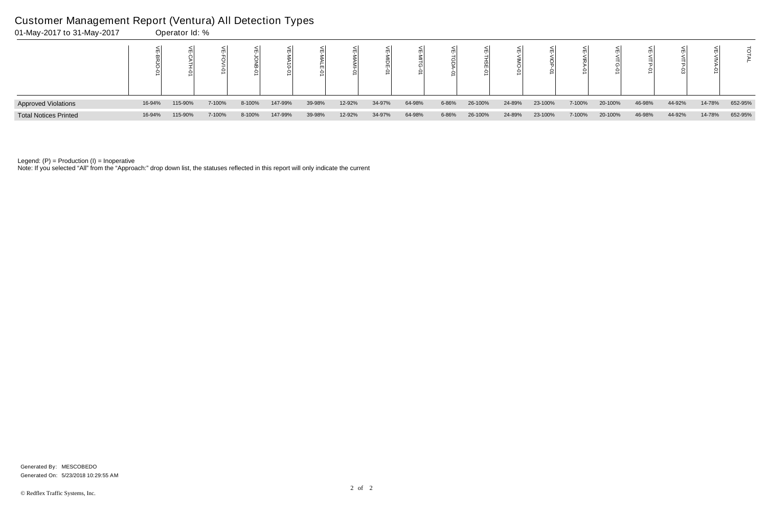| 01-May-2017 to 31-May-2017   |        | Operator Id: % |        |        |               |        |        |        |        |       |         |        |         |        |         |        |        |        |         |
|------------------------------|--------|----------------|--------|--------|---------------|--------|--------|--------|--------|-------|---------|--------|---------|--------|---------|--------|--------|--------|---------|
|                              |        |                |        |        | ਠੋ<br>$\circ$ |        | mil    | ○      |        |       |         |        |         |        |         |        |        |        |         |
| <b>Approved Violations</b>   | 16-94% | 115-90%        | 7-100% | 8-100% | 147-99%       | 39-98% | 12-92% | 34-97% | 64-98% | 6-86% | 26-100% | 24-89% | 23-100% | 7-100% | 20-100% | 46-98% | 44-92% | 14-78% | 652-95% |
| <b>Total Notices Printed</b> | 16-94% | 115-90%        | 7-100% | 8-100% | 147-99%       | 39-98% | 12-92% | 34-97% | 64-98% | 6-86% | 26-100% | 24-89% | 23-100% | 7-100% | 20-100% | 46-98% | 44-92% | 14-78% | 652-95% |

Note: If you selected "All" from the "Approach:" drop down list, the statuses reflected in this report will only indicate the current

#### Customer Management Report (Ventura) All Detection Types

Generated On: 5/23/2018 10:29:55 AM Generated By: MESCOBEDO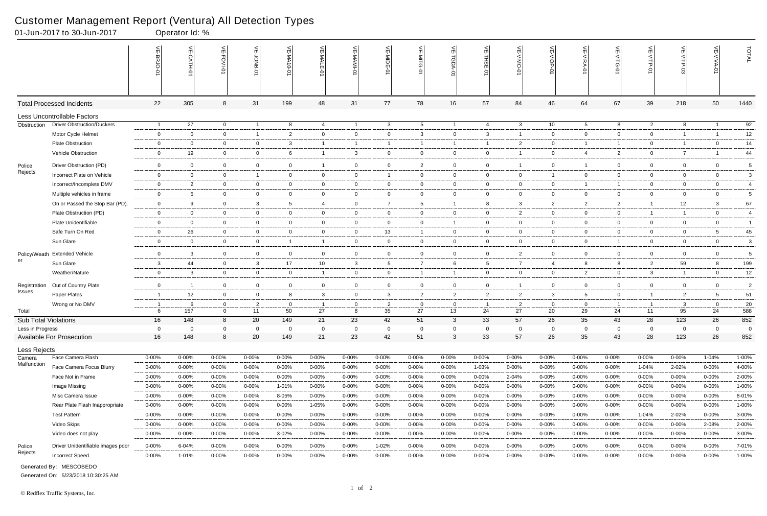|                             | 01-Jun-2017 to 30-Jun-2017        |                | Operator Id: %  |                |                |                 |                 |                               |                |                 |                |                |                |                |                |                |                |                |                 |                |
|-----------------------------|-----------------------------------|----------------|-----------------|----------------|----------------|-----------------|-----------------|-------------------------------|----------------|-----------------|----------------|----------------|----------------|----------------|----------------|----------------|----------------|----------------|-----------------|----------------|
|                             |                                   |                | $\widetilde{E}$ | 늳<br>FOVI-01   | 늦              | VE-MA10-01      | VE-MALE<br>ò    |                               | VE-MIDE-01     | VE-MITG-0       | VE-TGDA-0      | VE-THSE-01     | VE-VIMO-01     | VE-VIOP-01     | VE-VIRA-01     | ے<br>VITG-01   | VE-VITP-01     | <b>SD-41IV</b> | 늦               | TOTAL          |
|                             | <b>Total Processed Incidents</b>  | 22             | 305             | 8              | 31             | 199             | 48              | 31                            | 77             | 78              | 16             | 57             | 84             | 46             | 64             | 67             | 39             | 218            | 50              | 1440           |
|                             | Less Uncontrollable Factors       |                |                 |                |                |                 |                 |                               |                |                 |                |                |                |                |                |                |                |                |                 |                |
| Obstruction                 | <b>Driver Obstruction/Duckers</b> | $\overline{1}$ | 27              | $\overline{0}$ | $\overline{1}$ | 8               | 4               | $\overline{1}$                | $\mathbf{3}$   | $5\overline{)}$ | $\overline{1}$ | $\overline{4}$ | 3              | 10             | 5              | 8              | $\overline{2}$ | 8              | $\overline{1}$  | 92             |
|                             | Motor Cycle Helmet                | $\mathbf 0$    | $\Omega$        | $\overline{0}$ | $\overline{1}$ | 2               | $\mathbf{0}$    | $\overline{0}$                | $\mathbf 0$    | $\mathbf{3}$    | $\mathbf 0$    | $\mathbf{3}$   | $\mathbf{1}$   | $\overline{0}$ | $\mathbf 0$    | $\mathbf 0$    | $\mathbf 0$    | $\overline{1}$ |                 | 12             |
|                             | <b>Plate Obstruction</b>          | $\overline{0}$ | $\Omega$        | $\overline{0}$ | $\overline{0}$ | $\mathbf{3}$    | $\mathbf{1}$    | $\overline{1}$                |                | 1               | $\overline{1}$ | -1             | $\overline{2}$ | $\overline{0}$ | -1             | -1             | $\overline{0}$ | $\overline{1}$ | $\overline{0}$  | 14             |
|                             | Vehicle Obstruction               | $\overline{0}$ | 19              | $\overline{0}$ | $\mathbf 0$    | 6               |                 | $\mathbf{3}$                  | $\mathbf 0$    | $\overline{0}$  | $\mathbf 0$    | $\overline{0}$ |                | $\overline{0}$ | $\overline{4}$ | 2              | $\mathbf 0$    | $\overline{7}$ |                 | 44             |
| Police                      | Driver Obstruction (PD)           | $\overline{0}$ | $\mathbf 0$     | $\mathbf 0$    | $\mathbf 0$    | $\overline{0}$  | $\overline{1}$  | $\mathbf 0$                   | $\mathbf 0$    | $\overline{2}$  | $\overline{0}$ | $\overline{0}$ | 1              | $\overline{0}$ | $\overline{1}$ | $\mathbf 0$    | $\mathbf 0$    | $\mathbf 0$    | $\mathbf 0$     | 5              |
| Rejects                     | Incorrect Plate on Vehicle        | $\overline{0}$ | $\overline{0}$  | $\overline{0}$ | $\overline{1}$ | $\mathbf{0}$    | $\mathbf{0}$    | $\overline{0}$                | -1             | $\mathbf{0}$    | $\overline{0}$ | $\overline{0}$ | $\mathbf{0}$   | $\overline{1}$ | $\mathbf 0$    | $\mathbf 0$    | $\overline{0}$ | $\mathbf{0}$   | $\mathbf{0}$    | 3              |
|                             | Incorrect/Incomplete DMV          | $\mathbf 0$    | $\overline{2}$  | $\overline{0}$ | $\mathbf 0$    | 0               | $\mathbf{0}$    | $\mathbf 0$                   | $\mathbf 0$    | $\mathbf 0$     | $\mathbf 0$    | $\overline{0}$ | $\mathbf{0}$   | $\mathbf{0}$   |                |                | $\overline{0}$ | $\mathbf 0$    | $\overline{0}$  | $\overline{4}$ |
|                             | Multiple vehicles in frame        | $\overline{0}$ | -5              | $\overline{0}$ | $\overline{0}$ | $\overline{0}$  | $\mathbf 0$     | $\overline{0}$                | $\overline{0}$ | $\overline{0}$  | $\mathbf{0}$   | $\overline{0}$ | $\mathbf{0}$   | $\overline{0}$ | $\overline{0}$ | $\overline{0}$ | $\overline{0}$ | $\mathbf{0}$   | $\overline{0}$  | 5              |
|                             | On or Passed the Stop Bar (PD).   | $\mathbf 0$    | 9               | $\overline{0}$ | $\mathbf{3}$   | $5\overline{)}$ | 4               | $\mathbf 0$                   | $\overline{7}$ | $5^{\circ}$     | $\overline{1}$ | 8              | 3              | $\overline{2}$ | $\overline{2}$ | $\overline{2}$ | $\mathbf{1}$   | 12             | $\mathbf{3}$    | 67             |
|                             | Plate Obstruction (PD)            | $\mathbf 0$    | $\overline{0}$  | $\overline{0}$ | $\mathbf 0$    | 0               | $\mathbf{0}$    | $\overline{0}$                | $\mathbf 0$    | $\overline{0}$  | $\mathbf{0}$   | $\overline{0}$ | $\overline{2}$ | $\overline{0}$ | $\mathbf 0$    | $\mathbf 0$    | $\mathbf{1}$   | $\overline{1}$ | $\mathbf 0$     | $\overline{4}$ |
|                             | Plate Unidentifiable              | $\overline{0}$ | $\overline{0}$  | $\overline{0}$ | $\overline{0}$ | $\mathbf{0}$    | $\mathbf{0}$    | $\overline{0}$                | $\overline{0}$ | $\overline{0}$  | $\overline{1}$ | $\overline{0}$ | $\overline{0}$ | $\overline{0}$ | $\overline{0}$ | $\overline{0}$ | $\overline{0}$ | $\mathbf 0$    | $\overline{0}$  | $\overline{1}$ |
|                             | Safe Turn On Red                  | $\overline{0}$ | 26              | $\overline{0}$ | $\overline{0}$ | 0               | $\mathbf{0}$    | $\overline{0}$                | 13             | $\mathbf{1}$    | $\overline{0}$ | $\overline{0}$ | $\mathbf{0}$   | $\overline{0}$ | $\mathbf 0$    | $\overline{0}$ | $\overline{0}$ | $\mathbf 0$    | $5\overline{)}$ | 45             |
|                             | Sun Glare                         | $\mathbf 0$    | $\Omega$        | $\overline{0}$ | $\overline{0}$ | -1              | $\overline{1}$  | $\mathbf 0$                   | $\mathbf 0$    | $\overline{0}$  | $\overline{0}$ | $\overline{0}$ | $\mathbf{0}$   | $\overline{0}$ | $\mathbf 0$    | -1             | $\mathbf 0$    | $\mathbf 0$    | $\overline{0}$  | 3              |
| Policy/Weath                | <b>Extended Vehicle</b>           | $\mathbf 0$    | 3               | $\overline{0}$ | $\mathbf 0$    | $\mathbf 0$     | $\overline{0}$  | $\overline{0}$                | $\mathbf 0$    | $\overline{0}$  | $\mathbf 0$    | $\overline{0}$ | $\overline{2}$ | $\overline{0}$ | $\mathbf 0$    | $\mathbf 0$    | $\mathbf 0$    | $\mathbf 0$    | $\overline{0}$  | 5              |
| er                          | Sun Glare                         | 3              | 44              | $\overline{0}$ | $\mathbf{3}$   | 17              | 10 <sup>°</sup> | $\mathbf{3}$                  | 5              | $\overline{7}$  | 6              | 5              | $\overline{7}$ | 4              | 8              | 8              | $\overline{2}$ | 59             | 8               | 199            |
|                             | Weather/Nature                    | $\overline{0}$ | 3               | $\overline{0}$ | $\mathbf 0$    | $\overline{0}$  | $\overline{1}$  | $\mathbf 0$                   | $\overline{0}$ | $\mathbf{1}$    | $\overline{1}$ | $\overline{0}$ | $\mathbf{0}$   | $\overline{0}$ | $\overline{2}$ | $\overline{0}$ | 3 <sup>1</sup> | $\overline{1}$ | $\overline{0}$  | 12             |
|                             | Out of Country Plate              | $\mathbf 0$    | -1              | $\overline{0}$ | 0              | 0               | $\mathbf{0}$    |                               | $\mathbf 0$    | $\overline{0}$  | $\mathbf 0$    | $\overline{0}$ | -1             | $\overline{0}$ | $\mathbf 0$    | 0              | $\mathbf 0$    | $\mathbf 0$    | $\overline{0}$  | $\overline{2}$ |
| Registration<br>Issues      | Paper Plates                      | $\overline{1}$ | 12              | $\overline{0}$ | $\mathbf 0$    | 8               | 3               | $\mathbf 0$<br>$\overline{0}$ | $\mathbf{3}$   | $\overline{2}$  | $\overline{2}$ | $\overline{2}$ | $\mathbf{2}$   | 3              | 5              | $\mathbf 0$    | $\mathbf{1}$   | $\overline{2}$ | 5               | 51             |
|                             | Wrong or No DMV                   | - 1            | -6              | $\overline{0}$ | $\overline{2}$ | $\mathbf 0$     | $\mathbf{1}$    | $\overline{0}$                | $\overline{2}$ | $\mathbf 0$     | $\overline{0}$ | - 1            | $\mathbf{2}$   | $\overline{0}$ | $\mathbf 0$    | - 1            | $\overline{1}$ | 3              | $\mathbf 0$     | 20             |
| Total                       |                                   | 6              | 157             | $\overline{0}$ | 11             | 50              | 27              | $8\phantom{1}$                | 35             | 27              | 13             | 24             | 27             | 20             | 29             | 24             | 11             | 95             | 24              | 588            |
| <b>Sub Total Violations</b> |                                   | 16             | 148             | 8              | 20             | 149             | 21              | 23                            | 42             | 51              | 3              | 33             | 57             | 26             | 35             | 43             | 28             | 123            | 26              | 852            |
| Less in Progress            |                                   | 0              | $\Omega$        | $\mathbf 0$    | $\mathbf 0$    | $\Omega$        | $\Omega$        | $\mathbf 0$                   | 0              | $\mathbf 0$     | 0              | $\mathbf 0$    | $\mathbf 0$    | $\mathbf 0$    | 0              | $\mathbf 0$    | $\mathbf 0$    | $\mathbf 0$    | $\mathbf 0$     | 0              |
|                             | <b>Available For Prosecution</b>  | 16             | 148             | 8              | 20             | 149             | 21              | 23                            | 42             | 51              | $\mathbf{3}$   | 33             | 57             | 26             | 35             | 43             | 28             | 123            | 26              | 852            |
| Less Rejects                |                                   |                |                 |                |                |                 |                 |                               |                |                 |                |                |                |                |                |                |                |                |                 |                |
| Camera                      | Face Camera Flash                 | $0 - 00\%$     | $0 - 00%$       | $0 - 00%$      | $0 - 00\%$     | 0-00%           | $0 - 00\%$      | $0 - 00%$                     | 0-00%          | $0 - 00%$       | $0 - 00\%$     | $0 - 00%$      | $0 - 00%$      | $0 - 00\%$     | $0 - 00\%$     | 0-00%          | $0 - 00\%$     | $0 - 00%$      | 1-04%           | 1-00%          |
| Malfunction                 | Face Camera Focus Blurry          | $0 - 00\%$     | $0 - 00\%$      | $0 - 00%$      | $0 - 00%$      | $0 - 00%$       | $0 - 00\%$      | 0-00%                         | $0 - 00%$      | $0 - 00%$       | 0-00%          | 1-03%          | $0 - 00%$      | $0 - 00\%$     | $0 - 00\%$     | $0 - 00%$      | 1-04%          | 2-02%          | $0 - 00\%$      | 4-00%          |
|                             | Face Not in Frame                 | $0 - 00%$      | $0 - 00%$       | $0 - 00%$      | $0 - 00%$      | $0 - 00\%$      | $0 - 00\%$      | $0 - 00%$                     | $0 - 00%$      | $0 - 00\%$      | $0 - 00\%$     | $0 - 00%$      | 2-04%          | $0 - 00\%$     | $0 - 00\%$     | $0 - 00%$      | 0-00%          | $0 - 00%$      | $0 - 00\%$      | 2-00%          |
|                             | Image Missing                     | $0 - 00%$      | $0 - 00%$       | $0 - 00%$      | $0 - 00%$      | 1-01%           | $0 - 00\%$      | $0 - 00%$                     | $0 - 00%$      | $0 - 00%$       | 0-00%          | $0 - 00%$      | $0 - 00%$      | $0 - 00\%$     | $0 - 00\%$     | 0-00%          | 0-00%          | $0 - 00%$      | $0 - 00\%$      | 1-00%          |
|                             | Misc Camera Issue                 | $0 - 00%$      | $0 - 00%$       | $0 - 00%$      | $0 - 00%$      | 8-05%           | $0 - 00\%$      | $0 - 00%$                     | $0 - 00%$      | $0 - 00\%$      | 0-00%          | $0 - 00%$      | $0 - 00%$      | $0 - 00\%$     | $0 - 00\%$     | 0-00%          | 0-00%          | $0 - 00\%$     | $0 - 00\%$      | 8-01%          |
|                             | Rear Plate Flash Inappropriate    | $0 - 00%$      | $0 - 00%$       | 0-00%          | $0 - 00%$      | $0 - 00%$       | 1-05%           | 0-00%                         | $0 - 00%$      | $0 - 00%$       | 0-00%          | $0 - 00%$      | $0 - 00%$      | 0-00%          | $0 - 00%$      | $0 - 00%$      | 0-00%          | $0 - 00%$      | $0 - 00%$       | 1-00%          |
|                             | <b>Test Pattern</b>               | $0 - 00%$      | 0-00%           | $0 - 00%$      | $0 - 00%$      | 0-00%           | $0 - 00%$       | $0 - 00%$                     | 0-00%          | $0 - 00%$       | $0 - 00\%$     | $0 - 00%$      | $0 - 00%$      | $0 - 00%$      | $0 - 00\%$     | $0 - 00%$      | 1-04%          | 2-02%          | $0 - 00\%$      | 3-00%          |
|                             | Video Skips                       | $0 - 00%$      | $0 - 00\%$      | $0 - 00\%$     | $0 - 00%$      | $0 - 00%$       | 0-00%           | 0-00%                         | $0 - 00%$      | $0 - 00\%$      | 0-00%          | $0 - 00%$      | $0 - 00%$      | 0-00%          | $0 - 00%$      | $0 - 00%$      | 0-00%          | $0 - 00\%$     | 2-08%           | 2-00%          |
|                             | Video does not play               | $0 - 00\%$     | $0 - 00%$       | $0 - 00\%$     | $0 - 00\%$     | 3-02%           | $0 - 00\%$      | $0 - 00\%$                    | $0 - 00%$      | $0 - 00\%$      | $0 - 00\%$     | $0 - 00%$      | 0-00%          | $0 - 00\%$     | $0 - 00\%$     | $0 - 00%$      | $0 - 00\%$     | $0 - 00\%$     | $0 - 00\%$      | 3-00%          |
| Police                      | Driver Unidentifiable images poor | $0 - 00\%$     | 6-04%           | $0 - 00\%$     | $0 - 00%$      | $0 - 00%$       | $0 - 00\%$      | $0 - 00%$                     | 1-02%          | $0 - 00\%$      | $0 - 00\%$     | $0 - 00%$      | $0 - 00%$      | $0 - 00\%$     | $0 - 00\%$     | 0-00%          | $0 - 00\%$     | $0 - 00\%$     | $0 - 00\%$      | 7-01%          |
| Rejects                     | <b>Incorrect Speed</b>            | $0 - 00%$      | 1-01%           | 0-00%          | $0 - 00%$      | $0 - 00\%$      | 0-00%           | 0-00%                         | $0 - 00%$      | 0-00%           | 0-00%          | $0 - 00%$      | $0 - 00%$      | 0-00%          | $0 - 00\%$     | $0 - 00%$      | 0-00%          | 0-00%          | $0 - 00%$       | 1-00%          |

Generated On: 5/23/2018 10:30:25 AM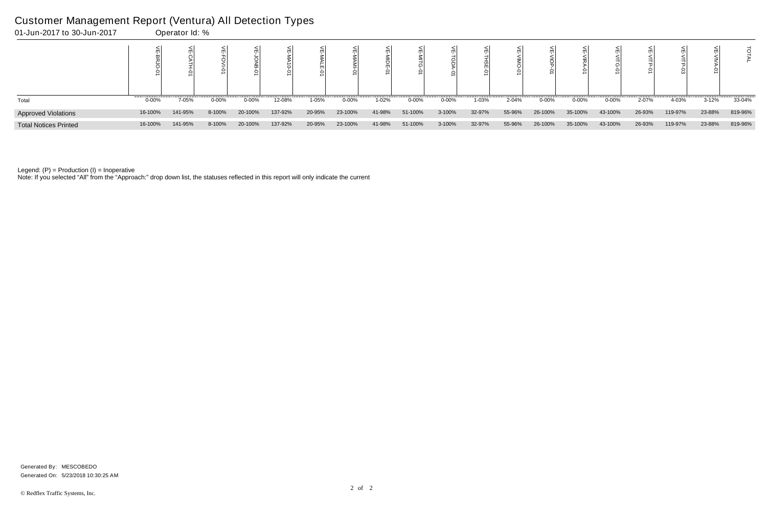| 01-Jun-2017 to 30-Jun-2017   |           | Operator Id: % |           |            |         |        |            |        |            |           |        |        |            |           |           |        |         |           |         |
|------------------------------|-----------|----------------|-----------|------------|---------|--------|------------|--------|------------|-----------|--------|--------|------------|-----------|-----------|--------|---------|-----------|---------|
|                              |           |                |           |            |         |        |            |        |            |           |        |        |            |           |           |        |         |           |         |
| Total                        | $0 - 00%$ | 7-05%          | $0 - 00%$ | $0 - 00\%$ | 12-08%  | 1-05%  | $0 - 00\%$ | 1-02%  | $0 - 00\%$ | $0 - 00%$ | 1-03%  | 2-04%  | $0 - 00\%$ | $0 - 00%$ | $0 - 00%$ | 2-07%  | 4-03%   | $3 - 12%$ | 33-04%  |
| <b>Approved Violations</b>   | 16-100%   | 141-95%        | 8-100%    | 20-100%    | 137-92% | 20-95% | 23-100%    | 41-98% | 51-100%    | 3-100%    | 32-97% | 55-96% | 26-100%    | 35-100%   | 43-100%   | 26-93% | 119-97% | 23-88%    | 819-96% |
| <b>Total Notices Printed</b> | 16-100%   | 141-95%        | 8-100%    | 20-100%    | 137-92% | 20-95% | 23-100%    | 41-98% | 51-100%    | 3-100%    | 32-97% | 55-96% | 26-100%    | 35-100%   | 43-100%   | 26-93% | 119-97% | 23-88%    | 819-96% |

Note: If you selected "All" from the "Approach:" drop down list, the statuses reflected in this report will only indicate the current

#### Customer Management Report (Ventura) All Detection Types

Generated On: 5/23/2018 10:30:25 AM Generated By: MESCOBEDO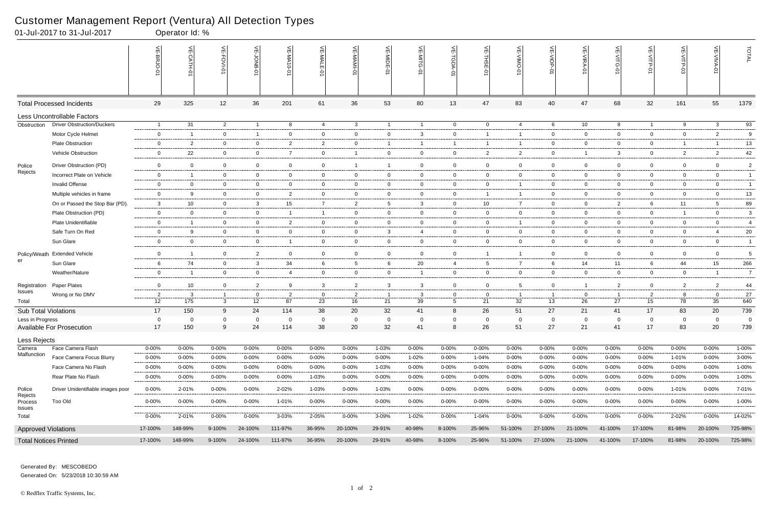|                             | 01-Jul-2017 to 31-Jul-2017                    |                        | Operator Id: %           |                     |                |                        |                |                 |                 |                     |                 |                    |                        |                         |                          |                                                        |                    |                     |                          |                |
|-----------------------------|-----------------------------------------------|------------------------|--------------------------|---------------------|----------------|------------------------|----------------|-----------------|-----------------|---------------------|-----------------|--------------------|------------------------|-------------------------|--------------------------|--------------------------------------------------------|--------------------|---------------------|--------------------------|----------------|
|                             |                                               |                        | $\widetilde{E}$          | VE-FOVI-01          | 늦              | VE-MA10-01             | VE-MALE<br>ò   | ۴               | VE-MIDE-01      | VE-MITG-0           | VE-TGDA-0       | VE-THSE-01         | VE-VIMO-01             | VE-VIOP-01              | VE-VIRA-01               | $\stackrel{\textstyle<}{\scriptstyle\rm m}$<br>VITG-01 | VE-VITP-01         | VE-VITP-03          | 늰                        | TOTAL          |
|                             | <b>Total Processed Incidents</b>              | 29                     | 325                      | 12                  | 36             | 201                    | 61             | 36              | 53              | 80                  | 13              | 47                 | 83                     | 40                      | 47                       | 68                                                     | 32                 | 161                 | 55                       | 1379           |
|                             | Less Uncontrollable Factors                   |                        |                          |                     |                |                        |                |                 |                 |                     |                 |                    |                        |                         |                          |                                                        |                    |                     |                          |                |
| Obstruction                 | <b>Driver Obstruction/Duckers</b>             | $\overline{1}$         | 31                       | $\overline{2}$      | $\overline{1}$ | 8                      | 4              | $\mathbf{3}$    | $\overline{1}$  | $\overline{1}$      | $\overline{0}$  | $\overline{0}$     | $\overline{4}$         | 6                       | 10                       | 8                                                      | $\overline{1}$     | 9                   | $\mathbf{3}$             | 93             |
|                             | Motor Cycle Helmet                            | $\mathbf 0$            | -1                       | $\overline{0}$      | $\overline{1}$ | 0                      | $\mathbf{0}$   | $\overline{0}$  | $\mathbf 0$     | $\mathbf{3}$        | $\mathbf 0$     | -1                 | -1                     | $\overline{0}$          | $\mathbf 0$              | $\mathbf 0$                                            | $\mathbf 0$        | $\mathbf 0$         | 2                        | 9              |
|                             | <b>Plate Obstruction</b>                      | $\overline{0}$         | $\overline{2}$           | $\overline{0}$      | $\overline{0}$ | $\overline{2}$         | $\overline{2}$ | $\overline{0}$  |                 | 1                   | $\mathbf{1}$    | $\overline{1}$     | -1                     | $\overline{0}$          | $\overline{0}$           | $\mathbf 0$                                            | $\overline{0}$     | $\overline{1}$      | -1                       | 13             |
|                             | Vehicle Obstruction                           | $\overline{0}$         | 22                       | $\overline{0}$      | $\mathbf 0$    | $\overline{7}$         | $\mathbf{0}$   | $\overline{1}$  | $\mathbf 0$     | $\overline{0}$      | $\mathbf 0$     | $\overline{2}$     | $\overline{2}$         | $\overline{0}$          |                          | 3                                                      | $\overline{0}$     | $\overline{2}$      | $\overline{2}$           | 42             |
| Police                      | Driver Obstruction (PD)                       | $\overline{0}$         | $\mathbf 0$              | $\overline{0}$      | $\mathbf 0$    | $\mathbf 0$            | $\mathbf 0$    | $\overline{1}$  |                 | $\overline{0}$      | $\overline{0}$  | $\overline{0}$     | $\mathbf 0$            | $\overline{0}$          | $\mathbf 0$              | $\mathbf 0$                                            | $\overline{0}$     | $\mathbf 0$         | $\mathbf 0$              | $\sqrt{2}$     |
| Rejects                     | Incorrect Plate on Vehicle                    | $\overline{0}$         | -1                       | $\overline{0}$      | $\overline{0}$ | $\mathbf{0}$           | $\mathbf{0}$   | $\overline{0}$  | $\overline{0}$  | $\mathbf{0}$        | $\overline{0}$  | $\overline{0}$     | $\mathbf{0}$           | $\overline{0}$          | $\overline{0}$           | $\mathbf 0$                                            | $\overline{0}$     | $\overline{0}$      | $\overline{0}$           | $\overline{1}$ |
|                             | <b>Invalid Offense</b>                        | $\overline{0}$         | $\Omega$                 | $\overline{0}$      | $\mathbf 0$    | 0                      | $\mathbf{0}$   | $\mathbf 0$     | $\mathbf 0$     | $\overline{0}$      | $\mathbf 0$     | $\overline{0}$     |                        | $\mathbf{0}$            | $\mathbf 0$              | $\mathbf 0$                                            | $\overline{0}$     | $\mathbf 0$         | $\mathbf 0$              | $\overline{1}$ |
|                             | Multiple vehicles in frame                    | $\overline{0}$         | 9                        | $\overline{0}$      | $\overline{0}$ | $\overline{2}$         | $\mathbf 0$    | $\mathbf 0$     | $\overline{0}$  | $\overline{0}$      | 0               | - 1                | $\mathbf{1}$           | $\overline{0}$          | $\overline{0}$           | $\overline{0}$                                         | $\overline{0}$     | $\mathbf{0}$        | $\overline{0}$           | 13             |
|                             | On or Passed the Stop Bar (PD).               | 3                      | 10                       | $\overline{0}$      | $\mathbf{3}$   | 15                     | $\overline{7}$ | $\overline{2}$  | $5\overline{)}$ | $\mathbf{3}$        | $\mathbf{0}$    | 10                 | $\overline{7}$         | $\overline{0}$          | $\overline{0}$           | $\overline{2}$                                         | 6                  | 11                  | $5\overline{)}$          | 89             |
|                             | Plate Obstruction (PD)                        | $\mathbf 0$            | $\Omega$                 | $\overline{0}$      | $\mathbf 0$    | - 1                    | $\mathbf{1}$   | $\mathbf 0$     | $\mathbf 0$     | $\overline{0}$      | $\mathbf{0}$    | $\overline{0}$     | $\mathbf{0}$           | $\overline{0}$          | $\mathbf 0$              | $\mathbf 0$                                            | $\mathbf 0$        | $\overline{1}$      | $\overline{0}$           | 3              |
|                             | Plate Unidentifiable                          | $\overline{0}$         | -1                       | $\overline{0}$      | $\overline{0}$ | $\overline{2}$         | $\overline{0}$ | $\overline{0}$  | $\overline{0}$  | $\overline{0}$      | $\overline{0}$  | $\overline{0}$     | 1                      | $\overline{0}$          | $\overline{0}$           | $\overline{0}$                                         | $\overline{0}$     | $\mathbf 0$         | $\overline{0}$           | $\overline{4}$ |
|                             | Safe Turn On Red                              | $\overline{0}$         | 9                        | $\overline{0}$      | $\overline{0}$ | $\mathbf 0$            | $\mathbf{0}$   | $\overline{0}$  | $\mathbf{3}$    | 4                   | $\overline{0}$  | $\overline{0}$     | $\mathbf{0}$           | $\overline{0}$          | $\mathbf 0$              | $\overline{0}$                                         | $\mathbf 0$        | $\mathbf 0$         | $\overline{4}$           | 20             |
|                             | Sun Glare                                     | $\mathbf 0$            | $\overline{0}$           | $\overline{0}$      | $\overline{0}$ | -1                     | $\mathbf{0}$   | $\mathbf 0$     | $\mathbf 0$     | $\overline{0}$      | $\overline{0}$  | $\overline{0}$     | $\mathbf{0}$           | $\overline{0}$          | $\mathbf 0$              | $\mathbf 0$                                            | $\mathbf 0$        | $\mathbf 0$         | $\mathbf 0$              | $\overline{1}$ |
| Policy/Weath                | <b>Extended Vehicle</b>                       | $\mathbf 0$            | - 1                      | $\mathbf 0$         | $\overline{2}$ | $\mathbf 0$            | $\overline{0}$ | $\overline{0}$  | $\mathbf 0$     | $\overline{0}$      | $\mathbf 0$     | $\overline{1}$     | -1                     | $\overline{0}$          | $\mathbf 0$              | $\overline{0}$                                         | $\overline{0}$     | $\mathbf 0$         | $\overline{0}$           | 5              |
| er                          | Sun Glare                                     | 6                      | 74                       | $\overline{0}$      | $\mathbf{3}$   | 34                     | 6              | $5\overline{)}$ | 6               | 20                  | $\overline{4}$  | 5                  | $\overline{7}$         | 6                       | 14                       | 11                                                     | 6                  | 44                  | 15                       | 266            |
|                             | Weather/Nature                                | $\overline{0}$         | - 1                      | $\overline{0}$      | $\mathbf 0$    | 4                      | $\mathbf{0}$   | $\mathbf 0$     | $\overline{0}$  | $\mathbf{1}$        | $\overline{0}$  | $\overline{0}$     | $\mathbf{0}$           | $\overline{0}$          | $\mathbf 0$              | $\overline{0}$                                         | $\mathbf 0$        | $\mathbf 0$         | $\overline{1}$           | $\overline{7}$ |
| Registration                | Paper Plates                                  | $\mathbf 0$            | 10                       | $\overline{0}$      | $\overline{2}$ | 9                      | 3              | $\overline{2}$  | $\mathbf{3}$    | 3                   | $\mathbf{0}$    | $\overline{0}$     | $5\overline{)}$        | $\overline{0}$          |                          | $\overline{2}$                                         | $\overline{0}$     | $\overline{2}$      | $\overline{2}$           | 44             |
| Issues                      | Wrong or No DMV                               | $\overline{2}$         | -3                       |                     | $\overline{0}$ | $\overline{2}$         | $\mathbf{0}$   | $\overline{2}$  |                 | 3                   | 0               | $\overline{0}$     |                        | -1                      | $\overline{0}$           |                                                        | $\overline{2}$     | 8                   | $\mathbf 0$              | $27\,$         |
| Total                       |                                               | 12                     | 175                      | 3                   | 12             | 87                     | 23             | 16              | 21              | 39                  | $5\phantom{.0}$ | 21                 | 32                     | 13                      | 26                       | 27                                                     | 15                 | 78                  | 35                       | 640            |
| <b>Sub Total Violations</b> |                                               | 17                     | 150                      | 9                   | 24             | 114                    | 38             | 20              | 32              | 41                  | 8               | 26                 | 51                     | 27                      | 21                       | 41                                                     | 17                 | 83                  | 20                       | 739            |
| Less in Progress            |                                               | $\overline{0}$         | $\Omega$                 | $\Omega$            | $\Omega$       | $\Omega$               | $\Omega$       | $\mathbf 0$     | $\Omega$        | $\Omega$            | $\mathbf 0$     | $\Omega$           | $\Omega$               | $\overline{0}$          | $\Omega$                 | $\Omega$                                               | $\overline{0}$     | $\Omega$            | $\Omega$                 | $\Omega$       |
|                             | Available For Prosecution                     | 17                     | 150                      | 9                   | 24             | 114                    | 38             | 20              | 32              | 41                  | 8               | 26                 | 51                     | 27                      | 21                       | 41                                                     | 17                 | 83                  | 20                       | 739            |
| Less Rejects                |                                               |                        |                          |                     |                |                        |                |                 |                 |                     |                 |                    |                        |                         |                          |                                                        |                    |                     |                          |                |
| Camera<br>Malfunction       | Face Camera Flash<br>Face Camera Focus Blurry | $0 - 00%$              | 0-00%                    | $0 - 00\%$          | $0 - 00%$      | 0-00%                  | $0 - 00\%$     | $0 - 00%$       | 1-03%           | $0 - 00\%$          | 0-00%           | $0 - 00%$          | $0 - 00%$              | $0 - 00%$               | $0 - 00%$                | $0 - 00%$                                              | 0-00%              | $0 - 00%$           | $0 - 00\%$               | $1 - 00%$      |
|                             | Face Camera No Flash                          | $0 - 00%$<br>$0 - 00%$ | $0 - 00\%$<br>$0 - 00\%$ | 0-00%<br>$0 - 00\%$ | $0 - 00%$      | $0 - 00%$<br>$0 - 00%$ | 0-00%<br>0-00% | 0-00%           | 0-00%<br>1-03%  | 1-02%<br>$0 - 00\%$ | $0 - 00\%$      | 1-04%<br>$0 - 00%$ | $0 - 00%$<br>$0 - 00%$ | $0 - 00%$<br>$0 - 00\%$ | $0 - 00\%$<br>$0 - 00\%$ | 0-00%<br>$0 - 00%$                                     | 0-00%<br>$0 - 00%$ | 1-01%<br>$0 - 00\%$ | $0 - 00\%$<br>$0 - 00\%$ | 3-00%<br>1-00% |
|                             | Rear Plate No Flash                           |                        |                          |                     | $0 - 00\%$     |                        |                | 0-00%           | $0 - 00\%$      |                     | 0-00%           |                    |                        |                         | $0 - 00\%$               |                                                        |                    | $0 - 00\%$          |                          | $1 - 00%$      |
|                             |                                               | 0-00%                  | 0-00%                    | 0-00%               | 0-00%          | 0-00%                  | 1-03%          | 0-00%           |                 | 0-00%               | $0 - 00\%$      | 0-00%              | 0-00%                  | $0 - 00\%$              |                          | 0-00%                                                  | 0-00%              |                     | $0 - 00\%$               |                |
| Police<br>Rejects           | Driver Unidentifiable images poor             | $0 - 00%$              | 2-01%                    | $0 - 00\%$          | $0 - 00\%$     | 2-02%                  | 1-03%          | $0 - 00%$       | 1-03%           | $0 - 00\%$          | $0 - 00\%$      | $0 - 00%$          | 0-00%                  | $0 - 00\%$              | $0 - 00\%$               | $0 - 00%$                                              | 0-00%              | 1-01%               | $0 - 00\%$               | 7-01%          |
| Process<br>Issues           | Too Old                                       | $0 - 00\%$             | $0 - 00%$                | $0 - 00\%$          | $0 - 00\%$     | 1-01%                  | $0 - 00\%$     | $0 - 00\%$      | $0 - 00\%$      | $0 - 00\%$          | $0 - 00\%$      | $0 - 00%$          | $0 - 00%$              | $0 - 00\%$              | $0 - 00\%$               | $0 - 00%$                                              | $0 - 00\%$         | $0 - 00\%$          | $0 - 00\%$               | 1-00%          |
| Total                       |                                               | $0 - 00\%$             | 2-01%                    | 0-00%               | $0 - 00\%$     | 3-03%                  | 2-05%          | $0 - 00\%$      | 3-09%           | 1-02%               | $0 - 00\%$      | 1-04%              | 0-00%                  | $0 - 00\%$              | $0 - 00\%$               | $0 - 00\%$                                             | $0 - 00\%$         | 2-02%               | $0 - 00\%$               | 14-02%         |
| <b>Approved Violations</b>  |                                               | 17-100%                | 148-99%                  | 9-100%              | 24-100%        | 111-97%                | 36-95%         | 20-100%         | 29-91%          | 40-98%              | 8-100%          | 25-96%             | 51-100%                | 27-100%                 | 21-100%                  | 41-100%                                                | 17-100%            | 81-98%              | 20-100%                  | 725-98%        |
|                             | <b>Total Notices Printed</b>                  | 17-100%                | 148-99%                  | 9-100%              | 24-100%        | 111-97%                | 36-95%         | 20-100%         | 29-91%          | 40-98%              | 8-100%          | 25-96%             | 51-100%                | 27-100%                 | 21-100%                  | 41-100%                                                | 17-100%            | 81-98%              | 20-100%                  | 725-98%        |

Generated On: 5/23/2018 10:30:59 AM Generated By: MESCOBEDO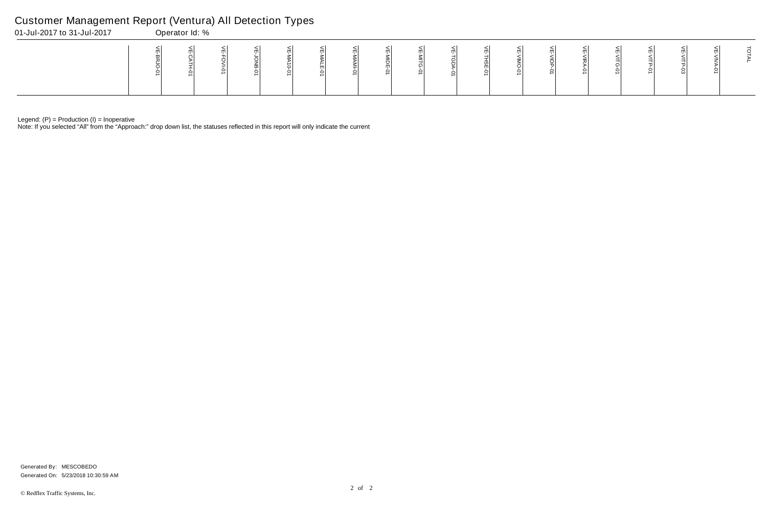Note: If you selected "All" from the "Approach:" drop down list, the statuses reflected in this report will only indicate the current

# Customer Management Report (Ventura) All Detection Types

| 01-Jul-2017 to 31-Jul-2017 | Operator Id: % |  |  |  |  |  |  |  |  |  |
|----------------------------|----------------|--|--|--|--|--|--|--|--|--|
|                            |                |  |  |  |  |  |  |  |  |  |

Generated On: 5/23/2018 10:30:59 AM Generated By: MESCOBEDO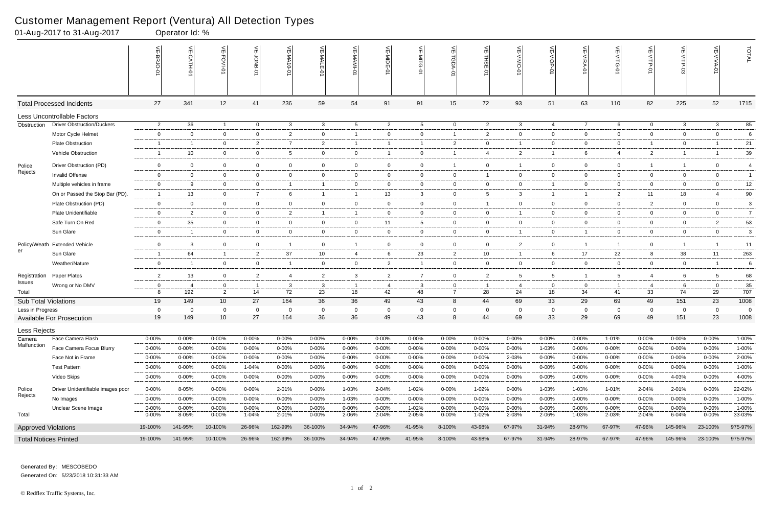|                              | 01-Aug-2017 to 31-Aug-2017        |                               | Operator Id: %            |                               |                       |                 |                |                                |                |                             |                |                |                |                |                |                                                                 |                |                |                |                |
|------------------------------|-----------------------------------|-------------------------------|---------------------------|-------------------------------|-----------------------|-----------------|----------------|--------------------------------|----------------|-----------------------------|----------------|----------------|----------------|----------------|----------------|-----------------------------------------------------------------|----------------|----------------|----------------|----------------|
|                              |                                   |                               | $\widetilde{E}$<br>CATH-0 | 늰<br>FOVI-01                  | 늦                     | VE-MA<br>$-0-0$ | VE-MALE<br>ò   | ۴                              | VE-MIDE-01     | VE-MITG-<br>$\dot{\varphi}$ | VE-TGDA-0      | VE-THSE-01     | VE-VIMO-01     | VE-VIOP-07     | VE-VIRA-01     | $\stackrel{\textstyle<}{\scriptstyle\rm m}$<br><b>NITG</b><br>Ò | VE-VITP-01     | $\frac{1}{2}$  | 늦              | TOTAL          |
|                              | <b>Total Processed Incidents</b>  | 27                            | 341                       | 12                            | 41                    | 236             | 59             | 54                             | 91             | 91                          | 15             | 72             | 93             | 51             | 63             | 110                                                             | 82             | 225            | 52             | 1715           |
|                              | Less Uncontrollable Factors       |                               |                           |                               |                       |                 |                |                                |                |                             |                |                |                |                |                |                                                                 |                |                |                |                |
| Obstruction                  | <b>Driver Obstruction/Duckers</b> | $\overline{2}$                | 36                        | $\overline{1}$                | $\overline{0}$        | $\mathbf{3}$    | $\mathbf{3}$   | $5\overline{)}$                | $\overline{c}$ | $5\overline{)}$             | $\overline{0}$ | $\overline{c}$ | 3              | 4              | $\overline{7}$ | 6                                                               | $\overline{0}$ | $\mathbf{3}$   | $\mathbf{3}$   | 85             |
|                              | Motor Cycle Helmet                | $\mathbf 0$                   | $\Omega$                  | $\overline{0}$                | $\overline{0}$        | 2               | $\mathbf{0}$   | $\overline{1}$                 | $\mathbf 0$    | $\mathbf 0$                 | $\overline{1}$ | $\overline{2}$ | $\mathbf{0}$   | $\overline{0}$ | $\mathbf 0$    | $\mathbf 0$                                                     | $\overline{0}$ | $\mathbf 0$    | $\overline{0}$ | 6              |
|                              | <b>Plate Obstruction</b>          | -1                            | -1                        | $\overline{0}$                | $\overline{2}$        | $\overline{7}$  | $\overline{2}$ | $\overline{1}$                 |                | -1                          | $\overline{2}$ | $\overline{0}$ | 1              | $\overline{0}$ | $\mathbf 0$    | $\mathbf 0$                                                     | $\overline{1}$ | $\mathbf 0$    |                | 21             |
|                              | Vehicle Obstruction               | -1                            | 10                        | $\overline{0}$                | $\mathbf 0$           | 5               | $\mathbf{0}$   | $\overline{0}$                 |                | $\overline{0}$              |                | $\overline{4}$ | $\overline{2}$ | $\overline{1}$ | 6              | 4                                                               | $\overline{2}$ | $\overline{1}$ |                | 39             |
| Police                       | Driver Obstruction (PD)           | $\overline{0}$                | $\Omega$                  | $\mathbf 0$                   | $\mathbf 0$           | 0               | $\mathbf 0$    | $\overline{0}$                 | $\mathbf 0$    | 0                           |                | $\overline{0}$ | 1              | $\overline{0}$ | $\mathbf 0$    | $\mathbf 0$                                                     | $\overline{1}$ | $\overline{1}$ | $\mathbf 0$    | $\overline{4}$ |
| Rejects                      | <b>Invalid Offense</b>            | $\overline{0}$                | $\mathbf{0}$              | $\overline{0}$                | $\overline{0}$        | $\mathbf 0$     | $\mathbf{0}$   | $\overline{0}$                 | $\overline{0}$ | $\mathbf{0}$                | $\mathbf{0}$   | -1             | $\mathbf{0}$   | $\overline{0}$ | $\mathbf 0$    | $\mathbf 0$                                                     | $\mathbf{0}$   | $\mathbf{0}$   | $\mathbf{0}$   | $\overline{1}$ |
|                              | Multiple vehicles in frame        | $\mathbf 0$                   | -9                        | $\overline{0}$                | $\mathbf 0$           |                 |                | $\mathbf 0$                    | $\mathbf 0$    | $\mathbf 0$                 | 0              | $\overline{0}$ | $\mathbf{0}$   | $\overline{1}$ | $\overline{0}$ | $\mathbf 0$                                                     | $\overline{0}$ | $\Omega$       | $\overline{0}$ | 12             |
|                              | On or Passed the Stop Bar (PD).   | - 1                           | 13                        | $\overline{0}$                | $\overline{7}$        | 6               | $\mathbf{1}$   | $\overline{1}$                 | 13             | $\mathbf{3}$                | $\overline{0}$ | -5             | 3              | $\overline{1}$ | $\overline{1}$ | $\overline{2}$                                                  | 11             | 18             | $\overline{4}$ | $90\,$         |
|                              | Plate Obstruction (PD)            | $\overline{0}$                | $\overline{0}$            | $\overline{0}$                | $\overline{0}$        | $\mathbf 0$     | $\mathbf{0}$   | $\overline{0}$                 | $\mathbf 0$    | $\overline{0}$              | $\overline{0}$ | $\overline{1}$ | $\overline{0}$ | $\overline{0}$ | $\overline{0}$ | $\overline{0}$                                                  | $\overline{2}$ | $\mathbf 0$    | $\overline{0}$ | 3              |
|                              | Plate Unidentifiable              | $\mathbf 0$                   | $\overline{2}$            | $\overline{0}$                | $\mathbf 0$           | $\overline{2}$  |                | $\overline{1}$                 | $\mathbf 0$    | $\overline{0}$              | $\mathbf 0$    | $\overline{0}$ | 1              | $\overline{0}$ | $\mathbf 0$    | $\mathbf 0$                                                     | $\mathbf 0$    | $\mathbf 0$    | $\overline{0}$ | $\overline{7}$ |
|                              | Safe Turn On Red                  | $\overline{0}$                | 35                        | $\overline{0}$                | $\overline{0}$        | $\overline{0}$  | $\mathbf{0}$   | $\overline{0}$                 | 11             | 5                           | 0              | $\overline{0}$ | $\mathbf{0}$   | $\overline{0}$ | $\overline{0}$ | $\mathbf 0$                                                     | $\overline{0}$ | $\mathbf 0$    | $\overline{2}$ | 53             |
|                              | Sun Glare                         | $\mathbf 0$                   | $\overline{1}$            | $\overline{0}$                | $\overline{0}$        | $\overline{0}$  | $\mathbf{0}$   | $\overline{0}$                 | $\overline{0}$ | $\overline{0}$              | $\mathbf{0}$   | $\overline{0}$ | $\mathbf{1}$   | $\overline{0}$ | $\overline{1}$ | $\overline{0}$                                                  | $\overline{0}$ | $\mathbf 0$    | $\overline{0}$ | 3              |
| Policy/Weath                 | <b>Extended Vehicle</b>           | $\mathbf 0$                   | 3                         | $\mathbf 0$                   | $\mathbf 0$           | - 1             | $\mathbf 0$    | $\overline{1}$                 | $\mathbf 0$    | $\mathbf 0$                 | $\mathbf 0$    | $\overline{0}$ | $\overline{2}$ | $\mathbf 0$    | $\overline{1}$ |                                                                 | $\mathbf 0$    | $\overline{1}$ |                | 11             |
| er                           | Sun Glare                         | -1                            | 64                        | $\overline{1}$                | 2                     | 37              | 10             | 4                              | 6              | 23                          | $\overline{2}$ | 10             | 1              | 6              | 17             | 22                                                              | 8              | 38             | 11             | 263            |
|                              | Weather/Nature                    | $\overline{0}$                | -1                        | $\overline{0}$                | $\overline{0}$        | - 1             | $\mathbf 0$    | $\overline{0}$                 | $\overline{2}$ | $\mathbf{1}$                | $\overline{0}$ | $\overline{0}$ | $\mathbf{0}$   | $\overline{0}$ | $\overline{0}$ | $\overline{0}$                                                  | $\overline{0}$ | $\overline{0}$ | $\overline{1}$ | 6              |
|                              | Paper Plates                      |                               | 13                        |                               |                       | 4               |                |                                | $\overline{2}$ | $\overline{7}$              | $\mathbf 0$    | $\overline{2}$ | 5              | 5              | -1             | 5                                                               | $\overline{4}$ | 6              | 5              | 68             |
| Registration<br>Issues       | Wrong or No DMV                   | $\overline{2}$<br>$\mathbf 0$ | -4                        | $\overline{0}$<br>$\mathbf 0$ | $\overline{2}$<br>- 1 | 3               | $\overline{2}$ | $\mathbf{3}$<br>$\overline{1}$ | -4             | 3                           | 0              | - 1            | 4              | $\overline{0}$ | 0              |                                                                 | $\overline{4}$ | 6              | $\Omega$       | 35             |
| Total                        |                                   | 8                             | 192                       | $\overline{2}$                | 14                    | 72              | 3<br>23        | 18                             | 42             | 48                          | $\overline{7}$ | 28             | 24             | 18             | 34             | 41                                                              | 33             | 74             | 29             | 707            |
| Sub Total Violations         |                                   | 19                            | 149                       | 10                            | 27                    | 164             | 36             | 36                             | 49             | 43                          | 8              | 44             | 69             | 33             | 29             | 69                                                              | 49             | 151            | 23             | 1008           |
| Less in Progress             |                                   | 0                             | $\Omega$                  | $\Omega$                      | $\mathbf 0$           | 0               |                | $\mathbf 0$                    | 0              | 0                           | $\mathbf 0$    | 0              | $\Omega$       | $\mathbf 0$    | 0              | 0                                                               | 0              | $\mathbf 0$    | $\Omega$       | - 0            |
|                              | <b>Available For Prosecution</b>  | 19                            | 149                       | 10 <sup>°</sup>               | 27                    | 164             | 36             | 36                             | 49             | 43                          | 8              | 44             | 69             | 33             | 29             | 69                                                              | 49             | 151            | 23             | 1008           |
| Less Rejects                 |                                   |                               |                           |                               |                       |                 |                |                                |                |                             |                |                |                |                |                |                                                                 |                |                |                |                |
| Camera                       | Face Camera Flash                 | $0 - 00\%$                    | 0-00%                     | $0 - 00\%$                    | $0 - 00%$             | 0-00%           | 0-00%          | $0 - 00%$                      | $0 - 00%$      | $0 - 00\%$                  | $0 - 00\%$     | $0 - 00%$      | $0 - 00%$      | $0 - 00\%$     | $0 - 00\%$     | 1-01%                                                           | 0-00%          | $0 - 00%$      | $0 - 00\%$     | 1-00%          |
| Malfunction                  | Face Camera Focus Blurry          | $0 - 00%$                     | $0 - 00%$                 | $0 - 00%$                     | $0 - 00%$             | $0 - 00%$       | 0-00%          | $0 - 00\%$                     | $0 - 00%$      | $0 - 00%$                   | 0-00%          | $0 - 00%$      | $0 - 00%$      | 1-03%          | $0 - 00\%$     | $0 - 00%$                                                       | $0 - 00%$      | $0 - 00\%$     | $0 - 00\%$     | 1-00%          |
|                              | Face Not in Frame                 | $0 - 00%$                     | $0 - 00\%$                | 0-00%                         | $0 - 00%$             | $0 - 00%$       | $0 - 00\%$     | 0-00%                          | 0-00%          | $0 - 00%$                   | $0 - 00\%$     | $0 - 00%$      | 2-03%          | $0 - 00%$      | $0 - 00\%$     | $0 - 00%$                                                       | 0-00%          | $0 - 00\%$     | $0 - 00\%$     | 2-00%          |
|                              | <b>Test Pattern</b>               | $0 - 00%$                     | $0 - 00\%$                | $0 - 00\%$                    | 1-04%                 | $0 - 00%$       | 0-00%          | 0-00%                          | $0 - 00%$      | $0 - 00%$                   | 0-00%          | $0 - 00%$      | $0 - 00%$      | $0 - 00\%$     | $0 - 00%$      | $0 - 00%$                                                       | $0 - 00%$      | $0 - 00\%$     | $0 - 00\%$     | 1-00%          |
|                              | Video Skips                       | $0 - 00%$                     | $0 - 00\%$                | 0-00%                         | 0-00%                 | $0 - 00%$       | 0-00%          | 0-00%                          | $0 - 00%$      | 0-00%                       | $0 - 00\%$     | $0 - 00%$      | 0-00%          | $0 - 00\%$     | $0 - 00\%$     | $0 - 00%$                                                       | 0-00%          | 4-03%          | $0 - 00\%$     | 4-00%          |
| Police                       | Driver Unidentifiable images poor | 0-00%                         | 8-05%                     | $0 - 00\%$                    | $0 - 00%$             | 2-01%           | $0 - 00\%$     | 1-03%                          | 2-04%          | 1-02%                       | $0 - 00\%$     | 1-02%          | 0-00%          | 1-03%          | 1-03%          | 1-01%                                                           | 2-04%          | 2-01%          | $0 - 00\%$     | 22-02%         |
| Rejects                      | No Images                         | $0 - 00%$                     | $0 - 00\%$                | $0 - 00\%$                    | $0 - 00%$             | $0 - 00%$       | 0-00%          | 1-03%                          | $0 - 00%$      | $0 - 00%$                   | 0-00%          | $0 - 00%$      | $0 - 00%$      | $0 - 00%$      | $0 - 00\%$     | $0 - 00%$                                                       | $0 - 00%$      | $0 - 00\%$     | $0 - 00%$      | 1-00%          |
|                              | Unclear Scene Image               | $0 - 00%$                     | $0 - 00\%$                | $0 - 00%$                     | $0 - 00%$             | $0 - 00%$       | $0 - 00\%$     | $0 - 00%$                      | $0 - 00%$      | 1-02%                       | 0-00%          | $0 - 00%$      | $0 - 00%$      | $0 - 00\%$     | $0 - 00\%$     | $0 - 00%$                                                       | 0-00%          | 0-00%          | $0 - 00\%$     | 1-00%          |
| Total                        |                                   | $0 - 00%$                     | 8-05%                     | $0 - 00\%$                    | 1-04%                 | 2-01%           | $0 - 00\%$     | 2-06%                          | 2-04%          | 2-05%                       | $0 - 00\%$     | 1-02%          | 2-03%          | 2-06%          | 1-03%          | 2-03%                                                           | 2-04%          | 6-04%          | $0 - 00\%$     | 33-03%         |
| <b>Approved Violations</b>   |                                   | 19-100%                       | 141-95%                   | 10-100%                       | 26-96%                | 162-99%         | 36-100%        | 34-94%                         | 47-96%         | 41-95%                      | 8-100%         | 43-98%         | 67-97%         | 31-94%         | 28-97%         | 67-97%                                                          | 47-96%         | 145-96%        | 23-100%        | 975-97%        |
| <b>Total Notices Printed</b> |                                   | 19-100%                       | 141-95%                   | 10-100%                       | 26-96%                | 162-99%         | 36-100%        | 34-94%                         | 47-96%         | 41-95%                      | 8-100%         | 43-98%         | 67-97%         | 31-94%         | 28-97%         | 67-97%                                                          | 47-96%         | 145-96%        | 23-100%        | 975-97%        |

Generated On: 5/23/2018 10:31:33 AM Generated By: MESCOBEDO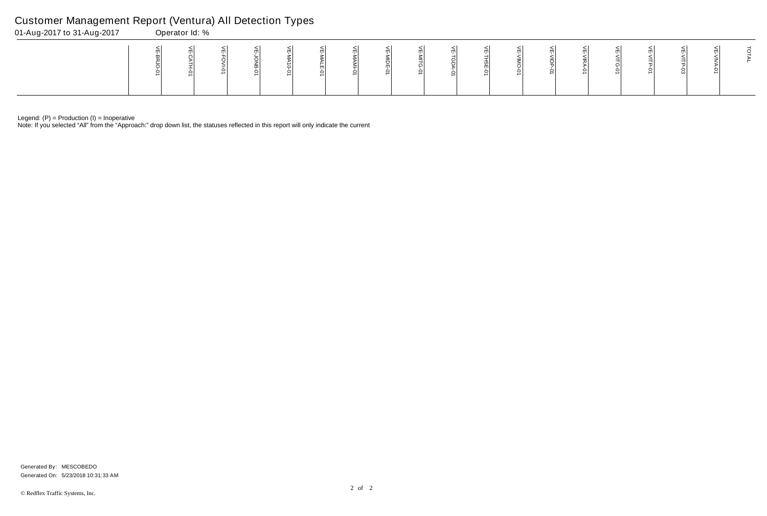Note: If you selected "All" from the "Approach:" drop down list, the statuses reflected in this report will only indicate the current

# Customer Management Report (Ventura) All Detection Types

| 01-Aug-2017 to 31-Aug-2017 | Operator Id: % |  |  |  |  |  |  |  |  |  |
|----------------------------|----------------|--|--|--|--|--|--|--|--|--|
|                            |                |  |  |  |  |  |  |  |  |  |

Generated On: 5/23/2018 10:31:33 AM Generated By: MESCOBEDO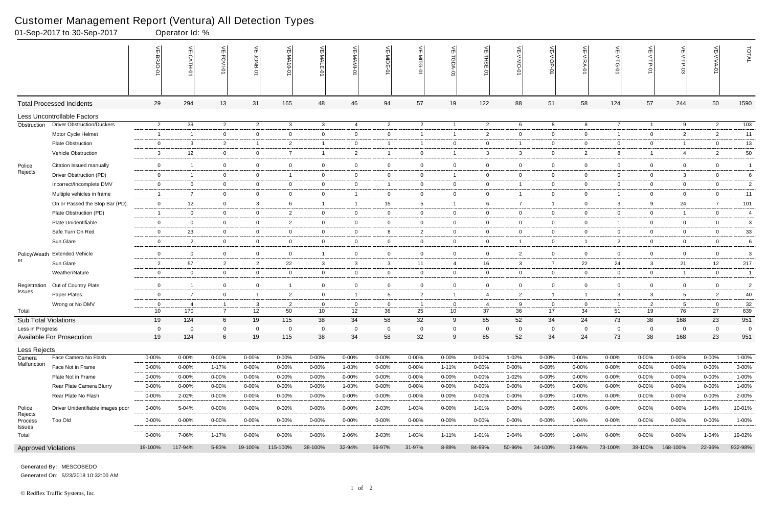|                              | 01-Sep-2017 to 30-Sep-2017        |                | Operator Id: %                      |                 |                |                |                |                |                         |                 |                                    |                |                |                |                |                               |                |                |                |                 |
|------------------------------|-----------------------------------|----------------|-------------------------------------|-----------------|----------------|----------------|----------------|----------------|-------------------------|-----------------|------------------------------------|----------------|----------------|----------------|----------------|-------------------------------|----------------|----------------|----------------|-----------------|
|                              |                                   |                | $\widetilde{\mathbb{F}}$<br>CATH-01 | VE-FOVI-01      | ے<br>anor      | VE-MA10-01     | VE-MALE<br>ò   | 늦              | VE-MIDE-01              | $\leq$          | $\widetilde{\mathbb{F}}$<br>LGDA-0 | 븻<br>THSE-01   | ے              | VE-VIOP<br>Ģ   | VE-VIRA-01     | 늰<br>$\frac{1}{5}$<br>$\circ$ | VE-VITP-01     |                | VE-VIVA-0      | TOTAL           |
|                              | <b>Total Processed Incidents</b>  | 29             | 294                                 | 13              | 31             | 165            | 48             | 46             | 94                      | 57              | 19                                 | 122            | 88             | 51             | 58             | 124                           | 57             | 244            | 50             | 1590            |
|                              | Less Uncontrollable Factors       |                |                                     |                 |                |                |                |                |                         |                 |                                    |                |                |                |                |                               |                |                |                |                 |
| Obstruction                  | <b>Driver Obstruction/Duckers</b> | $\overline{2}$ | 39                                  | $\overline{2}$  | $\overline{2}$ | $\mathbf{3}$   | $\mathbf{3}$   | $\overline{4}$ | $\overline{2}$          | $\overline{2}$  | $\overline{1}$                     | $\overline{2}$ | 6              | 8              | 8              | $\overline{7}$                | $\overline{1}$ | 9              | $\overline{2}$ | $\frac{103}{ }$ |
|                              | Motor Cycle Helmet                | $\overline{1}$ | $\overline{1}$                      | $\mathbf 0$     | $\mathbf 0$    | $\overline{0}$ | $\overline{0}$ | $\mathbf 0$    | $\overline{0}$          | -1              | $\mathbf{1}$                       | $\overline{2}$ | $\mathbf 0$    | $\overline{0}$ | $\mathbf 0$    |                               | $\overline{0}$ | $\overline{2}$ | $\overline{2}$ | 11              |
|                              | <b>Plate Obstruction</b>          | 0              | 3                                   | $\overline{2}$  | $\overline{1}$ | $\overline{2}$ | -1             | $\overline{0}$ | -1                      | -1              | $\overline{0}$                     | $\mathbf{0}$   |                | $\overline{0}$ | $\mathbf 0$    | $\mathbf{0}$                  | $\overline{0}$ | - 1            | $\mathbf{0}$   | 13              |
|                              | Vehicle Obstruction               | 3              | 12                                  | $\overline{0}$  | $\overline{0}$ | $\overline{7}$ | $\mathbf{1}$   | $\overline{2}$ | $\overline{\mathbf{1}}$ | $\overline{0}$  | $\overline{1}$                     | $\mathbf{3}$   | 3              | $\overline{0}$ | $\overline{2}$ | 8                             | $\overline{1}$ | $\overline{4}$ | $\overline{2}$ | 50              |
| Police                       | Citation Issued manually          | $\overline{0}$ | $\overline{\mathbf{1}}$             | $\mathbf 0$     | $\overline{0}$ | $\overline{0}$ | $\overline{0}$ | $\overline{0}$ | $\mathbf 0$             | $\overline{0}$  | $\overline{0}$                     | $\mathbf 0$    | $\mathbf 0$    | $\overline{0}$ | $\mathbf 0$    | $\overline{0}$                | $\overline{0}$ | $\mathbf 0$    | $\overline{0}$ | $\overline{1}$  |
| Rejects                      | Driver Obstruction (PD)           | $\mathsf{O}$   | $\overline{1}$                      | $\overline{0}$  | $\overline{0}$ | -1             | $\overline{0}$ | $\mathbf 0$    | $\overline{0}$          | $\overline{0}$  | $\overline{1}$                     | $\mathbf 0$    | 0              | $\mathbf 0$    | $\mathbf 0$    | $\overline{0}$                | $\overline{0}$ | 3              | $\overline{0}$ | 6               |
|                              | Incorrect/Incomplete DMV          | $\mathbf 0$    | 0                                   | $\overline{0}$  | $\overline{0}$ | $\mathbf 0$    | $\mathbf 0$    | $\overline{0}$ | -1                      | 0               | $\overline{0}$                     | $\mathbf 0$    |                | $\overline{0}$ | 0              | $\overline{0}$                | $\overline{0}$ | 0              | $\mathbf{0}$   | $\overline{2}$  |
|                              | Multiple vehicles in frame        | -1             | $\overline{7}$                      | $\overline{0}$  | $\overline{0}$ | $\overline{0}$ | $\overline{0}$ | $\overline{1}$ | $\overline{0}$          | $\overline{0}$  | $\overline{0}$                     | $\mathbf 0$    |                | $\overline{0}$ | $\mathbf{0}$   |                               | $\overline{0}$ | $\mathbf{0}$   | $\overline{0}$ | 11              |
|                              | On or Passed the Stop Bar (PD).   | $\mathsf{O}$   | 12                                  | $\mathbf 0$     | $\mathbf{3}$   | 6              | $\mathbf{1}$   | $\overline{1}$ | 15                      | $5\overline{)}$ | $\overline{1}$                     | 6              | $\overline{7}$ | $\overline{1}$ | $\mathbf 0$    | $\mathbf{3}$                  | 9              | 24             | $\overline{7}$ | 101             |
|                              | Plate Obstruction (PD)            | -1             | $\mathbf 0$                         | $\overline{0}$  | $\overline{0}$ | $\overline{2}$ | $\overline{0}$ | $\overline{0}$ | $\mathbf 0$             | $\mathbf 0$     | $\overline{0}$                     | $\overline{0}$ | 0              | $\overline{0}$ | $\mathbf 0$    | $\mathbf{0}$                  | $\mathbf{0}$   | $\overline{1}$ | $\mathbf{0}$   | $\overline{4}$  |
|                              | Plate Unidentifiable              | $\mathbf 0$    | $\overline{0}$                      | $\overline{0}$  | $\overline{0}$ | $\overline{2}$ | $\overline{0}$ | $\overline{0}$ | $\overline{0}$          | $\mathbf{0}$    | $\overline{0}$                     | $\mathbf 0$    | $\mathbf 0$    | $\overline{0}$ | $\overline{0}$ |                               | $\overline{0}$ | $\mathbf 0$    | $\overline{0}$ | $\mathbf{3}$    |
|                              | Safe Turn On Red                  | $\mathsf{O}$   | 23                                  | $\mathbf 0$     | $\mathbf 0$    | $\overline{0}$ | $\mathbf 0$    | $\mathbf 0$    | 8                       | $\overline{2}$  | $\overline{0}$                     | $\overline{0}$ | $\mathbf 0$    | $\mathbf 0$    | $\mathbf 0$    | $\overline{0}$                | $\overline{0}$ | $\mathbf 0$    | $\mathbf 0$    | $33\,$          |
|                              | Sun Glare                         | $\mathsf{O}$   | $\overline{2}$                      | $\overline{0}$  | $\overline{0}$ | $\overline{0}$ | $\mathbf 0$    | $\overline{0}$ | $\overline{0}$          | $\mathbf{0}$    | $\overline{0}$                     | $\mathbf 0$    | -1             | $\overline{0}$ | $\overline{1}$ | $\overline{2}$                | $\overline{0}$ | $\mathbf{0}$   | $\mathbf{0}$   | 6               |
|                              | Policy/Weath Extended Vehicle     | $\mathbf 0$    | $\overline{0}$                      | $\overline{0}$  | $\overline{0}$ | $\overline{0}$ | $\mathbf{1}$   | $\overline{0}$ | $\overline{0}$          | $\overline{0}$  | $\overline{0}$                     | $\mathbf 0$    | $\overline{2}$ | $\overline{0}$ | $\mathbf 0$    | $\overline{0}$                | $\overline{0}$ | $\mathbf 0$    | $\mathbf{0}$   | 3               |
| er                           | Sun Glare                         | $\overline{a}$ | 57                                  | $\overline{2}$  | $\overline{2}$ | 22             | 3              | $\mathbf{3}$   | 3                       | 11              | 4                                  | 16             | 3              | $\overline{7}$ | 22             | 24                            | $\mathbf{3}$   | 21             | 12             | 217             |
|                              | Weather/Nature                    | $\overline{0}$ | $\mathbf 0$                         | $\mathbf 0$     | $\overline{0}$ | $\overline{0}$ | $\overline{0}$ | $\overline{0}$ | $\overline{0}$          | $\overline{0}$  | $\overline{0}$                     | $\overline{0}$ | 0              | $\overline{0}$ | $\mathbf 0$    | $\overline{0}$                | $\overline{0}$ | - 1            | $\overline{0}$ | $\overline{1}$  |
| Registration                 | Out of Country Plate              | $\mathbf 0$    | $\overline{\mathbf{1}}$             | $\overline{0}$  | $\mathbf{0}$   | -1             | $\overline{0}$ | $\mathbf 0$    | $\mathbf 0$             | $\mathbf{0}$    | $\mathbf 0$                        | $\mathbf 0$    | 0              | $\overline{0}$ | $\mathbf 0$    | $\overline{0}$                | $\mathbf{0}$   | $\mathbf 0$    | $\overline{0}$ | $\overline{2}$  |
| Issues                       | Paper Plates                      | $\mathsf{O}$   | $\overline{7}$                      | $\overline{0}$  | $\overline{1}$ | $\overline{2}$ | $\overline{0}$ | $\overline{1}$ | 5                       | $\overline{2}$  | $\mathbf{1}$                       | $\overline{4}$ | $\overline{2}$ | $\overline{1}$ | $\overline{1}$ | 3                             | $\mathbf{3}$   | 5              | $\overline{2}$ | 40              |
|                              | Wrong or No DMV                   | $\overline{0}$ | -4                                  | $\overline{1}$  | $\mathbf{3}$   | $\overline{2}$ | $\mathbf 0$    | $\overline{0}$ | $\overline{0}$          | -1              | $\overline{0}$                     | -4             | -9             | $\overline{0}$ | $\mathbf 0$    |                               | $\overline{2}$ | 5              | $\overline{0}$ | 32              |
| Total                        |                                   | 10             | 170                                 | $\overline{7}$  | 12             | 50             | 10             | 12             | 36                      | 25              | 10                                 | 37             | 36             | 17             | 34             | 51                            | 19             | 76             | 27             | 639             |
| <b>Sub Total Violations</b>  |                                   | 19             | 124                                 | 6               | 19             | 115            | 38             | 34             | 58                      | 32              | 9                                  | 85             | 52             | 34             | 24             | 73                            | 38             | 168            | 23             | 951             |
| Less in Progress             |                                   | 0              | $\Omega$                            | $\mathbf 0$     | $\mathbf 0$    | $\Omega$       | 0              | $\overline{0}$ | 0                       | 0               | 0                                  | $\Omega$       | 0              | 0              | $\Omega$       | $\mathbf 0$                   | $\mathbf 0$    | $\mathbf 0$    | $\Omega$       | $\Omega$        |
|                              | <b>Available For Prosecution</b>  | 19             | 124                                 | $6\phantom{.}6$ | 19             | 115            | 38             | 34             | 58                      | 32              | 9                                  | 85             | 52             | 34             | 24             | 73                            | 38             | 168            | 23             | 951             |
| Less Rejects                 |                                   |                |                                     |                 |                |                |                |                |                         |                 |                                    |                |                |                |                |                               |                |                |                |                 |
| Camera<br>Malfunction        | Face Camera No Flash              | $0 - 00%$      | $0 - 00%$                           | $0 - 00%$       | 0-00%          | $0 - 00%$      | $0 - 00\%$     | $0 - 00%$      | 0-00%                   | $0 - 00%$       | $0 - 00\%$                         | $0 - 00%$      | 1-02%          | $0 - 00\%$     | $0 - 00\%$     | $0 - 00%$                     | $0 - 00%$      | $0 - 00%$      | $0 - 00%$      | $1 - 00%$       |
|                              | Face Not in Frame                 | $0 - 00%$      | $0 - 00%$                           | 1-17%           | $0 - 00%$      | $0 - 00%$      | $0 - 00\%$     | 1-03%          | $0 - 00%$               | $0 - 00%$       | 1-11%                              | $0 - 00%$      | $0 - 00%$      | $0 - 00\%$     | $0 - 00\%$     | 0-00%                         | $0 - 00%$      | $0 - 00%$      | $0 - 00%$      | 3-00%           |
|                              | Plate Not in Frame                | $0 - 00%$      | $0 - 00\%$                          | $0 - 00%$       | 0-00%          | $0 - 00%$      | 0-00%          | $0 - 00%$      | $0 - 00%$               | 0-00%           | 0-00%                              | $0 - 00%$      | 1-02%          | 0-00%          | $0 - 00\%$     | 0-00%                         | $0 - 00%$      | $0 - 00%$      | 0-00%          | 1-00%           |
|                              | Rear Plate Camera Blurry          | $0 - 00%$      | $0 - 00%$                           | $0 - 00\%$      | $0 - 00%$      | $0 - 00%$      | $0 - 00\%$     | 1-03%          | 0-00%                   | 0-00%           | $0 - 00\%$                         | $0 - 00%$      | 0-00%          | $0 - 00\%$     | $0 - 00\%$     | $0 - 00%$                     | $0 - 00\%$     | $0 - 00%$      | $0 - 00%$      | $1 - 00%$       |
|                              | Rear Plate No Flash               | $0 - 00%$      | 2-02%                               | $0 - 00%$       | $0 - 00%$      | $0 - 00%$      | $0 - 00\%$     | $0 - 00\%$     | $0 - 00%$               | $0 - 00%$       | $0 - 00\%$                         | $0 - 00%$      | $0 - 00%$      | $0 - 00%$      | $0 - 00\%$     | $0 - 00%$                     | $0 - 00%$      | $0 - 00%$      | $0 - 00\%$     | 2-00%           |
| Police                       | Driver Unidentifiable images poor | 0-00%          | 5-04%                               | $0 - 00\%$      | $0 - 00%$      | $0 - 00%$      | $0 - 00\%$     | $0 - 00%$      | 2-03%                   | 1-03%           | $0 - 00\%$                         | 1-01%          | $0 - 00%$      | $0 - 00\%$     | $0 - 00%$      | $0 - 00%$                     | $0 - 00\%$     | $0 - 00%$      | 1-04%          | 10-01%          |
| Rejects<br>Process<br>Issues | <b>Too Old</b>                    | $0 - 00%$      | 0-00%                               | $0 - 00\%$      | $0 - 00%$      | $0 - 00%$      | $0 - 00\%$     | $0 - 00%$      | 0-00%                   | $0 - 00\%$      | $0 - 00\%$                         | $0 - 00%$      | 0-00%          | $0 - 00\%$     | 1-04%          | $0 - 00%$                     | $0 - 00%$      | 0-00%          | $0 - 00\%$     | 1-00%           |
| Total                        |                                   | $0 - 00%$      | 7-06%                               | $1 - 17%$       | $0 - 00\%$     | $0 - 00%$      | $0 - 00\%$     | 2-06%          | 2-03%                   | 1-03%           | 1-11%                              | 1-01%          | 2-04%          | $0 - 00\%$     | 1-04%          | $0 - 00%$                     | $0 - 00%$      | $0 - 00%$      | 1-04%          | 19-02%          |
| <b>Approved Violations</b>   |                                   | 19-100%        | 117-94%                             | 5-83%           | 19-100%        | 115-100%       | 38-100%        | 32-94%         | 56-97%                  | 31-97%          | 8-89%                              | 84-99%         | 50-96%         | 34-100%        | 23-96%         | 73-100%                       | 38-100%        | 168-100%       | 22-96%         | 932-98%         |

Generated On: 5/23/2018 10:32:00 AM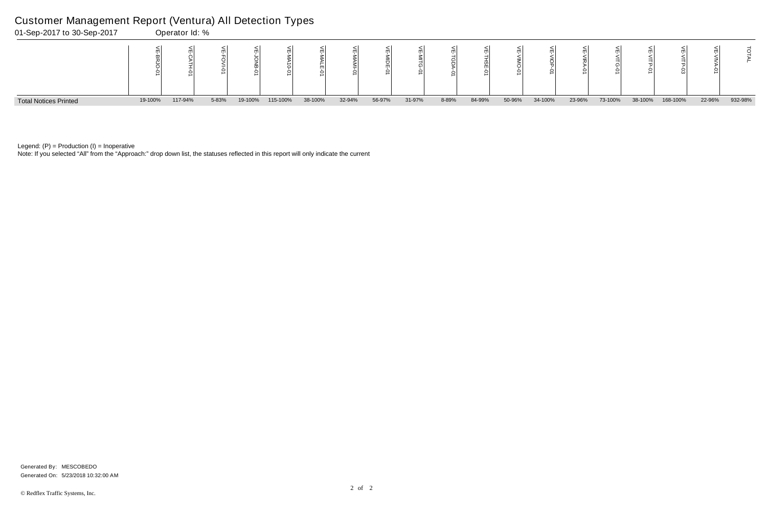Note: If you selected "All" from the "Approach:" drop down list, the statuses reflected in this report will only indicate the current



Legend:  $(P)$  = Production  $(I)$  = Inoperative

## Customer Management Report (Ventura) All Detection Types

|    | ⋚<br>≤<br>TG-01 | ۴<br>せら | ₷<br>ے<br>크<br>Š | π      | Σ       |
|----|-----------------|---------|------------------|--------|---------|
| 'n | 73-100%         | 38-100% | 168-100%         | 22-96% | 932-98% |

Generated On: 5/23/2018 10:32:00 AM Generated By: MESCOBEDO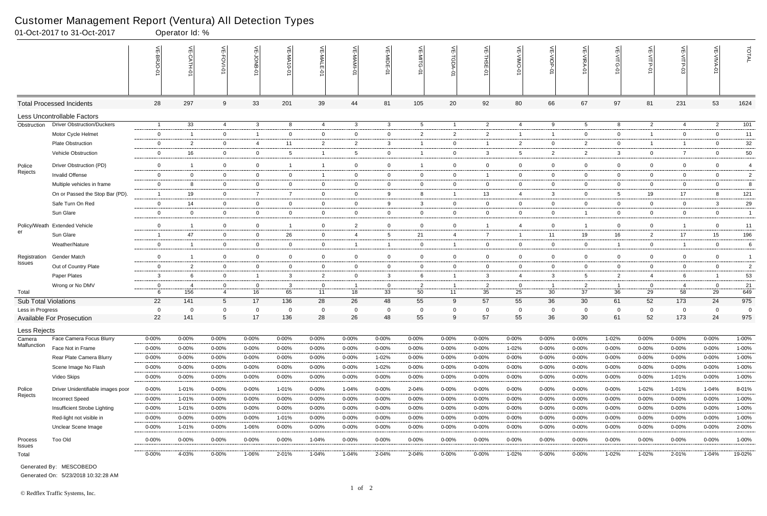|                       | 01-Oct-2017 to 31-Oct-2017        |                | Operator Id: %  |                 |                |                         |                |                  |                |                 |                |                |                 |                |                 |                 |                |                |                |                |
|-----------------------|-----------------------------------|----------------|-----------------|-----------------|----------------|-------------------------|----------------|------------------|----------------|-----------------|----------------|----------------|-----------------|----------------|-----------------|-----------------|----------------|----------------|----------------|----------------|
|                       |                                   |                | $\widetilde{E}$ | 늰<br>FOVI-01    | 늦              | VE-MA<br>$10 - 01$      | VE-MAL         |                  | VE-MIDE-01     |                 | 닞              | VE-THSE-01     | VE-VIMO-0       | VE-VIOP-0      | VE-VIRA-01      | VE-VITG-01      | VE-VITP-01     | VE-VITP-03     | VE-VIVA-0      | TOTAL          |
|                       | <b>Total Processed Incidents</b>  | 28             | 297             | 9               | 33             | 201                     | 39             | 44               | 81             | 105             | 20             | 92             | 80              | 66             | 67              | 97              | 81             | 231            | 53             | 1624           |
|                       | Less Uncontrollable Factors       |                |                 |                 |                |                         |                |                  |                |                 |                |                |                 |                |                 |                 |                |                |                |                |
| Obstruction           | <b>Driver Obstruction/Duckers</b> | $\overline{1}$ | 33              | $\overline{4}$  | $\mathbf{3}$   | 8                       | 4              | $\mathbf{3}$     | $\mathbf{3}$   | $5\overline{)}$ | $\overline{1}$ | $\overline{2}$ | 4               | 9              | $5\overline{5}$ | 8               | $\overline{2}$ | 4              | $\overline{2}$ | 101            |
|                       | Motor Cycle Helmet                | $\mathbf 0$    | -1              | $\overline{0}$  | $\overline{1}$ | $\mathbf 0$             | $\mathbf 0$    | $\overline{0}$   | $\mathbf 0$    | $\overline{2}$  | $\overline{2}$ | $\overline{2}$ |                 | $\overline{1}$ | $\overline{0}$  | $\mathbf{0}$    | $\mathbf{1}$   | $\overline{0}$ | $\mathbf 0$    | 11             |
|                       | <b>Plate Obstruction</b>          | $\overline{0}$ | $\overline{2}$  | $\mathbf 0$     | $\overline{4}$ | 11                      | $\overline{2}$ | $\overline{2}$   | $\mathbf{3}$   | -1              | $\mathbf{0}$   |                | $\overline{2}$  | $\overline{0}$ | $\overline{2}$  | $\overline{0}$  | $\mathbf{1}$   | $\overline{1}$ | $\mathbf 0$    | $32\,$         |
|                       | Vehicle Obstruction               | $\mathbf 0$    | 16              | $\overline{0}$  | $\mathbf 0$    | 5                       |                | 5                | $\overline{0}$ |                 | $\mathbf 0$    | $\mathbf{3}$   | $5\overline{)}$ | $\overline{2}$ | $\overline{2}$  | 3               | $\mathbf 0$    | $\overline{7}$ | $\mathbf 0$    | $50\,$         |
| Police                | Driver Obstruction (PD)           | $\overline{0}$ | -1              | $\mathbf 0$     | $\mathbf 0$    | $\overline{\mathbf{1}}$ | $\overline{1}$ | $\boldsymbol{0}$ | $\overline{0}$ | -1              | $\mathbf 0$    | $\mathbf 0$    | $\mathbf 0$     | $\overline{0}$ | $\mathbf 0$     | $\mathbf 0$     | $\overline{0}$ | 0              | $\mathbf 0$    | $\overline{4}$ |
| Rejects               | Invalid Offense                   | $\overline{0}$ | $\overline{0}$  | $\overline{0}$  | $\overline{0}$ | $\mathbf 0$             | $\mathbf{1}$   | $\overline{0}$   | $\overline{0}$ | $\mathbf{0}$    | $\mathbf{0}$   | - 1            | $\mathbf{0}$    | $\overline{0}$ | $\mathbf 0$     | $\overline{0}$  | $\overline{0}$ | $\mathbf 0$    | $\overline{0}$ | $\overline{2}$ |
|                       | Multiple vehicles in frame        | $\mathbf 0$    |                 | $\mathbf 0$     | $\mathbf 0$    | 0                       | $\overline{0}$ | $\mathbf 0$      | $\mathbf 0$    | $\mathbf 0$     | $\mathbf 0$    | $\overline{0}$ | $\mathbf 0$     | $\mathbf 0$    | $\Omega$        | $\mathbf 0$     | $\mathbf 0$    | $\mathbf 0$    | $\mathbf 0$    | 8              |
|                       | On or Passed the Stop Bar (PD).   | - 1            | 19              | $\overline{0}$  | $\overline{7}$ | -7                      | $\mathbf{0}$   | $\overline{0}$   | 9              | 8               | $\overline{1}$ | 13             | $\overline{4}$  | $\mathbf{3}$   | $\overline{0}$  | $5\overline{)}$ | 19             | 17             | 8              | 121            |
|                       | Safe Turn On Red                  | $\overline{0}$ | 14              | $\overline{0}$  | $\overline{0}$ | $\mathbf{0}$            | $\mathbf 0$    | $\overline{0}$   | 9              | 3               | $\mathbf{0}$   | $\overline{0}$ | $\mathbf{0}$    | $\overline{0}$ | $\overline{0}$  | $\overline{0}$  | $\overline{0}$ | $\overline{0}$ | 3              | 29             |
|                       | Sun Glare                         | $\mathbf 0$    | $\mathbf 0$     | $\mathbf 0$     | $\mathbf 0$    | $\mathbf{0}$            | $\mathbf 0$    | $\overline{0}$   | $\mathbf 0$    | $\overline{0}$  | $\overline{0}$ | $\overline{0}$ | $\mathbf{0}$    | $\overline{0}$ | $\overline{1}$  | $\mathbf 0$     | $\mathbf 0$    | $\mathbf 0$    | $\mathbf 0$    | $\overline{1}$ |
|                       | Policy/Weath Extended Vehicle     | $\mathbf 0$    | -1              | $\overline{0}$  | $\mathbf 0$    | -1                      | $\overline{0}$ | $\overline{2}$   | $\mathbf 0$    | $\overline{0}$  | $\mathbf 0$    |                | $\overline{4}$  | $\mathbf 0$    |                 | $\mathbf{0}$    | $\mathbf 0$    | -1             | $\mathbf 0$    | 11             |
| er                    | Sun Glare                         | -1             | 47              | $\overline{0}$  | $\overline{0}$ | 26                      | $\overline{0}$ | $\overline{4}$   | 5              | 21              | $\overline{4}$ | $\overline{7}$ |                 | 11             | 19              | 16              | $\mathbf{2}$   | 17             | 15             | 196            |
|                       | Weather/Nature                    | $\overline{0}$ | -1              | $\overline{0}$  | $\mathbf 0$    | $\mathbf{0}$            | $\overline{0}$ | $\overline{1}$   | - 1            | $\overline{0}$  | $\overline{1}$ | $\overline{0}$ | $\mathbf{0}$    | $\mathbf 0$    | $\overline{0}$  |                 | $\overline{0}$ | $\overline{1}$ | $\mathbf 0$    | 6              |
| Registration          | Gender Match                      | $\overline{0}$ | -1              | $\overline{0}$  | $\mathbf 0$    | $\mathbf{0}$            | $\overline{0}$ | $\overline{0}$   | $\mathbf 0$    | $\overline{0}$  | $\mathbf 0$    | $\mathbf 0$    | $\mathbf{0}$    | $\overline{0}$ | $\overline{0}$  | $\mathbf{0}$    | $\mathbf 0$    | $\mathbf 0$    | $\mathbf 0$    | $\overline{1}$ |
| Issues                | Out of Country Plate              | $\mathbf 0$    | $\overline{2}$  | $\overline{0}$  | $\mathbf{0}$   | $\mathbf{0}$            | $\overline{0}$ | $\overline{0}$   | $\mathbf{0}$   | $\overline{0}$  | $\mathbf{0}$   | $\overline{0}$ | $\mathbf{0}$    | $\overline{0}$ | $\overline{0}$  | $\overline{0}$  | $\overline{0}$ | $\overline{0}$ | $\overline{0}$ | $\overline{2}$ |
|                       | Paper Plates                      | $\mathbf{3}$   |                 | $\overline{0}$  | $\overline{1}$ | 3                       | $\overline{2}$ | $\overline{0}$   | -3             | 6               | $\overline{1}$ | $\mathbf{3}$   | $\overline{4}$  | 3              | 5               | $\overline{2}$  | $\overline{4}$ | 6              |                | 53             |
|                       | Wrong or No DMV                   | $\mathbf 0$    | -4              | $\mathbf 0$     | $\overline{0}$ | 3                       | $\mathbf 0$    | $\overline{1}$   | $\overline{0}$ | $\overline{2}$  | $\overline{1}$ | $\overline{2}$ | $\mathbf 0$     | $\overline{1}$ | $\overline{2}$  |                 | 0              | 4              | $\mathbf 0$    | 21             |
| Total                 |                                   | 6              | 156             | $\overline{4}$  | 16             | 65                      | 11             | 18               | 33             | 50              | 11             | 35             | 25              | 30             | 37              | 36              | 29             | 58             | 29             | 649            |
| Sub Total Violations  |                                   | 22             | 141             | $5\overline{5}$ | 17             | 136                     | 28             | 26               | 48             | 55              | 9              | 57             | 55              | 36             | 30              | 61              | 52             | 173            | 24             | 975            |
| Less in Progress      |                                   | $\mathbf 0$    | 0               |                 | $\overline{0}$ | 0                       | $\Omega$       | $\mathbf 0$      | $\mathbf 0$    | $\Omega$        | 0              | - 0            |                 | 0              | $\Omega$        | $\Omega$        | 0              | $\mathbf{0}$   | $\Omega$       | $\overline{0}$ |
|                       | <b>Available For Prosecution</b>  | 22             | 141             | $\overline{5}$  | 17             | 136                     | 28             | 26               | 48             | 55              | 9              | 57             | 55              | 36             | 30              | 61              | 52             | 173            | 24             | 975            |
| Less Rejects          |                                   |                |                 |                 |                |                         |                |                  |                |                 |                |                |                 |                |                 |                 |                |                |                |                |
| Camera<br>Malfunction | Face Camera Focus Blurry          | $0 - 00\%$     | $0 - 00%$       | $0 - 00\%$      | $0 - 00%$      | 0-00%                   | $0 - 00\%$     | $0 - 00%$        | 0-00%          | $0 - 00\%$      | $0 - 00\%$     | $0 - 00%$      | $0 - 00%$       | $0 - 00\%$     | $0 - 00\%$      | 1-02%           | $0 - 00%$      | $0 - 00%$      | $0 - 00\%$     | 1-00%          |
|                       | Face Not in Frame                 | 0-00%          | $0 - 00%$       | $0 - 00\%$      | $0 - 00%$      | $0 - 00%$               | $0 - 00\%$     | $0 - 00%$        | $0 - 00%$      | $0 - 00\%$      | $0 - 00\%$     | $0 - 00%$      | $1 - 02%$       | $0 - 00\%$     | 0-00%           | $0 - 00%$       | $0 - 00%$      | $0 - 00%$      | $0 - 00\%$     | 1-00%          |
|                       | Rear Plate Camera Blurry          | 0-00%          | $0 - 00%$       | $0 - 00\%$      | $0 - 00%$      | $0 - 00\%$              | $0 - 00\%$     | $0 - 00%$        | 1-02%          | $0 - 00\%$      | $0 - 00\%$     | $0 - 00%$      | $0 - 00%$       | $0 - 00\%$     | 0-00%           | $0 - 00%$       | $0 - 00%$      | $0 - 00%$      | $0 - 00\%$     | $1 - 00%$      |
|                       | Scene Image No Flash              | $0 - 00\%$     | $0 - 00\%$      | $0 - 00\%$      | $0 - 00\%$     | $0 - 00%$               | $0 - 00\%$     | 0-00%            | 1-02%          | $0 - 00\%$      | $0 - 00\%$     | $0 - 00%$      | $0 - 00%$       | $0 - 00\%$     | 0-00%           | $0 - 00%$       | $0 - 00%$      | $0 - 00%$      | $0 - 00\%$     | 1-00%          |
|                       | Video Skips                       | $0 - 00%$      | $0 - 00\%$      | $0 - 00\%$      | 0-00%          | $0 - 00\%$              | $0 - 00\%$     | 0-00%            | $0 - 00%$      | $0 - 00\%$      | $0 - 00\%$     | $0 - 00%$      | $0 - 00%$       | $0 - 00\%$     | $0 - 00\%$      | $0 - 00\%$      | $0 - 00%$      | 1-01%          | $0 - 00\%$     | $1 - 00%$      |
| Police                | Driver Unidentifiable images poor | 0-00%          | 1-01%           | $0 - 00\%$      | $0 - 00%$      | 1-01%                   | $0 - 00\%$     | $1 - 04%$        | $0 - 00%$      | 2-04%           | $0 - 00\%$     | $0 - 00%$      | $0 - 00%$       | $0 - 00\%$     | $0 - 00\%$      | $0 - 00%$       | 1-02%          | 1-01%          | 1-04%          | 8-01%          |
| Rejects               | <b>Incorrect Speed</b>            | $0 - 00%$      | 1-01%           | $0 - 00%$       | $0 - 00\%$     | $0 - 00%$               | $0 - 00\%$     | $0 - 00\%$       | $0 - 00%$      | $0 - 00\%$      | $0 - 00\%$     | $0 - 00%$      | $0 - 00%$       | $0 - 00\%$     | 0-00%           | $0 - 00%$       | $0 - 00%$      | 0-00%          | $0 - 00\%$     | 1-00%          |
|                       | Insufficient Strobe Lighting      | $0 - 00%$      | 1-01%           | $0 - 00%$       | $0 - 00%$      | $0 - 00\%$              | $0 - 00\%$     | 0-00%            | $0 - 00%$      | 0-00%           | 0-00%          | $0 - 00%$      | $0 - 00%$       | $0 - 00\%$     | 0-00%           | $0 - 00%$       | $0 - 00%$      | $0 - 00\%$     | $0 - 00\%$     | 1-00%          |
|                       | Red-light not visible in          | 0-00%          | $0 - 00%$       | $0 - 00%$       | $0 - 00%$      | 1-01%                   | $0 - 00\%$     | $0 - 00%$        | $0 - 00%$      | $0 - 00\%$      | $0 - 00\%$     | $0 - 00%$      | 0-00%           | $0 - 00\%$     | $0 - 00\%$      | $0 - 00%$       | $0 - 00%$      | $0 - 00%$      | $0 - 00\%$     | $1 - 00%$      |
|                       | Unclear Scene Image               | 0-00%          | 1-01%           | $0 - 00%$       | 1-06%          | $0 - 00\%$              | $0 - 00\%$     | $0 - 00\%$       | $0 - 00%$      | $0 - 00\%$      | $0 - 00\%$     | $0 - 00%$      | $0 - 00%$       | $0 - 00\%$     | 0-00%           | $0 - 00%$       | $0 - 00%$      | $0 - 00%$      | $0 - 00\%$     | 2-00%          |
| Process<br>Issues     | Too Old                           | $0 - 00\%$     | $0 - 00\%$      | $0 - 00\%$      | $0 - 00%$      | $0 - 00\%$              | 1-04%          | $0 - 00\%$       | $0 - 00%$      | $0 - 00\%$      | $0 - 00\%$     | 0-00%          | $0 - 00%$       | $0 - 00\%$     | $0 - 00\%$      | $0 - 00%$       | $0 - 00%$      | $0 - 00%$      | $0 - 00\%$     | 1-00%          |
| Total                 |                                   | $0 - 00\%$     | 4-03%           | $0 - 00\%$      | 1-06%          | 2-01%                   | $1 - 04%$      | $1 - 04%$        | 2-04%          | 2-04%           | $0 - 00\%$     | $0 - 00\%$     | 1-02%           | $0 - 00\%$     | $0 - 00\%$      | 1-02%           | $1 - 02%$      | 2-01%          | 1-04%          | 19-02%         |

Generated On: 5/23/2018 10:32:28 AM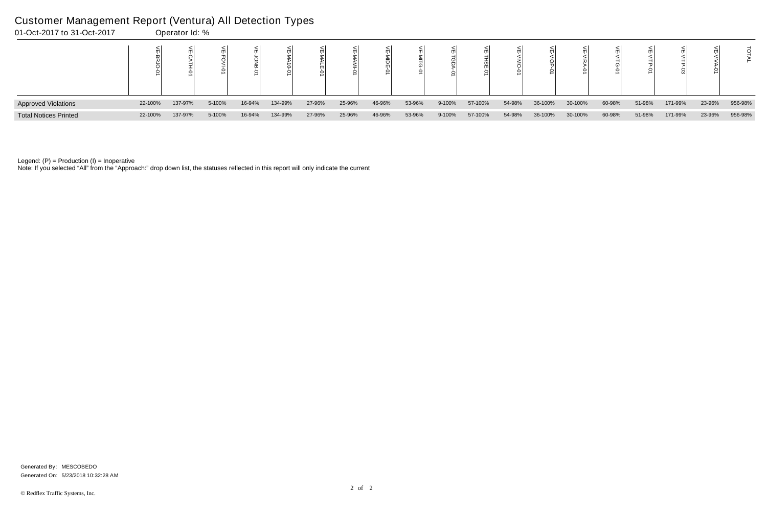I

| 01-Oct-2017 to 31-Oct-2017   |         | Operator Id: % |        |        |         |        |        |        |        |        |         |        |         |         |        |        |         |        |         |
|------------------------------|---------|----------------|--------|--------|---------|--------|--------|--------|--------|--------|---------|--------|---------|---------|--------|--------|---------|--------|---------|
|                              |         |                |        |        |         |        |        |        |        |        |         |        |         |         |        |        |         |        |         |
| <b>Approved Violations</b>   | 22-100% | 137-97%        | 5-100% | 16-94% | 134-99% | 27-96% | 25-96% | 46-96% | 53-96% | 9-100% | 57-100% | 54-98% | 36-100% | 30-100% | 60-98% | 51-98% | 171-99% | 23-96% | 956-98% |
| <b>Total Notices Printed</b> | 22-100% | 137-97%        | 5-100% | 16-94% | 134-99% | 27-96% | 25-96% | 46-96% | 53-96% | 9-100% | 57-100% | 54-98% | 36-100% | 30-100% | 60-98% | 51-98% | 171-99% | 23-96% | 956-98% |

Note: If you selected "All" from the "Approach:" drop down list, the statuses reflected in this report will only indicate the current

#### Customer Management Report (Ventura) All Detection Types

Generated On: 5/23/2018 10:32:28 AM Generated By: MESCOBEDO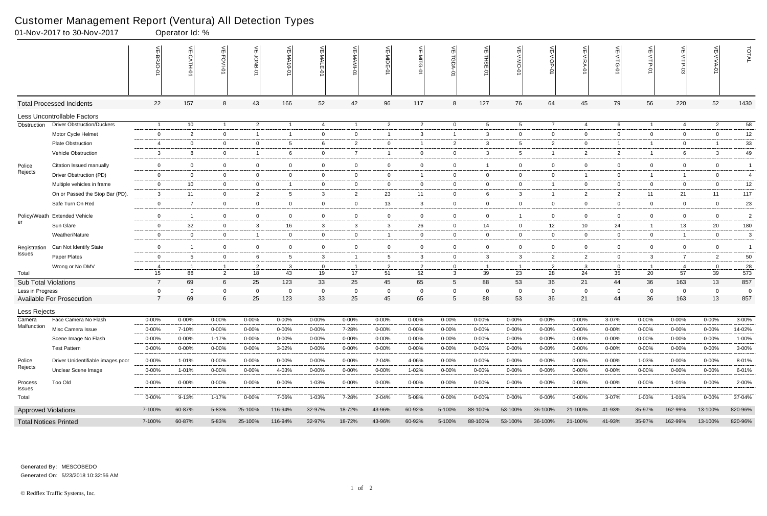|                              | 01-Nov-2017 to 30-Nov-2017        |                     | Operator Id: %        |                |                   |                 |             |                      |                |                |                           |                      |                 |                                           |                |                |                      |                |                |                |
|------------------------------|-----------------------------------|---------------------|-----------------------|----------------|-------------------|-----------------|-------------|----------------------|----------------|----------------|---------------------------|----------------------|-----------------|-------------------------------------------|----------------|----------------|----------------------|----------------|----------------|----------------|
|                              |                                   |                     | $\leq$<br><b>TH-0</b> | 늦<br>FOVI-01   | 늰                 | VE-MA10-01      | VE-MALE-0   | VE-MAMI-0            | VE-MIDE-01     | VE-MITG-01     | $\frac{1}{2}$<br>TGDA-01  | VE-THSE-01           | $\leq$          | $\widetilde{\exists}$<br>$rac{1}{2}$<br>ė | VE-VIRA-01     | 닞<br>$\circ$   | $\widetilde{E}$<br>¢ | VE-VITP-03     | 븻              | TOTAL          |
|                              | <b>Total Processed Incidents</b>  | 22                  | 157                   | 8              | 43                | 166             | 52          | 42                   | 96             | 117            | 8                         | 127                  | 76              | 64                                        | 45             | 79             | 56                   | 220            | 52             | 1430           |
|                              | Less Uncontrollable Factors       |                     |                       |                |                   |                 |             |                      |                |                |                           |                      |                 |                                           |                |                |                      |                |                |                |
| Obstruction                  | <b>Driver Obstruction/Duckers</b> | - 1                 | 10                    | $\overline{1}$ | $\overline{2}$    | - 1             | 4           | $\overline{1}$       | $\overline{2}$ | $\overline{2}$ | $\overline{0}$            | 5                    | $5\overline{)}$ | $\overline{7}$                            | 4              | 6              | $\overline{1}$       | 4              | $\overline{2}$ | 58             |
|                              | Motor Cycle Helmet                | $\overline{0}$      | $\overline{2}$        | $\mathbf 0$    | $\overline{1}$    | - 1             | $\mathbf 0$ | $\mathbf{0}$         | 1              | 3              | $\overline{1}$            | 3                    | $\mathbf 0$     | $\mathbf{0}$                              | $\mathbf{0}$   | 0              | $\overline{0}$       | $\mathbf 0$    | $\mathbf 0$    | 12             |
|                              | <b>Plate Obstruction</b>          | $\overline{4}$      | $\mathbf 0$           | $\overline{0}$ | $\overline{0}$    | 5               | 6           | $\overline{2}$       | $\mathbf 0$    | -1             | $\overline{2}$            | -3                   | 5               | $\overline{2}$                            | $\mathbf{0}$   |                | $\overline{1}$       | $\mathbf{0}$   |                | 33             |
|                              | Vehicle Obstruction               | $\mathbf{3}$        | 8                     | $\mathbf 0$    | -1                | 6               | $\mathbf 0$ | $\overline{7}$       |                | $\overline{0}$ | $\mathbf 0$               | 3                    | 5               | $\overline{1}$                            | $\overline{2}$ | 2              | $\overline{1}$       | 6              | 3              | 49             |
| Police                       | Citation Issued manually          | $\mathbf 0$         | $\overline{0}$        | $\mathbf{0}$   | $\mathbf 0$       | $\mathbf 0$     | $\mathbf 0$ | $\mathbf 0$          | $\overline{0}$ | 0              | $\overline{0}$            | - 1                  | $\overline{0}$  | $\mathbf 0$                               | $\mathbf 0$    | $\mathbf 0$    | $\mathbf 0$          | $\overline{0}$ | $\overline{0}$ | $\mathbf{1}$   |
| Rejects                      | Driver Obstruction (PD)           | $\mathbf{0}$        | $\overline{0}$        | $\overline{0}$ | $\overline{0}$    | $\mathbf{0}$    | $\mathbf 0$ | $\mathbf 0$          | $\overline{0}$ | 1              | $\mathbf{0}$              | $\overline{0}$       | $\mathbf 0$     | $\mathbf{0}$                              | $\overline{1}$ | 0              | $\overline{1}$       | $\overline{1}$ | $\overline{0}$ | $\overline{4}$ |
|                              | Multiple vehicles in frame        | $\overline{0}$      | 10                    | $\overline{0}$ | 0                 |                 | $\mathbf 0$ | $\overline{0}$       | $\mathbf 0$    | $\mathbf 0$    | $\overline{0}$            | 0                    | 0               | $\overline{1}$                            | - 0            | 0              | 0                    | 0              | $\mathbf 0$    | 12             |
|                              | On or Passed the Stop Bar (PD).   | 3                   | 11                    | $\overline{0}$ | $\overline{2}$    | 5               | 3           | $\overline{2}$       | 23             | 11             | $\mathbf{0}$              | 6                    | 3               | $\overline{1}$                            | $\overline{2}$ | $\overline{2}$ | 11                   | 21             | 11             | 117            |
|                              | Safe Turn On Red                  | $\overline{0}$      | $\overline{7}$        | $\overline{0}$ | $\overline{0}$    | $\mathbf 0$     | $\mathbf 0$ | $\mathbf 0$          | 13             | 3              | $\mathbf 0$               | $\mathbf{0}$         | $\mathbf{0}$    | $\overline{0}$                            | $\mathbf{0}$   | $\mathbf{0}$   | $\overline{0}$       | $\mathbf 0$    | $\overline{0}$ | 23             |
| Policy/Weath                 | <b>Extended Vehicle</b>           | $\overline{0}$      | -1                    | $\overline{0}$ | $\overline{0}$    | $\mathbf 0$     | $\mathbf 0$ | $\overline{0}$       | $\mathbf 0$    | $\mathbf{0}$   | $\overline{0}$            | $\overline{0}$       | -1              | $\overline{0}$                            | $\overline{0}$ | 0              | $\overline{0}$       | $\mathbf 0$    | $\overline{0}$ | $\overline{2}$ |
| er                           | Sun Glare                         | $\overline{0}$      | 32                    | $\overline{0}$ | $\mathbf{3}$      | 16              | 3           | $\mathbf{3}$         | 3              | 26             | $\overline{0}$            | 14                   | $\mathbf{0}$    | 12                                        | 10             | 24             | $\overline{1}$       | 13             | 20             | 180            |
|                              | Weather/Nature                    | $\overline{0}$      | 0                     | $\overline{0}$ | $\mathbf{1}$      | $\mathbf{0}$    | $\mathbf 0$ | $\overline{0}$       | -1             | $\mathbf{0}$   | $\overline{0}$            | $\overline{0}$       | $\mathbf 0$     | $\overline{0}$                            | $\mathbf{0}$   | 0              | $\overline{0}$       | $\overline{1}$ | $\overline{0}$ | 3              |
| Registration                 | Can Not Identify State            | $\overline{0}$      | -1                    | $\overline{0}$ | 0                 | $\mathbf{0}$    | $\mathbf 0$ | $\overline{0}$       | 0              | $\mathbf{0}$   | $\mathbf{0}$              | $\overline{0}$       | $\mathbf 0$     | $\overline{0}$                            | $\mathbf 0$    | 0              | $\overline{0}$       | $\mathbf 0$    | $\overline{0}$ | $\overline{1}$ |
| Issues                       | Paper Plates                      | $\overline{0}$      | -5                    | $\overline{0}$ | 6                 | $5\overline{)}$ | 3           | $\overline{1}$       | 5              | 3              | $\mathbf 0$               | 3                    | 3               | $\overline{2}$                            | $\overline{2}$ | $\mathbf 0$    | $\mathbf{3}$         | $\overline{7}$ | $\overline{2}$ | $50\,$         |
|                              | Wrong or No DMV                   | 4                   |                       | -1             | $\overline{2}$    | $\mathbf{3}$    | $\mathbf 0$ | $\overline{1}$       | 2              | 2              | $\mathbf 0$               | - 1                  | -1              | $\overline{2}$                            | -3             | 0              | $\overline{1}$       | -4             | $\mathbf 0$    | 28             |
| Total                        |                                   | 15                  | 88                    | $\overline{2}$ | 18                | 43              | 19          | 17                   | 51             | 52             | $\mathbf{3}$              | 39                   | 23              | 28                                        | 24             | 35             | 20                   | 57             | 39             | 573            |
| <b>Sub Total Violations</b>  |                                   | $\overline{7}$      | 69                    | 6              | 25                | 123             | 33          | 25                   | 45             | 65             | $5\overline{)}$           | 88                   | 53              | 36                                        | 21             | 44             | 36                   | 163            | 13             | 857            |
| Less in Progress             | <b>Available For Prosecution</b>  | 0<br>$\overline{7}$ | 69                    | 0<br>6         | $\mathbf 0$<br>25 | 0<br>123        | 0<br>33     | $\overline{0}$<br>25 | 0<br>45        | 0<br>65        | $\mathbf 0$<br>$\sqrt{5}$ | $\overline{0}$<br>88 | 0<br>53         | 0<br>36                                   | 0<br>21        | 0<br>44        | $\mathbf{0}$<br>36   | 0<br>163       | 0<br>13        | 0<br>857       |
|                              |                                   |                     |                       |                |                   |                 |             |                      |                |                |                           |                      |                 |                                           |                |                |                      |                |                |                |
| Less Rejects<br>Camera       | Face Camera No Flash              | $0 - 00%$           | 0-00%                 | $0 - 00%$      | $0 - 00%$         | 0-00%           | $0 - 00\%$  | $0 - 00%$            | 0-00%          | $0 - 00%$      | $0 - 00%$                 | $0 - 00%$            | 0-00%           | $0 - 00\%$                                | $0 - 00\%$     | 3-07%          | $0 - 00\%$           | $0 - 00%$      | $0 - 00\%$     | $3 - 00%$      |
| Malfunction                  | Misc Camera Issue                 | $0 - 00\%$          | 7-10%                 | $0 - 00%$      | $0 - 00%$         | 0-00%           | $0 - 00\%$  | 7-28%                | 0-00%          | $0 - 00%$      | $0 - 00%$                 | 0-00%                | 0-00%           | $0 - 00%$                                 | $0 - 00%$      | 0-00%          | $0 - 00%$            | $0 - 00%$      | $0 - 00%$      | 14-02%         |
|                              | Scene Image No Flash              | $0 - 00%$           | $0 - 00\%$            | $1 - 17%$      | $0 - 00%$         | $0 - 00\%$      | $0 - 00\%$  | $0 - 00%$            | $0 - 00%$      | $0 - 00\%$     | $0 - 00\%$                | $0 - 00%$            | 0-00%           | $0 - 00\%$                                | $0 - 00%$      | 0-00%          | $0 - 00\%$           | 0-00%          | $0 - 00%$      | 1-00%          |
|                              | <b>Test Pattern</b>               | $0 - 00%$           | $0 - 00\%$            | 0-00%          | 0-00%             | $3 - 02%$       | 0-00%       | 0-00%                | 0-00%          | $0 - 00\%$     | $0 - 00\%$                | $0 - 00%$            | 0-00%           | $0 - 00\%$                                | $0 - 00%$      | 0-00%          | $0 - 00%$            | 0-00%          | $0 - 00%$      | 3-00%          |
| Police                       | Driver Unidentifiable images poor | 0-00%               | 1-01%                 | $0 - 00%$      | $0 - 00%$         | $0 - 00%$       | $0 - 00\%$  | 0-00%                | 2-04%          | 4-06%          | $0 - 00\%$                | 0-00%                | 0-00%           | $0 - 00\%$                                | $0 - 00%$      | 0-00%          | 1-03%                | 0-00%          | $0 - 00%$      | 8-01%          |
| Rejects                      | Unclear Scene Image               | 0-00%               | 1-01%                 | $0 - 00%$      | $0 - 00%$         | 4-03%           | $0 - 00\%$  | $0 - 00%$            | $0 - 00%$      | 1-02%          | $0 - 00\%$                | 0-00%                | 0-00%           | $0 - 00\%$                                | $0 - 00\%$     | 0-00%          | $0 - 00\%$           | 0-00%          | $0 - 00\%$     | 6-01%          |
| Process                      | Too Old                           | $0 - 00\%$          | $0 - 00\%$            | $0 - 00\%$     | $0 - 00%$         | $0 - 00\%$      | 1-03%       | $0 - 00\%$           | $0 - 00\%$     | $0 - 00\%$     | $0 - 00\%$                | $0 - 00\%$           | $0 - 00\%$      | $0 - 00\%$                                | $0 - 00\%$     | $0 - 00%$      | $0 - 00\%$           | 1-01%          | $0 - 00\%$     | 2-00%          |
| <b>Issues</b><br>Total       |                                   | $0 - 00\%$          | $9 - 13%$             | $1 - 17%$      | $0 - 00%$         | 7-06%           | 1-03%       | 7-28%                | 2-04%          | 5-08%          | $0 - 00\%$                | 0-00%                | 0-00%           | $0 - 00\%$                                | $0 - 00\%$     | 3-07%          | 1-03%                | 1-01%          | $0 - 00\%$     | 37-04%         |
| <b>Approved Violations</b>   |                                   | 7-100%              | 60-87%                | 5-83%          | 25-100%           | 116-94%         | 32-97%      | 18-72%               | 43-96%         | 60-92%         | 5-100%                    | 88-100%              | 53-100%         | 36-100%                                   | 21-100%        | 41-93%         | 35-97%               | 162-99%        | 13-100%        | 820-96%        |
| <b>Total Notices Printed</b> |                                   | 7-100%              | 60-87%                | 5-83%          | 25-100%           | 116-94%         | 32-97%      | 18-72%               | 43-96%         | 60-92%         | 5-100%                    | 88-100%              | 53-100%         | 36-100%                                   | 21-100%        | 41-93%         | 35-97%               | 162-99%        | 13-100%        | 820-96%        |

Generated On: 5/23/2018 10:32:56 AM Generated By: MESCOBEDO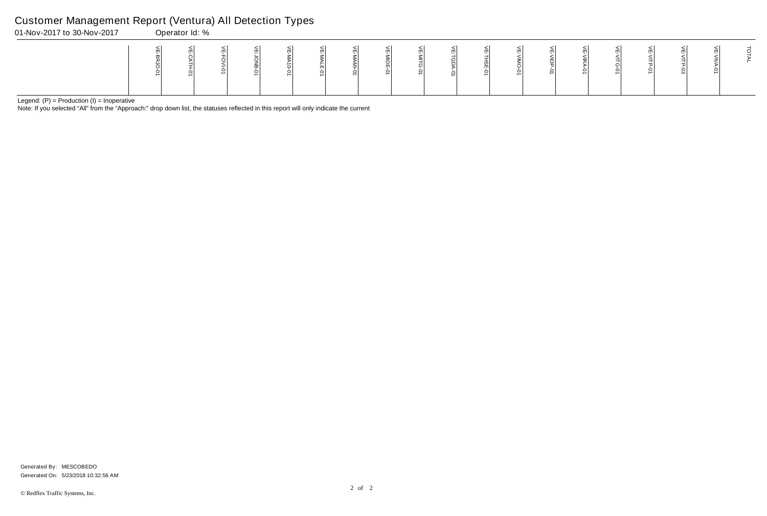Note: If you selected "All" from the "Approach:" drop down list, the statuses reflected in this report will only indicate the current

# Customer Management Report (Ventura) All Detection Types<br>01-Nov-2017 to 30-Nov-2017<br>00erator Id: %

| 01-Nov-2017 to 30-Nov-2017 | $\sim$ | Operator Id: % |  | . |  |  |   |  |   |  |  |  |
|----------------------------|--------|----------------|--|---|--|--|---|--|---|--|--|--|
|                            | ∸      |                |  |   |  |  | د |  | ∸ |  |  |  |

Generated On: 5/23/2018 10:32:56 AM Generated By: MESCOBEDO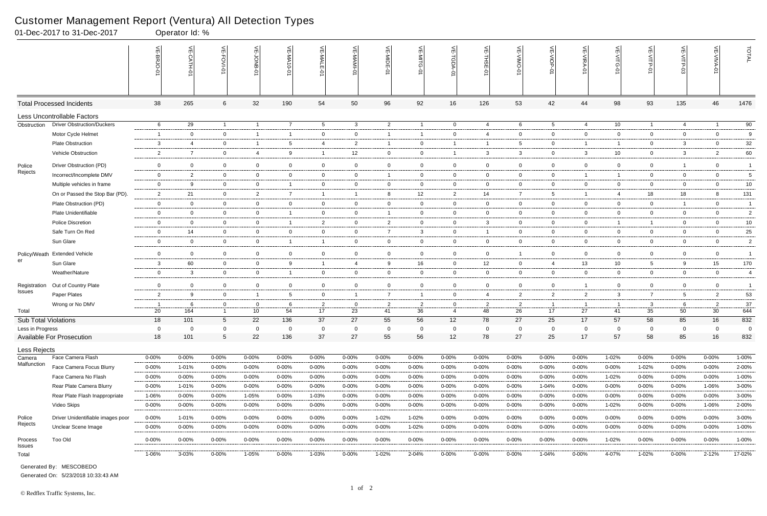|                             | 01-Dec-2017 to 31-Dec-2017         |                          | Operator Id: %  |                 |                |                          |                |                |                |                 |                |                |                |                 |                |                 |                |                |                 |                |
|-----------------------------|------------------------------------|--------------------------|-----------------|-----------------|----------------|--------------------------|----------------|----------------|----------------|-----------------|----------------|----------------|----------------|-----------------|----------------|-----------------|----------------|----------------|-----------------|----------------|
|                             |                                    |                          | $\widetilde{E}$ | 늰<br>FOVI-01    | ے              | VE-MA10-01               | VE-MALE<br>ò   |                | VE-MIDE-01     | VE-MITG-0       | VE-TGDA-0      | VE-THSE-01     | VE-VIMO-01     | VE-VIOP-01      | VE-VIRA-01     | ے<br>VITG-01    | VE-VITP-01     | <b>SD-41IV</b> | 늰               | TOTAL          |
|                             | <b>Total Processed Incidents</b>   | 38                       | 265             | 6               | 32             | 190                      | 54             | 50             | 96             | 92              | 16             | 126            | 53             | 42              | 44             | 98              | 93             | 135            | 46              | 1476           |
|                             | <b>Less Uncontrollable Factors</b> |                          |                 |                 |                |                          |                |                |                |                 |                |                |                |                 |                |                 |                |                |                 |                |
| Obstruction                 | <b>Driver Obstruction/Duckers</b>  | 6                        | 29              | $\overline{1}$  | $\overline{1}$ | $\overline{7}$           | $5^{\circ}$    | $\mathbf{3}$   | $\overline{2}$ | $\overline{1}$  | $\overline{0}$ | $\overline{4}$ | 6              | $5\overline{)}$ | $\overline{4}$ | 10              | $\overline{1}$ | $\overline{4}$ | $\overline{1}$  | 90             |
|                             | Motor Cycle Helmet                 | $\overline{1}$           | $\Omega$        | $\overline{0}$  | $\overline{1}$ | -1                       | $\mathbf{0}$   | $\mathbf 0$    | -1             | $\mathbf{1}$    | $\mathbf 0$    | $\overline{4}$ | $\mathbf{0}$   | $\overline{0}$  | $\mathbf 0$    | $\mathbf 0$     | $\mathbf 0$    | $\mathbf 0$    | $\mathbf 0$     | 9              |
|                             | <b>Plate Obstruction</b>           | 3                        | -4              | $\overline{0}$  | $\overline{1}$ | 5                        | 4              | $\overline{2}$ | - 1            | $\overline{0}$  | $\overline{1}$ | -1             | $5^{\circ}$    | $\overline{0}$  | -1             | -1              | $\overline{0}$ | $\mathbf{3}$   | $\overline{0}$  | 32             |
|                             | Vehicle Obstruction                | $\overline{2}$           | $\overline{7}$  | $\mathbf 0$     | 4              | 9                        |                | 12             | $\mathbf 0$    | $\overline{0}$  | $\overline{1}$ | 3              | 3              | $\overline{0}$  | $\mathbf{3}$   | 10              | $\overline{0}$ | 3              | $\overline{2}$  | 60             |
| Police                      | Driver Obstruction (PD)            | $\overline{0}$           | $\mathbf 0$     | $\overline{0}$  | $\overline{0}$ | $\mathbf 0$              | $\mathbf 0$    | $\mathbf 0$    | $\mathbf 0$    | $\overline{0}$  | $\overline{0}$ | $\overline{0}$ | $\mathbf 0$    | $\overline{0}$  | $\mathbf 0$    | $\mathbf 0$     | $\mathbf 0$    | $\overline{1}$ | $\overline{0}$  | $\overline{1}$ |
| Rejects                     | Incorrect/Incomplete DMV           | $\overline{0}$           | 2               | $\overline{0}$  | $\overline{0}$ | $\mathbf{0}$             | $\mathbf{0}$   | $\overline{0}$ | -1             | $\mathbf{0}$    | $\overline{0}$ | $\overline{0}$ | $\mathbf{0}$   | $\overline{0}$  | $\overline{1}$ | -1              | $\overline{0}$ | $\mathbf{0}$   | $\overline{0}$  | 5              |
|                             | Multiple vehicles in frame         | $\overline{0}$           | -9              | $\overline{0}$  | $\mathbf 0$    | $\overline{\phantom{a}}$ | $\mathbf{0}$   | $\mathbf 0$    | $\mathbf 0$    | $\overline{0}$  | $\mathbf 0$    | $\overline{0}$ | $\mathbf{0}$   | $\mathbf{0}$    | $\mathbf 0$    | $\mathbf 0$     | $\overline{0}$ | $\mathbf 0$    | $\mathbf 0$     | $10\,$         |
|                             | On or Passed the Stop Bar (PD).    | $\overline{2}$           | 21              | $\overline{0}$  | $\overline{2}$ | $\overline{7}$           | $\mathbf{1}$   | $\overline{1}$ | -8             | 12 <sup>2</sup> | $\overline{2}$ | 14             | $\overline{7}$ | $5\overline{)}$ | $\overline{1}$ | 4               | 18             | 18             | 8               | 131            |
|                             | Plate Obstruction (PD)             | $\overline{0}$           | $\overline{0}$  | $\overline{0}$  | $\mathbf 0$    | $\mathbf 0$              | $\overline{0}$ | $\mathbf 0$    | $\overline{0}$ | $\overline{0}$  | $\mathbf 0$    | $\overline{0}$ | $\overline{0}$ | $\overline{0}$  | $\overline{0}$ | $\overline{0}$  | $\overline{0}$ | $\overline{1}$ | $\overline{0}$  | $\overline{1}$ |
|                             | Plate Unidentifiable               | $\mathbf 0$              | $\overline{0}$  | $\mathbf 0$     | $\mathbf 0$    | - 1                      | $\mathbf 0$    | $\mathbf 0$    |                | $\overline{0}$  | $\mathbf 0$    | $\overline{0}$ | $\mathbf{0}$   | $\overline{0}$  | $\mathbf 0$    | $\mathbf 0$     | $\mathbf 0$    | $\mathbf 0$    | $\mathbf 0$     | $\sqrt{2}$     |
|                             | <b>Police Discretion</b>           | $\overline{0}$           | $\overline{0}$  | $\overline{0}$  | $\overline{0}$ | - 1                      | $\overline{2}$ | $\overline{0}$ | $\overline{2}$ | $\overline{0}$  | $\overline{0}$ | $\mathbf{3}$   | $\overline{0}$ | $\overline{0}$  | $\overline{0}$ | $\overline{1}$  | $\overline{1}$ | $\mathbf 0$    | $\overline{0}$  | 10             |
|                             | Safe Turn On Red                   | $\overline{0}$           | 14              | $\overline{0}$  | $\overline{0}$ | $\mathbf 0$              | $\mathbf{0}$   | $\overline{0}$ | $\overline{7}$ | 3               | $\overline{0}$ | $\overline{1}$ | $\mathbf{0}$   | $\overline{0}$  | $\mathbf 0$    | $\overline{0}$  | $\overline{0}$ | $\mathbf 0$    | $\overline{0}$  | 25             |
|                             | Sun Glare                          | $\mathbf 0$              | $\overline{0}$  | $\overline{0}$  | $\overline{0}$ | -1                       | $\overline{1}$ | $\mathbf 0$    | $\overline{0}$ | $\overline{0}$  | $\overline{0}$ | $\overline{0}$ | $\mathbf{0}$   | $\overline{0}$  | $\mathbf 0$    | $\mathbf 0$     | $\mathbf 0$    | $\overline{0}$ | $\overline{0}$  | $\overline{c}$ |
| Policy/Weath                | <b>Extended Vehicle</b>            | $\mathbf 0$              | $\overline{0}$  | $\overline{0}$  | $\mathbf 0$    | $\mathbf 0$              | $\overline{0}$ | $\overline{0}$ | $\mathbf 0$    | $\overline{0}$  | $\mathbf 0$    | $\overline{0}$ | -1             | $\overline{0}$  | $\mathbf 0$    | $\overline{0}$  | $\overline{0}$ | $\mathbf 0$    | $\overline{0}$  | $\overline{1}$ |
| er                          | Sun Glare                          | 3                        | 60              | $\overline{0}$  | $\mathbf 0$    | 9                        | $\mathbf{1}$   | $\overline{4}$ | 9              | 16              | $\overline{0}$ | 12             | $\mathbf{0}$   | 4               | 13             | 10 <sup>°</sup> | $5^{\circ}$    | 9              | 15              | 170            |
|                             | Weather/Nature                     | $\overline{0}$           | 3               | $\overline{0}$  | $\mathbf 0$    | -1                       | $\mathbf{0}$   | $\mathbf 0$    | $\overline{0}$ | $\overline{0}$  | $\overline{0}$ | $\overline{0}$ | $\overline{0}$ | $\overline{0}$  | $\mathbf 0$    | $\overline{0}$  | $\overline{0}$ | $\mathbf 0$    | $\overline{0}$  | 4              |
| Registration                | Out of Country Plate               | $\mathbf 0$              | $\Omega$        | $\overline{0}$  | 0              | $\mathbf 0$              | $\mathbf{0}$   | $\mathbf 0$    | $\mathbf 0$    | $\overline{0}$  | $\mathbf{0}$   | $\overline{0}$ | $\mathbf{0}$   | $\overline{0}$  |                | $\overline{0}$  | $\overline{0}$ | $\mathbf 0$    | $\overline{0}$  | $\overline{1}$ |
| Issues                      | Paper Plates                       | $\overline{2}$           | 9               | $\overline{0}$  | $\overline{1}$ | 5                        | $\mathbf 0$    | $\overline{1}$ | $\overline{7}$ | $\mathbf{1}$    | $\overline{0}$ | $\overline{4}$ | $\overline{2}$ | $\overline{2}$  | $\overline{2}$ | 3               | $\overline{7}$ | 5              | 2               | 53             |
|                             | Wrong or No DMV                    | $\overline{\phantom{0}}$ | -6              | $\overline{0}$  | $\overline{0}$ | 6                        | $\overline{2}$ | $\overline{0}$ | $\overline{2}$ | $\overline{2}$  | $\overline{0}$ | $\overline{2}$ | $\overline{2}$ | $\overline{1}$  | $\overline{1}$ | -1              | 3              | -6             | $\overline{2}$  | 37             |
| Total                       |                                    | 20                       | 164             | $\overline{1}$  | 10             | 54                       | 17             | 23             | 41             | 36              | $\overline{4}$ | 48             | 26             | 17              | 27             | 41              | 35             | 50             | 30 <sup>2</sup> | 644            |
| <b>Sub Total Violations</b> |                                    | 18                       | 101             | 5               | 22             | 136                      | 37             | 27             | 55             | 56              | 12             | 78             | 27             | 25              | 17             | 57              | 58             | 85             | 16              | 832            |
| Less in Progress            |                                    | 0                        | $\Omega$        | $\mathbf 0$     | $\overline{0}$ | $\Omega$                 | $\Omega$       | $\mathbf 0$    | 0              | $\mathbf 0$     | $\mathbf 0$    | $\mathbf 0$    | $\mathbf 0$    | $\mathbf 0$     | $\Omega$       | $\mathbf 0$     | $\mathbf 0$    | $\mathbf 0$    | 0               | 0              |
|                             | <b>Available For Prosecution</b>   | 18                       | 101             | $5\phantom{.0}$ | 22             | 136                      | 37             | 27             | 55             | 56              | 12             | 78             | 27             | 25              | 17             | 57              | 58             | 85             | 16              | 832            |
| Less Rejects                |                                    |                          |                 |                 |                |                          |                |                |                |                 |                |                |                |                 |                |                 |                |                |                 |                |
| Camera<br>Malfunction       | Face Camera Flash                  | $0 - 00\%$               | $0 - 00%$       | $0 - 00%$       | $0 - 00\%$     | 0-00%                    | $0 - 00\%$     | $0 - 00%$      | 0-00%          | $0 - 00%$       | $0 - 00\%$     | $0 - 00%$      | $0 - 00%$      | $0 - 00\%$      | $0 - 00\%$     | 1-02%           | $0 - 00%$      | $0 - 00%$      | $0 - 00\%$      | 1-00%          |
|                             | Face Camera Focus Blurry           | $0 - 00\%$               | 1-01%           | $0 - 00\%$      | $0 - 00%$      | $0 - 00%$                | 0-00%          | 0-00%          | $0 - 00%$      | $0 - 00%$       | 0-00%          | $0 - 00%$      | $0 - 00%$      | $0 - 00\%$      | $0 - 00\%$     | $0 - 00%$       | 1-02%          | 0-00%          | $0 - 00\%$      | 2-00%          |
|                             | Face Camera No Flash               | $0 - 00%$                | $0 - 00%$       | $0 - 00\%$      | $0 - 00%$      | $0 - 00\%$               | $0 - 00\%$     | $0 - 00%$      | $0 - 00%$      | 0-00%           | $0 - 00\%$     | $0 - 00%$      | $0 - 00%$      | $0 - 00\%$      | $0 - 00\%$     | 1-02%           | 0-00%          | $0 - 00\%$     | $0 - 00\%$      | 1-00%          |
|                             | Rear Plate Camera Blurry           | $0 - 00%$                | 1-01%           | $0 - 00\%$      | $0 - 00%$      | $0 - 00%$                | $0 - 00\%$     | $0 - 00\%$     | $0 - 00%$      | $0 - 00\%$      | 0-00%          | $0 - 00%$      | $0 - 00%$      | 1-04%           | $0 - 00%$      | 0-00%           | $0 - 00%$      | $0 - 00\%$     | 1-06%           | 3-00%          |
|                             | Rear Plate Flash Inappropriate     | 1-06%                    | $0 - 00%$       | $0 - 00%$       | 1-05%          | $0 - 00%$                | 1-03%          | $0 - 00\%$     | $0 - 00%$      | $0 - 00\%$      | 0-00%          | $0 - 00%$      | $0 - 00%$      | $0 - 00\%$      | $0 - 00\%$     | $0 - 00%$       | 0-00%          | $0 - 00%$      | $0 - 00\%$      | 3-00%          |
|                             | Video Skips                        | $0 - 00%$                | $0 - 00%$       | 0-00%           | $0 - 00%$      | $0 - 00%$                | 0-00%          | 0-00%          | $0 - 00%$      | 0-00%           | 0-00%          | $0 - 00%$      | $0 - 00%$      | 0-00%           | $0 - 00%$      | 1-02%           | 0-00%          | 0-00%          | 1-06%           | 2-00%          |
| Police                      | Driver Unidentifiable images poor  | $0 - 00%$                | 1-01%           | $0 - 00%$       | $0 - 00%$      | 0-00%                    | $0 - 00\%$     | $0 - 00%$      | 1-02%          | 1-02%           | 0-00%          | $0 - 00%$      | $0 - 00%$      | $0 - 00\%$      | $0 - 00\%$     | 0-00%           | 0-00%          | $0 - 00%$      | $0 - 00\%$      | 3-00%          |
| Rejects                     | Unclear Scene Image                | $0 - 00\%$               | $0 - 00\%$      | $0 - 00\%$      | $0 - 00%$      | $0 - 00\%$               | $0 - 00\%$     | $0 - 00\%$     | $0 - 00%$      | 1-02%           | 0-00%          | $0 - 00%$      | $0 - 00%$      | $0 - 00\%$      | $0 - 00\%$     | $0 - 00%$       | $0 - 00%$      | $0 - 00\%$     | $0 - 00\%$      | 1-00%          |
| Process<br>Issues           | Too Old                            | $0 - 00\%$               | $0 - 00\%$      | $0 - 00\%$      | $0 - 00%$      | $0 - 00\%$               | $0 - 00\%$     | 0-00%          | $0 - 00%$      | $0 - 00\%$      | 0-00%          | $0 - 00%$      | $0 - 00%$      | $0 - 00\%$      | $0 - 00\%$     | 1-02%           | $0 - 00%$      | $0 - 00\%$     | $0 - 00\%$      | 1-00%          |
| Total                       |                                    | 1-06%                    | 3-03%           | $0 - 00\%$      | 1-05%          | $0 - 00\%$               | 1-03%          | $0 - 00\%$     | 1-02%          | 2-04%           | $0 - 00\%$     | $0 - 00%$      | $0 - 00\%$     | 1-04%           | $0 - 00\%$     | 4-07%           | 1-02%          | $0 - 00\%$     | $2 - 12%$       | 17-02%         |

Generated On: 5/23/2018 10:33:43 AM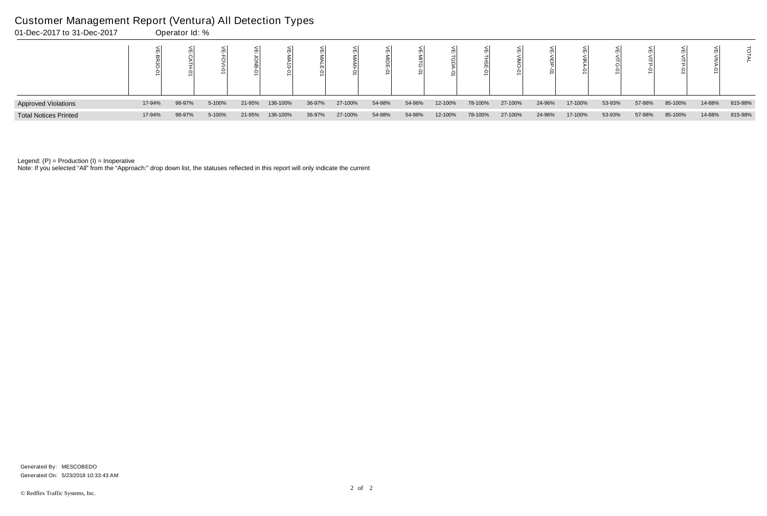I

| 01-Dec-2017 to 31-Dec-2017   |        | Operator Id: % |        |        |          |        |         |        |        |         |         |         |        |         |        |        |         |        |         |
|------------------------------|--------|----------------|--------|--------|----------|--------|---------|--------|--------|---------|---------|---------|--------|---------|--------|--------|---------|--------|---------|
|                              |        |                |        |        |          |        |         |        |        |         |         |         |        |         |        |        |         |        |         |
| <b>Approved Violations</b>   | 17-94% | 98-97%         | 5-100% | 21-95% | 136-100% | 36-97% | 27-100% | 54-98% | 54-96% | 12-100% | 78-100% | 27-100% | 24-96% | 17-100% | 53-93% | 57-98% | 85-100% | 14-88% | 815-98% |
| <b>Total Notices Printed</b> | 17-94% | 98-97%         | 5-100% | 21-95% | 136-100% | 36-97% | 27-100% | 54-98% | 54-96% | 12-100% | 78-100% | 27-100% | 24-96% | 17-100% | 53-93% | 57-98% | 85-100% | 14-88% | 815-98% |

Note: If you selected "All" from the "Approach:" drop down list, the statuses reflected in this report will only indicate the current

#### Customer Management Report (Ventura) All Detection Types

Generated On: 5/23/2018 10:33:43 AM Generated By: MESCOBEDO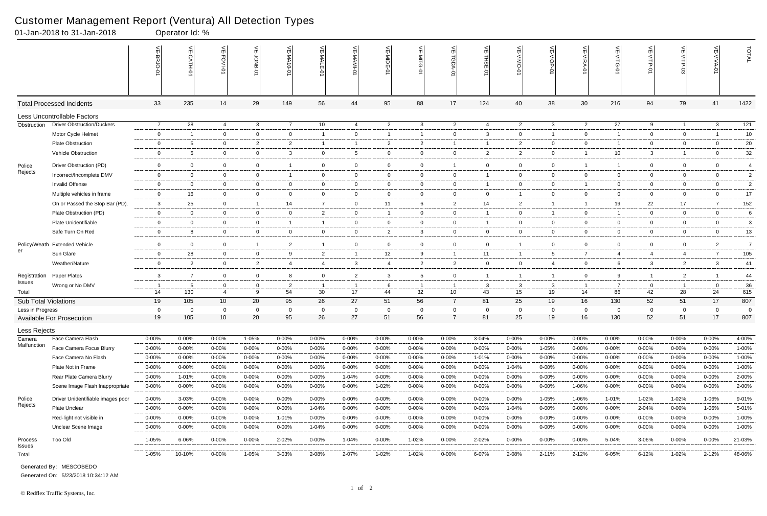|                       | 01-Jan-2018 to 31-Jan-2018                    |                          | Operator Id: %         |                             |                         |                          |                     |                        |                        |                          |                               |                     |                        |                     |                          |                                                        |                     |                         |                          |                       |
|-----------------------|-----------------------------------------------|--------------------------|------------------------|-----------------------------|-------------------------|--------------------------|---------------------|------------------------|------------------------|--------------------------|-------------------------------|---------------------|------------------------|---------------------|--------------------------|--------------------------------------------------------|---------------------|-------------------------|--------------------------|-----------------------|
|                       |                                               |                          | $\frac{1}{2}$          | 늳                           | 늦                       | VE-MA10-01               | VE-MALE             |                        | VE-MIDE-01             | VE-MITG-0                | VE-TGDA-0                     | VE-THSE-01          | VE-VIMO-01             | VE-VIOP-01          | VE-VIRA-01               | $\stackrel{\textstyle<}{\scriptstyle\rm m}$<br>VITG-01 | VE-VITP-01          |                         | 늰                        | TOTAL                 |
|                       | <b>Total Processed Incidents</b>              | 33                       | 235                    | 14                          | 29                      | 149                      | 56                  | 44                     | 95                     | 88                       | 17                            | 124                 | 40                     | 38                  | 30                       | 216                                                    | 94                  | 79                      | 41                       | 1422                  |
|                       | Less Uncontrollable Factors                   |                          |                        |                             |                         |                          |                     |                        |                        |                          |                               |                     |                        |                     |                          |                                                        |                     |                         |                          |                       |
| Obstruction           | <b>Driver Obstruction/Duckers</b>             | $\overline{7}$           | 28                     | $\overline{4}$              | $\mathbf{3}$            | $\overline{7}$           | 10                  | 4                      | $\overline{c}$         | $\mathbf{3}$             | $\overline{2}$                | $\overline{4}$      | $\overline{2}$         | $\mathbf{3}$        | $\overline{2}$           | 27                                                     | 9                   | $\overline{1}$          | $\mathbf{3}$             | $\overline{121}$      |
|                       | Motor Cycle Helmet                            | $\mathbf 0$              | -1                     | $\overline{0}$              | $\overline{0}$          | $\mathbf 0$              | $\overline{1}$      | $\mathbf 0$            |                        | $\mathbf{1}$             | $\mathbf 0$                   | 3                   | $\mathbf{0}$           | $\mathbf{1}$        | $\mathbf 0$              | -1                                                     | $\overline{0}$      | $\mathbf 0$             |                          | $10$                  |
|                       | <b>Plate Obstruction</b>                      | $\overline{0}$           | -5                     | $\mathbf 0$                 | $\overline{2}$          | $\overline{2}$           | $\overline{1}$      | $\overline{1}$         | $\overline{2}$         | $\overline{2}$           | $\overline{1}$                | -1                  | $\overline{2}$         | $\overline{0}$      | $\overline{0}$           | -1                                                     | $\overline{0}$      | $\mathbf 0$             | $\overline{0}$           | 20                    |
|                       | Vehicle Obstruction                           | $\overline{0}$           | -5                     | $\overline{0}$              | $\mathbf 0$             | $\mathbf{3}$             | $\mathbf{0}$        | $5\overline{)}$        | $\mathbf 0$            | $\overline{0}$           | $\mathbf 0$                   | $\overline{2}$      | $\overline{2}$         | $\overline{0}$      |                          | 10                                                     | $\mathbf{3}$        | $\overline{1}$          | $\mathbf 0$              | 32                    |
| Police                | Driver Obstruction (PD)                       | $\overline{0}$           | $\mathbf 0$            | $\mathbf 0$                 | $\mathbf 0$             |                          | $\mathbf 0$         | $\overline{0}$         | $\mathbf 0$            | $\mathbf 0$              | $\overline{1}$                | $\overline{0}$      | $\mathbf 0$            | $\overline{0}$      | $\overline{1}$           | $\mathbf 1$                                            | $\mathbf 0$         | $\mathbf 0$             | $\mathbf 0$              | $\overline{4}$        |
| Rejects               | Incorrect/Incomplete DMV                      | $\overline{0}$           | $\mathbf{0}$           | $\overline{0}$              | $\overline{0}$          | - 1                      | $\mathbf{0}$        | $\overline{0}$         | $\overline{0}$         | $\mathbf{0}$             | $\overline{0}$                | -1                  | $\mathbf{0}$           | $\overline{0}$      | $\overline{0}$           | $\mathbf 0$                                            | $\overline{0}$      | $\overline{0}$          | $\overline{0}$           | $\overline{2}$        |
|                       | <b>Invalid Offense</b>                        | $\mathbf 0$              | $\Omega$               | $\overline{0}$              | $\mathbf 0$             | 0                        | $\mathbf{0}$        | $\mathbf 0$            | $\mathbf 0$            | $\mathbf 0$              | $\mathbf 0$                   |                     | $\mathbf{0}$           | 0                   |                          | $\mathbf 0$                                            | $\overline{0}$      | $\mathbf 0$             | $\mathbf 0$              | $\sqrt{2}$            |
|                       | Multiple vehicles in frame                    | $\overline{0}$           | 16                     | $\overline{0}$              | $\overline{0}$          | $\mathbf 0$              | $\overline{0}$      | $\overline{0}$         | $\overline{0}$         | $\overline{0}$           | $\mathbf{0}$                  | $\overline{0}$      | 1                      | $\overline{0}$      | $\overline{0}$           | $\overline{0}$                                         | $\overline{0}$      | $\mathbf{0}$            | $\overline{0}$           | $17\,$                |
|                       | On or Passed the Stop Bar (PD).               | $\mathbf{3}$             | 25                     | $\overline{0}$              | $\overline{1}$          | 14                       | $\overline{7}$      | $\mathbf 0$            | 11                     | 6                        | $\overline{2}$                | 14                  | $\overline{2}$         | $\overline{1}$      | $\overline{1}$           | 19                                                     | 22                  | 17                      | $\overline{7}$           | 152                   |
|                       | Plate Obstruction (PD)                        | $\mathbf 0$              | $\mathbf 0$            | $\overline{0}$              | $\mathbf 0$             | 0                        | $\overline{2}$      | $\overline{0}$         |                        | $\overline{0}$           | $\mathbf 0$                   | $\overline{1}$      | $\mathbf{0}$           | $\mathbf{1}$        | $\mathbf 0$              |                                                        | $\mathbf 0$         | $\mathbf 0$             | $\mathbf 0$              | 6                     |
|                       | Plate Unidentifiable                          | $\overline{0}$           | $\overline{0}$         | $\overline{0}$              | $\overline{0}$          | -1                       | $\mathbf{1}$        | $\overline{0}$         | $\mathbf 0$            | $\overline{0}$           | 0                             | $\overline{1}$      | $\mathbf{0}$           | $\overline{0}$      | $\overline{0}$           | $\overline{0}$                                         | $\overline{0}$      | $\mathbf 0$             | $\overline{0}$           | 3                     |
|                       | Safe Turn On Red                              | $\overline{0}$           | 8                      | $\overline{0}$              | $\overline{0}$          | $\overline{0}$           | $\mathbf{0}$        | $\overline{0}$         | $\overline{2}$         | $\mathbf{3}$             | $\mathbf 0$                   | $\overline{0}$      | $\mathbf{0}$           | $\overline{0}$      | $\mathbf 0$              | $\overline{0}$                                         | $\mathbf 0$         | $\mathbf 0$             | $\overline{0}$           | 13                    |
| Policy/Weath          | <b>Extended Vehicle</b>                       | $\mathbf 0$              | $\Omega$               | $\overline{0}$              | - 1                     | 2                        |                     | $\mathsf{O}\xspace$    | $\mathbf 0$            | $\mathbf 0$              | $\overline{0}$                | $\overline{0}$      |                        | $\mathbf 0$         | $\mathbf 0$              | 0                                                      | $\mathbf 0$         | $\mathbf 0$             | $\overline{2}$           | $\overline{7}$        |
| er                    | Sun Glare                                     | $\mathbf 0$              | 28                     | $\overline{0}$              | $\mathbf 0$             | 9                        | $\overline{2}$      | $\overline{1}$         | 12                     | 9                        | $\overline{1}$                | 11                  | -1                     | 5                   | $\overline{7}$           | 4                                                      | 4                   | 4                       | $\overline{7}$           | 105                   |
|                       | Weather/Nature                                | $\mathbf 0$              | $\overline{2}$         | $\overline{0}$              | $\overline{2}$          | 4                        | 4                   | $\mathbf{3}$           | $\overline{4}$         | $\overline{2}$           | $\overline{2}$                | $\overline{0}$      | $\mathbf{0}$           | 4                   | $\overline{0}$           | 6                                                      | $\mathbf{3}$        | $\overline{2}$          | $\mathbf{3}$             | 41                    |
| Registration          | Paper Plates                                  | $\mathbf{3}$             | $\overline{7}$         | $\overline{0}$              | $\mathbf 0$             | 8                        | $\mathbf 0$         | $\overline{2}$         | -3                     | 5                        | $\mathbf 0$                   |                     |                        | $\overline{1}$      | $\overline{0}$           | 9                                                      | $\overline{1}$      | $\overline{2}$          |                          | 44                    |
| Issues                | Wrong or No DMV                               | - 1                      | -5                     | $\mathbf 0$                 | 0                       | 2                        |                     | $\overline{1}$         | -6                     |                          | -1                            | $\mathbf{3}$        | 3                      | 3                   |                          |                                                        | 0                   | - 1                     | $\Omega$                 | 36                    |
| Total                 |                                               | 14                       | 130                    | $\overline{4}$              | 9                       | 54                       | 30                  | 17                     | 44                     | 32                       | 10                            | 43                  | 15                     | 19                  | 14                       | 86                                                     | 42                  | 28                      | 24                       | 615                   |
| Sub Total Violations  |                                               | 19                       | 105                    | 10                          | 20                      | 95                       | 26                  | 27                     | 51                     | 56                       | $\overline{7}$                | 81                  | 25                     | 19                  | 16                       | 130                                                    | 52                  | 51                      | 17                       | 807                   |
| Less in Progress      | <b>Available For Prosecution</b>              | 0<br>19                  | 0<br>105               | $\Omega$<br>10 <sup>°</sup> | $\mathbf 0$<br>20       | 0<br>95                  | 26                  | $\mathbf 0$<br>27      | 0<br>51                | $\mathbf 0$<br>56        | $\mathbf 0$<br>$\overline{7}$ | 0<br>81             | $\Omega$<br>25         | $\mathbf 0$<br>19   | 0<br>16                  | $\mathbf 0$<br>130                                     | $\mathbf 0$<br>52   | $\mathbf 0$<br>51       | $\Omega$<br>17           | $\overline{0}$<br>807 |
|                       |                                               |                          |                        |                             |                         |                          |                     |                        |                        |                          |                               |                     |                        |                     |                          |                                                        |                     |                         |                          |                       |
| Less Rejects          |                                               |                          |                        |                             |                         |                          |                     |                        |                        |                          |                               |                     |                        |                     |                          |                                                        |                     |                         |                          |                       |
| Camera<br>Malfunction | Face Camera Flash<br>Face Camera Focus Blurry | $0 - 00\%$               | $0 - 00%$              | $0 - 00\%$                  | 1-05%                   | $0 - 00%$                | $0 - 00\%$          | 0-00%                  | $0 - 00%$              | $0 - 00\%$               | 0-00%                         | 3-04%               | $0 - 00%$              | $0 - 00\%$          | $0 - 00\%$               | 0-00%                                                  | $0 - 00%$           | 0-00%                   | $0 - 00\%$               | 4-00%                 |
|                       | Face Camera No Flash                          | $0 - 00\%$<br>$0 - 00\%$ | $0 - 00%$<br>$0 - 00%$ | $0 - 00%$<br>0-00%          | $0 - 00%$<br>$0 - 00\%$ | $0 - 00\%$<br>$0 - 00\%$ | 0-00%<br>$0 - 00\%$ | $0 - 00%$<br>$0 - 00%$ | $0 - 00%$<br>$0 - 00%$ | $0 - 00\%$<br>$0 - 00\%$ | 0-00%<br>$0 - 00\%$           | $0 - 00\%$<br>1-01% | $0 - 00%$<br>$0 - 00%$ | 1-05%<br>$0 - 00\%$ | $0 - 00\%$<br>$0 - 00\%$ | $0 - 00%$<br>$0 - 00%$                                 | 0-00%<br>$0 - 00\%$ | $0 - 00\%$<br>$0 - 00%$ | $0 - 00\%$<br>$0 - 00\%$ | 1-00%<br>1-00%        |
|                       | Plate Not in Frame                            | $0 - 00\%$               | $0 - 00\%$             | $0 - 00\%$                  | $0 - 00\%$              | $0 - 00\%$               | 0-00%               | 0-00%                  | $0 - 00%$              | $0 - 00\%$               | 0-00%                         | $0 - 00%$           | 1-04%                  | 0-00%               | $0 - 00\%$               | $0 - 00%$                                              | $0 - 00%$           | $0 - 00\%$              | $0 - 00\%$               | 1-00%                 |
|                       | Rear Plate Camera Blurry                      | $0 - 00\%$               | 1-01%                  | 0-00%                       | $0 - 00%$               | $0 - 00\%$               | $0 - 00\%$          | 1-04%                  | $0 - 00%$              | 0-00%                    | $0 - 00\%$                    | $0 - 00%$           | $0 - 00\%$             | $0 - 00\%$          | $0 - 00\%$               | $0 - 00\%$                                             | $0 - 00\%$          | $0 - 00\%$              | $0 - 00\%$               | 2-00%                 |
|                       | Scene Image Flash Inappropriate               | $0 - 00\%$               | $0 - 00\%$             | $0 - 00\%$                  | $0 - 00\%$              | $0 - 00\%$               | $0 - 00\%$          | $0 - 00\%$             | 1-02%                  | $0 - 00\%$               | $0 - 00\%$                    | $0 - 00%$           | $0 - 00%$              | $0 - 00\%$          | 1-06%                    | $0 - 00%$                                              | $0 - 00\%$          | $0 - 00\%$              | $0 - 00\%$               | 2-00%                 |
|                       |                                               |                          |                        |                             |                         |                          |                     |                        |                        |                          |                               |                     |                        |                     |                          |                                                        |                     |                         |                          |                       |
| Police<br>Rejects     | Driver Unidentifiable images poor             | $0 - 00\%$               | 3-03%                  | $0 - 00\%$                  | $0 - 00%$               | $0 - 00\%$               | $0 - 00\%$          | 0-00%                  | $0 - 00%$              | $0 - 00\%$               | 0-00%                         | $0 - 00%$           | $0 - 00\%$             | 1-05%               | 1-06%                    | 1-01%                                                  | 1-02%               | 1-02%                   | 1-06%                    | 9-01%                 |
|                       | Plate Unclear                                 | $0 - 00\%$               | $0 - 00\%$             | $0 - 00\%$                  | $0 - 00%$               | $0 - 00\%$               | 1-04%               | $0 - 00%$              | $0 - 00%$              | $0 - 00\%$               | 0-00%                         | $0 - 00%$           | 1-04%                  | $0 - 00\%$          | $0 - 00\%$               | $0 - 00%$                                              | 2-04%               | 0-00%                   | 1-06%                    | 5-01%                 |
|                       | Red-light not visible in                      | $0 - 00\%$               | $0 - 00%$              | $0 - 00\%$                  | $0 - 00%$               | 1-01%                    | $0 - 00\%$          | 0-00%                  | $0 - 00%$              | $0 - 00\%$               | 0-00%                         | $0 - 00%$           | $0 - 00%$              | $0 - 00\%$          | $0 - 00\%$               | $0 - 00%$                                              | $0 - 00%$           | $0 - 00\%$              | $0 - 00\%$               | 1-00%                 |
|                       | Unclear Scene Image                           | $0 - 00\%$               | $0 - 00\%$             | $0 - 00%$                   | $0 - 00%$               | $0 - 00\%$               | 1-04%               | $0 - 00%$              | $0 - 00%$              | $0 - 00\%$               | 0-00%                         | $0 - 00%$           | $0 - 00\%$             | $0 - 00\%$          | $0 - 00\%$               | $0 - 00%$                                              | $0 - 00%$           | $0 - 00\%$              | $0 - 00\%$               | 1-00%                 |
| Process<br>Issues     | Too Old                                       | 1-05%                    | 6-06%                  | $0 - 00\%$                  | $0 - 00%$               | 2-02%                    | $0 - 00\%$          | 1-04%                  | $0 - 00%$              | 1-02%                    | $0 - 00\%$                    | 2-02%               | $0 - 00\%$             | $0 - 00\%$          | $0 - 00\%$               | 5-04%                                                  | 3-06%               | $0 - 00\%$              | $0 - 00\%$               | 21-03%                |
| Total                 |                                               | $1 - 05%$                | 10-10%                 | $0 - 00\%$                  | 1-05%                   | 3-03%                    | 2-08%               | 2-07%                  | 1-02%                  | 1-02%                    | $0 - 00\%$                    | 6-07%               | 2-08%                  | 2-11%               | 2-12%                    | 6-05%                                                  | $6 - 12%$           | 1-02%                   | $2 - 12%$                | 48-06%                |

Generated On: 5/23/2018 10:34:12 AM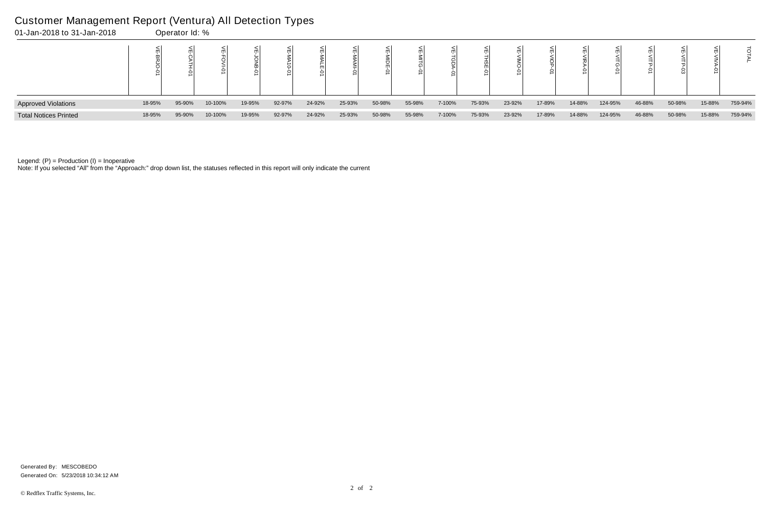| 01-Jan-2018 to 31-Jan-2018   |        | Operator Id: % |         |        |        |        |        |        |        |        |        |        |        |        |         |        |        |        |         |
|------------------------------|--------|----------------|---------|--------|--------|--------|--------|--------|--------|--------|--------|--------|--------|--------|---------|--------|--------|--------|---------|
|                              |        |                |         |        |        |        |        |        |        |        |        |        |        |        |         |        |        |        |         |
| <b>Approved Violations</b>   | 18-95% | 95-90%         | 10-100% | 19-95% | 92-97% | 24-92% | 25-93% | 50-98% | 55-98% | 7-100% | 75-93% | 23-92% | 17-89% | 14-88% | 124-95% | 46-88% | 50-98% | 15-88% | 759-94% |
| <b>Total Notices Printed</b> | 18-95% | 95-90%         | 10-100% | 19-95% | 92-97% | 24-92% | 25-93% | 50-98% | 55-98% | 7-100% | 75-93% | 23-92% | 17-89% | 14-88% | 124-95% | 46-88% | 50-98% | 15-88% | 759-94% |

Note: If you selected "All" from the "Approach:" drop down list, the statuses reflected in this report will only indicate the current

#### Customer Management Report (Ventura) All Detection Types

Generated On: 5/23/2018 10:34:12 AM Generated By: MESCOBEDO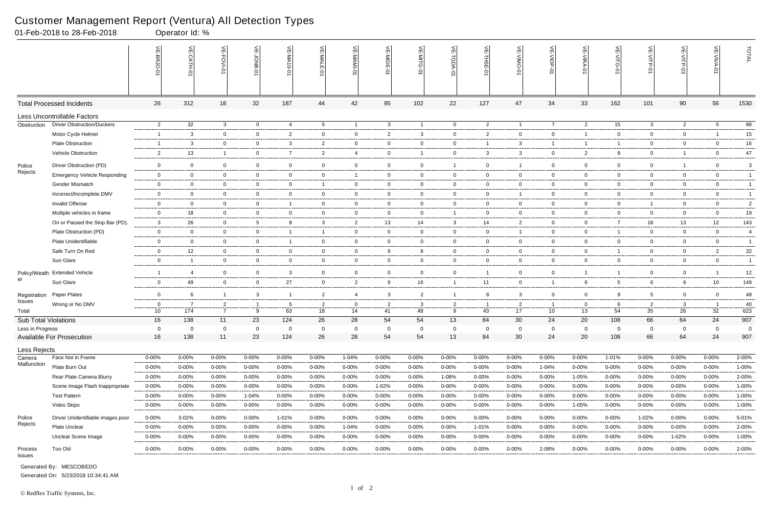|                             | 01-Feb-2018 to 28-Feb-2018          |                 | Operator Id: %          |                                  |                     |                         |                |                |                |                |                     |                |                |                |                |                                                        |                      |                |                |                |
|-----------------------------|-------------------------------------|-----------------|-------------------------|----------------------------------|---------------------|-------------------------|----------------|----------------|----------------|----------------|---------------------|----------------|----------------|----------------|----------------|--------------------------------------------------------|----------------------|----------------|----------------|----------------|
|                             |                                     |                 | $\frac{1}{2}$<br>CATH-0 | 늰<br>FOVI-01                     | 늦                   | VE-MA10-01              | VE-MALE<br>ò   |                | VE-MIDE-01     | VE-MITG-0      | VE-TGDA-0           | VE-THSE-01     | VE-VIMO-01     | VE-VIOP-01     | VE-VIRA-01     | $\stackrel{\textstyle<}{\scriptstyle\rm m}$<br>VITG-01 | VE-VITP-01           | VE-VITP-03     | 늰              | TOTAL          |
|                             | <b>Total Processed Incidents</b>    | 26              | 312                     | 18                               | 32                  | 187                     | 44             | 42             | 95             | 102            | 22                  | 127            | 47             | 34             | 33             | 162                                                    | 101                  | 90             | 56             | 1530           |
|                             | <b>Less Uncontrollable Factors</b>  |                 |                         |                                  |                     |                         |                |                |                |                |                     |                |                |                |                |                                                        |                      |                |                |                |
| Obstruction                 | <b>Driver Obstruction/Duckers</b>   | $\overline{2}$  | 32                      | $\mathbf{3}$                     | $\overline{0}$      | 4                       | $5^{\circ}$    | $\overline{1}$ | $\mathbf{3}$   | $\overline{1}$ | $\overline{0}$      | $\overline{c}$ | $\mathbf{1}$   | $\overline{7}$ | $\overline{2}$ | 15                                                     | $\mathbf{3}$         | $\overline{2}$ | 5 <sup>5</sup> | 88             |
|                             | Motor Cycle Helmet                  | $\overline{1}$  | 3                       | $\overline{0}$                   | $\mathbf 0$         | $\overline{2}$          | $\mathbf{0}$   | $\overline{0}$ | $\overline{2}$ | $\mathbf{3}$   | $\mathbf 0$         | $\overline{2}$ | $\mathbf{0}$   | $\overline{0}$ | $\overline{1}$ | $\mathbf 0$                                            | $\overline{0}$       | $\mathbf 0$    |                | 15             |
|                             | <b>Plate Obstruction</b>            | -1              | 3                       | $\overline{0}$                   | $\overline{0}$      | $\mathbf{3}$            | $\overline{2}$ | $\overline{0}$ | $\overline{0}$ | $\overline{0}$ | 0                   | -1             | 3              | $\overline{1}$ | -1             | -1                                                     | $\overline{0}$       | $\mathbf 0$    | $\overline{0}$ | 16             |
|                             | Vehicle Obstruction                 | $\overline{2}$  | 13                      | $\overline{1}$                   | $\mathbf 0$         | $\overline{7}$          | $\overline{2}$ | $\overline{4}$ | $\mathbf 0$    |                | $\mathbf 0$         | 3              | 3              | $\overline{0}$ | $\overline{2}$ | 8                                                      | $\overline{0}$       | $\overline{1}$ | $\overline{0}$ | 47             |
| Police                      | Driver Obstruction (PD)             | $\overline{0}$  | $\overline{0}$          | $\mathbf 0$                      | $\overline{0}$      | $\overline{0}$          | $\mathbf 0$    | $\overline{0}$ | $\overline{0}$ | $\overline{0}$ | $\overline{1}$      | $\overline{0}$ | 1              | $\overline{0}$ | $\mathbf 0$    | $\mathbf 0$                                            | $\overline{0}$       | $\overline{1}$ | $\mathbf 0$    | $\mathbf{3}$   |
| Rejects                     | <b>Emergency Vehicle Responding</b> | $\overline{0}$  | $\overline{0}$          | $\overline{0}$                   | $\overline{0}$      | $\mathbf{0}$            | $\mathbf{0}$   | $\overline{1}$ | $\overline{0}$ | $\mathbf{0}$   | $\overline{0}$      | $\overline{0}$ | $\mathbf{0}$   | $\overline{0}$ | $\overline{0}$ | $\mathbf 0$                                            | $\overline{0}$       | $\mathbf{0}$   | $\mathbf{0}$   | $\overline{1}$ |
|                             | <b>Gender Mismatch</b>              | $\overline{0}$  | $\Omega$                | $\overline{0}$                   | $\mathbf 0$         | 0                       |                | $\overline{0}$ | $\mathbf 0$    | $\overline{0}$ | $\mathbf 0$         | $\overline{0}$ | $\mathbf{0}$   | $\mathbf{0}$   | $\mathbf 0$    | $\mathbf 0$                                            | $\overline{0}$       | $\mathbf 0$    | $\mathbf 0$    | $\mathbf{1}$   |
|                             | Incorrect/Incomplete DMV            | $\overline{0}$  | $\overline{0}$          | $\overline{0}$                   | $\overline{0}$      | $\overline{0}$          | $\mathbf 0$    | $\overline{0}$ | $\overline{0}$ | $\overline{0}$ | $\mathbf{0}$        | $\overline{0}$ | $\mathbf{1}$   | $\overline{0}$ | $\overline{0}$ | $\overline{0}$                                         | $\overline{0}$       | $\overline{0}$ | $\overline{0}$ | $\mathbf{1}$   |
|                             | <b>Invalid Offense</b>              | $\overline{0}$  | $\overline{0}$          | $\overline{0}$                   | $\overline{0}$      | - 1                     | $\mathbf{0}$   | $\mathbf 0$    | $\overline{0}$ | $\overline{0}$ | $\mathbf{0}$        | $\overline{0}$ | $\mathbf{0}$   | $\overline{0}$ | $\overline{0}$ | $\overline{0}$                                         | $\overline{1}$       | $\mathbf{0}$   | $\overline{0}$ | $\overline{2}$ |
|                             | Multiple vehicles in frame          | $\mathbf 0$     | 18                      | $\mathbf 0$                      | $\mathbf 0$         | 0                       | $\mathbf{0}$   | $\overline{0}$ | $\mathbf 0$    | $\mathbf 0$    | $\overline{1}$      | $\overline{0}$ | $\mathbf{0}$   | $\overline{0}$ | $\mathbf 0$    | $\mathbf 0$                                            | $\overline{0}$       | $\mathbf 0$    | $\mathbf 0$    | $19$           |
|                             | On or Passed the Stop Bar (PD).     | 3               | 26                      | $\overline{0}$                   | $5\overline{)}$     | 8                       | 3              | $\overline{2}$ | 13             | 14             | 3                   | 14             | $\overline{2}$ | $\overline{0}$ | $\overline{0}$ | 7                                                      | 18                   | 13             | 12             | 143            |
|                             | Plate Obstruction (PD)              | $\overline{0}$  | $\overline{0}$          | $\overline{0}$                   | $\overline{0}$      | $\overline{\mathbf{1}}$ | $\overline{1}$ | $\overline{0}$ | $\overline{0}$ | $\overline{0}$ | $\overline{0}$      | $\overline{0}$ | $\mathbf{1}$   | $\overline{0}$ | $\mathbf 0$    | $\overline{1}$                                         | $\overline{0}$       | $\mathbf 0$    | $\overline{0}$ | $\overline{4}$ |
|                             | Plate Unidentifiable                | $\mathbf 0$     | $\overline{0}$          | $\mathbf 0$                      | $\mathbf 0$         | - 1                     | $\mathbf{0}$   | $\mathbf 0$    | $\overline{0}$ | $\overline{0}$ | $\mathbf{0}$        | $\overline{0}$ | $\mathbf{0}$   | $\overline{0}$ | $\mathbf 0$    | $\overline{0}$                                         | $\overline{0}$       | $\mathbf 0$    | $\overline{0}$ | $\overline{1}$ |
|                             | Safe Turn On Red                    | $\overline{0}$  | 12                      | $\overline{0}$                   | $\overline{0}$      | $\mathbf 0$             | $\mathbf{0}$   | $\overline{0}$ | 9              | 8              | 0                   | $\overline{0}$ | $\mathbf{0}$   | $\overline{0}$ | $\overline{0}$ | -1                                                     | $\overline{0}$       | $\mathbf 0$    | 2              | 32             |
|                             | Sun Glare                           | $\overline{0}$  | - 1                     | $\overline{0}$                   | $\overline{0}$      | $\overline{0}$          | $\overline{0}$ | $\mathbf 0$    | $\overline{0}$ | $\overline{0}$ | $\mathbf 0$         | $\overline{0}$ | $\overline{0}$ | $\overline{0}$ | $\overline{0}$ | $\overline{0}$                                         | $\mathbf 0$          | $\overline{0}$ | $\overline{0}$ | $\overline{1}$ |
|                             | Policy/Weath Extended Vehicle       | $\overline{1}$  | -4                      | $\overline{0}$                   | $\mathbf 0$         | 3                       | $\mathbf 0$    | $\mathbf 0$    | $\mathbf 0$    | $\overline{0}$ | $\overline{0}$      | $\overline{1}$ | $\mathbf 0$    | $\mathbf 0$    | $\overline{1}$ | $\mathbf{1}$                                           | $\mathbf 0$          | $\mathbf 0$    |                | 12             |
| er                          | Sun Glare                           | $\mathbf 0$     | 49                      | $\mathbf 0$                      | $\mathbf 0$         | 27                      | $\mathbf{0}$   | $\overline{2}$ | 9              | 16             | $\overline{1}$      | 11             | $\mathbf{0}$   | $\overline{1}$ | 6              | 5                                                      | 6                    | 6              | 10             | 149            |
|                             | Paper Plates                        | $\mathbf 0$     | 6                       | $\overline{1}$                   | 3                   | - 1                     | $\overline{2}$ | $\overline{4}$ | $\mathbf{3}$   | $\overline{2}$ | $\overline{1}$      | 8              | 3              | $\overline{0}$ | $\mathbf 0$    | 9                                                      | $5\overline{)}$      | $\mathbf 0$    | $\mathbf 0$    | 48             |
| Registration<br>Issues      | Wrong or No DMV                     | $\overline{0}$  | -7                      |                                  |                     |                         | $\overline{2}$ | $\overline{0}$ | $\overline{2}$ | $\mathbf{3}$   |                     | - 1            | $\overline{2}$ | $\overline{1}$ | $\mathbf 0$    | 6                                                      |                      |                |                | 40             |
| Total                       |                                     | 10 <sup>°</sup> | 174                     | $\overline{2}$<br>$\overline{7}$ | $\overline{1}$<br>9 | 5<br>63                 | 18             | 14             | 41             | 48             | $\overline{2}$<br>9 | 43             | 17             | 10             | 13             | 54                                                     | $\overline{2}$<br>35 | 3<br>26        | 32             | 623            |
| <b>Sub Total Violations</b> |                                     | 16              | 138                     | 11                               | 23                  | 124                     | 26             | 28             | 54             | 54             | 13                  | 84             | 30             | 24             | 20             | 108                                                    | 66                   | 64             | 24             | 907            |
| Less in Progress            |                                     | 0               | $\Omega$                | $\mathbf 0$                      | $\mathbf 0$         | $\Omega$                | $\Omega$       | $\mathbf 0$    | 0              | $\mathbf 0$    | $\mathbf 0$         | 0              | $\mathbf 0$    | $\mathbf 0$    | $\Omega$       | $\mathbf 0$                                            | $\mathbf 0$          | $\Omega$       | 0              | 0              |
|                             | <b>Available For Prosecution</b>    | 16              | 138                     | 11                               | 23                  | 124                     | 26             | 28             | 54             | 54             | 13                  | 84             | 30             | 24             | 20             | 108                                                    | 66                   | 64             | 24             | 907            |
| Less Rejects                |                                     |                 |                         |                                  |                     |                         |                |                |                |                |                     |                |                |                |                |                                                        |                      |                |                |                |
| Camera                      | Face Not in Frame                   | $0 - 00%$       | $0 - 00%$               | $0 - 00%$                        | $0 - 00%$           | 0-00%                   | $0 - 00%$      | $1 - 04%$      | 0-00%          | $0 - 00%$      | $0 - 00\%$          | $0 - 00%$      | $0 - 00%$      | $0 - 00\%$     | $0 - 00\%$     | 1-01%                                                  | 0-00%                | $0 - 00\%$     | 0-00%          | 2-00%          |
| Malfunction                 | Plate Burn Out                      | $0 - 00\%$      | $0 - 00\%$              | $0 - 00\%$                       | $0 - 00%$           | $0 - 00%$               | 0-00%          | 0-00%          | $0 - 00%$      | $0 - 00%$      | 0-00%               | $0 - 00%$      | $0 - 00%$      | 1-04%          | $0 - 00%$      | $0 - 00%$                                              | $0 - 00%$            | $0 - 00\%$     | $0 - 00\%$     | 1-00%          |
|                             | Rear Plate Camera Blurry            | $0 - 00%$       | $0 - 00\%$              | $0 - 00\%$                       | $0 - 00%$           | $0 - 00%$               | $0 - 00\%$     | 0-00%          | $0 - 00%$      | $0 - 00\%$     | 1-08%               | $0 - 00%$      | $0 - 00%$      | $0 - 00\%$     | 1-05%          | $0 - 00%$                                              | 0-00%                | $0 - 00\%$     | $0 - 00\%$     | 2-00%          |
|                             | Scene Image Flash Inappropriate     | $0 - 00%$       | $0 - 00%$               | $0 - 00\%$                       | $0 - 00%$           | $0 - 00%$               | $0 - 00\%$     | $0 - 00\%$     | 1-02%          | $0 - 00%$      | $0 - 00\%$          | $0 - 00%$      | 0-00%          | $0 - 00\%$     | $0 - 00\%$     | $0 - 00%$                                              | 0-00%                | $0 - 00\%$     | $0 - 00\%$     | 1-00%          |
|                             | <b>Test Pattern</b>                 | $0 - 00%$       | $0 - 00%$               | $0 - 00%$                        | 1-04%               | $0 - 00%$               | $0 - 00\%$     | $0 - 00\%$     | $0 - 00%$      | $0 - 00\%$     | $0 - 00\%$          | $0 - 00%$      | $0 - 00%$      | $0 - 00\%$     | $0 - 00\%$     | $0 - 00%$                                              | 0-00%                | $0 - 00%$      | $0 - 00\%$     | 1-00%          |
|                             | Video Skips                         | $0 - 00%$       | $0 - 00%$               | 0-00%                            | $0 - 00%$           | $0 - 00%$               | 0-00%          | 0-00%          | 0-00%          | $0 - 00%$      | 0-00%               | $0 - 00%$      | $0 - 00%$      | $0 - 00\%$     | 1-05%          | 0-00%                                                  | 0-00%                | $0 - 00%$      | $0 - 00%$      | 1-00%          |
| Police                      | Driver Unidentifiable images poor   | $0 - 00%$       | 3-02%                   | $0 - 00%$                        | $0 - 00%$           | 1-01%                   | $0 - 00\%$     | $0 - 00%$      | 0-00%          | $0 - 00\%$     | 0-00%               | $0 - 00%$      | $0 - 00%$      | $0 - 00\%$     | $0 - 00%$      | $0 - 00%$                                              | 1-02%                | $0 - 00%$      | $0 - 00\%$     | 5-01%          |
| Rejects                     | <b>Plate Unclear</b>                | $0 - 00%$       | $0 - 00%$               | $0 - 00%$                        | $0 - 00%$           | $0 - 00%$               | $0 - 00\%$     | 1-04%          | $0 - 00%$      | $0 - 00\%$     | 0-00%               | 1-01%          | $0 - 00%$      | $0 - 00\%$     | $0 - 00\%$     | 0-00%                                                  | 0-00%                | $0 - 00%$      | $0 - 00\%$     | 2-00%          |
|                             | Unclear Scene Image                 | $0 - 00%$       | $0 - 00%$               | 0-00%                            | $0 - 00%$           | $0 - 00%$               | 0-00%          | 0-00%          | $0 - 00%$      | $0 - 00%$      | 0-00%               | $0 - 00%$      | $0 - 00%$      | $0 - 00\%$     | $0 - 00%$      | $0 - 00%$                                              | $0 - 00%$            | 1-02%          | $0 - 00\%$     | 1-00%          |
| Process<br>Issues           | Too Old                             | $0 - 00\%$      | $0 - 00\%$              | $0 - 00\%$                       | $0 - 00\%$          | $0 - 00\%$              | $0 - 00\%$     | $0 - 00\%$     | $0 - 00%$      | $0 - 00\%$     | $0 - 00\%$          | $0 - 00%$      | $0 - 00\%$     | 2-08%          | $0 - 00\%$     | $0 - 00\%$                                             | $0 - 00\%$           | $0 - 00\%$     | $0 - 00\%$     | 2-00%          |
|                             |                                     |                 |                         |                                  |                     |                         |                |                |                |                |                     |                |                |                |                |                                                        |                      |                |                |                |

Generated On: 5/23/2018 10:34:41 AM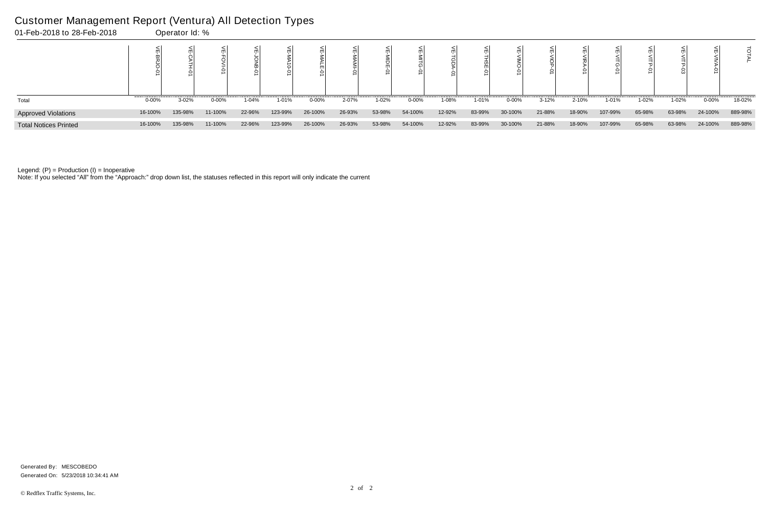# Customer Management Report (Ventura) All Detection Types<br>01-Eeb-2018 to 28-Eeb-2018

| 01-Feb-2018 to 28-Feb-2018   |           | Operator Id: % |         |        |         |            |        |        |           |        |         |            |           |        |         |        |        |           |         |
|------------------------------|-----------|----------------|---------|--------|---------|------------|--------|--------|-----------|--------|---------|------------|-----------|--------|---------|--------|--------|-----------|---------|
|                              |           |                |         |        |         |            |        |        |           |        | $\circ$ |            |           |        |         |        |        |           |         |
| Total                        | $0 - 00%$ | 3-02%          | 0-00%   | 1-04%  | 1-01%   | $0 - 00\%$ | 2-07%  | 1-02%  | $0 - 00%$ | 1-08%  | 1-01%   | $0 - 00\%$ | $3 - 12%$ | 2-10%  | 1-01%   | 1-02%  | 1-02%  | $0 - 00%$ | 18-02%  |
| <b>Approved Violations</b>   | 16-100%   | 135-98%        | 11-100% | 22-96% | 123-99% | 26-100%    | 26-93% | 53-98% | 54-100%   | 12-92% | 83-99%  | 30-100%    | 21-88%    | 18-90% | 107-99% | 65-98% | 63-98% | 24-100%   | 889-98% |
| <b>Total Notices Printed</b> | 16-100%   | 135-98%        | 11-100% | 22-96% | 123-99% | 26-100%    | 26-93% | 53-98% | 54-100%   | 12-92% | 83-99%  | 30-100%    | 21-88%    | 18-90% | 107-99% | 65-98% | 63-98% | 24-100%   | 889-98% |

Note: If you selected "All" from the "Approach:" drop down list, the statuses reflected in this report will only indicate the current

Generated On: 5/23/2018 10:34:41 AM Generated By: MESCOBEDO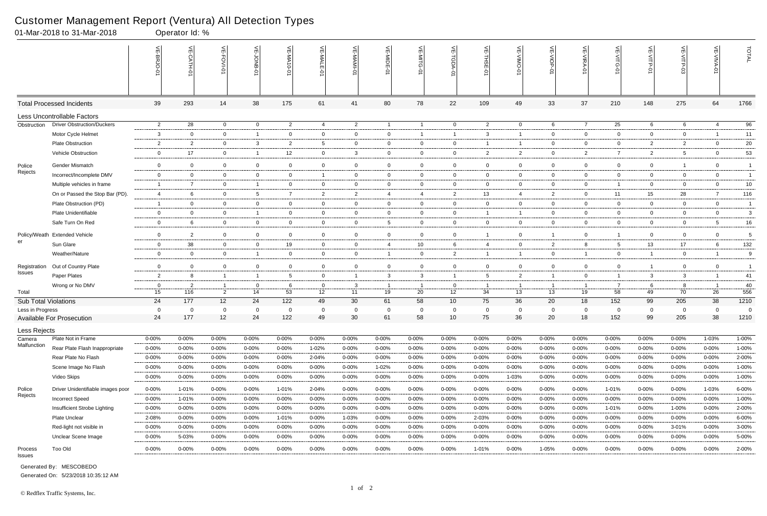|                        | 01-Mar-2018 to 31-Mar-2018        |                | Operator Id: % |                |                 |                 |                |                |                 |                 |                 |                |                |                |                |                |                |                |                |                |
|------------------------|-----------------------------------|----------------|----------------|----------------|-----------------|-----------------|----------------|----------------|-----------------|-----------------|-----------------|----------------|----------------|----------------|----------------|----------------|----------------|----------------|----------------|----------------|
|                        |                                   |                | $\frac{1}{2}$  | 늳<br>FOVI-01   | 늦               | VE-MA10-01      | VE-MALE        |                | VE-MIDE-01      | VE-MITG-0       | VE-TGDA-0       | VE-THSE-01     | VE-VIMO-01     | VE-VIOP-07     | VE-VIRA-01     | ے<br>VITG-01   | VE-VITP-01     |                | 늰              | TOTAL          |
|                        | <b>Total Processed Incidents</b>  | 39             | 293            | 14             | 38              | 175             | 61             | 41             | 80              | 78              | 22              | 109            | 49             | 33             | 37             | 210            | 148            | 275            | 64             | 1766           |
|                        | Less Uncontrollable Factors       |                |                |                |                 |                 |                |                |                 |                 |                 |                |                |                |                |                |                |                |                |                |
| Obstruction            | <b>Driver Obstruction/Duckers</b> | $\overline{2}$ | 28             | $\overline{0}$ | $\overline{0}$  | $\overline{2}$  | 4              | $\overline{2}$ | $\overline{1}$  | $\overline{1}$  | $\overline{0}$  | $\overline{c}$ | $\overline{0}$ | 6              | $\overline{7}$ | 25             | 6              | 6              | 4              | 96             |
|                        | Motor Cycle Helmet                | $\mathbf{3}$   | $\Omega$       | $\overline{0}$ | $\overline{1}$  | 0               | $\mathbf{0}$   | $\mathbf 0$    | $\mathbf{0}$    | $\overline{1}$  | $\overline{1}$  | 3              | -1             | $\overline{0}$ | $\mathbf 0$    | $\mathbf 0$    | $\overline{0}$ | $\mathbf 0$    |                | 11             |
|                        | <b>Plate Obstruction</b>          | $\overline{2}$ | $\overline{2}$ | $\overline{0}$ | $\mathbf{3}$    | $\overline{2}$  | 5              | $\overline{0}$ | 0               | $\mathbf{0}$    | 0               | -1             | -1             | $\overline{0}$ | $\mathbf 0$    | 0              | $\overline{2}$ | $\overline{2}$ | $\overline{0}$ | 20             |
|                        | Vehicle Obstruction               | $\mathbf 0$    | 17             | $\overline{0}$ | $\overline{1}$  | 12 <sup>°</sup> | $\mathbf{0}$   | 3              | $\mathbf 0$     | $\overline{0}$  | $\mathbf 0$     | $\overline{2}$ | $\overline{2}$ | $\overline{0}$ | $\overline{2}$ | $\overline{7}$ | $\overline{2}$ | 5              | $\mathbf 0$    | 53             |
| Police                 | <b>Gender Mismatch</b>            | $\overline{0}$ | $\mathbf 0$    | $\overline{0}$ | $\mathbf 0$     | 0               | $\mathbf 0$    | $\overline{0}$ | $\mathbf 0$     | $\mathbf 0$     | $\overline{0}$  | $\overline{0}$ | $\mathbf 0$    | $\overline{0}$ | $\mathbf 0$    | $\mathbf 0$    | $\overline{0}$ | $\overline{1}$ | $\mathbf 0$    | $\overline{1}$ |
| Rejects                | Incorrect/Incomplete DMV          | $\overline{0}$ | $\mathbf{0}$   | $\overline{0}$ | $\overline{0}$  | $\mathbf{0}$    | $\mathbf{1}$   | $\overline{0}$ | $\overline{0}$  | $\mathbf{0}$    | $\overline{0}$  | $\overline{0}$ | $\mathbf{0}$   | $\overline{0}$ | $\mathbf 0$    | $\mathbf 0$    | $\overline{0}$ | $\overline{0}$ | $\overline{0}$ | $\overline{1}$ |
|                        | Multiple vehicles in frame        | -1             | $\overline{7}$ | $\mathbf 0$    | $\overline{1}$  | 0               | $\mathbf{0}$   | $\mathbf 0$    | $\mathbf 0$     | $\mathbf 0$     | $\mathbf 0$     | $\overline{0}$ | $\mathbf{0}$   | 0              | $\overline{0}$ |                | $\overline{0}$ | $\mathbf 0$    | $\mathbf 0$    | $10\,$         |
|                        | On or Passed the Stop Bar (PD).   | $\overline{4}$ | 6              | $\overline{0}$ | $5\overline{)}$ | 7               | $\overline{2}$ | $\overline{2}$ | $\overline{4}$  | 4               | $\overline{2}$  | 13             | $\overline{4}$ | $\overline{2}$ | $\overline{0}$ | 11             | 15             | 28             | 7              | 116            |
|                        | Plate Obstruction (PD)            | -1             | $\overline{0}$ | $\overline{0}$ | $\mathbf 0$     | $\mathbf 0$     | $\mathbf{0}$   | $\mathbf 0$    | $\overline{0}$  | $\overline{0}$  | $\mathbf 0$     | $\overline{0}$ | $\mathbf{0}$   | $\overline{0}$ | $\overline{0}$ | $\overline{0}$ | $\overline{0}$ | $\mathbf 0$    | $\overline{0}$ | $\overline{1}$ |
|                        | Plate Unidentifiable              | $\mathbf 0$    | $\mathbf 0$    | $\mathbf 0$    | $\overline{1}$  | 0               | $\mathbf{0}$   | $\mathbf 0$    | 0               | $\overline{0}$  | $\mathbf 0$     | -1             | 1              | $\overline{0}$ | $\mathbf 0$    | $\mathbf 0$    | $\mathbf 0$    | $\mathbf 0$    | $\mathbf 0$    | 3              |
|                        | Safe Turn On Red                  | $\overline{0}$ | 6              | $\overline{0}$ | $\mathbf 0$     | $\overline{0}$  | $\mathbf{0}$   | $\overline{0}$ | $5\overline{)}$ | $\overline{0}$  | $\mathbf{0}$    | $\overline{0}$ | $\mathbf{0}$   | $\overline{0}$ | $\overline{0}$ | $\overline{0}$ | $\overline{0}$ | $\mathbf{0}$   | $5^{\circ}$    | $16 \,$        |
| Policy/Weath           | <b>Extended Vehicle</b>           | $\mathbf 0$    | $\overline{2}$ | $\overline{0}$ | $\mathbf 0$     | $\mathbf 0$     | $\mathbf{0}$   | $\mathbf 0$    | $\mathbf 0$     | $\overline{0}$  | $\mathbf 0$     | $\overline{1}$ | $\mathbf{0}$   | $\overline{1}$ | $\mathbf 0$    | $\overline{1}$ | $\mathbf 0$    | $\mathbf 0$    | $\overline{0}$ | 5              |
| er                     | Sun Glare                         | $\overline{0}$ | 38             | $\overline{0}$ | $\mathbf 0$     | 19              | $\mathbf{0}$   | $\mathbf 0$    | $\overline{4}$  | 10 <sup>°</sup> | 6               | $\overline{4}$ | $\mathbf{0}$   | $\overline{2}$ | 8              | 5              | 13             | 17             | 6              | 132            |
|                        | Weather/Nature                    | $\mathbf 0$    | $\Omega$       | $\overline{0}$ | $\overline{1}$  | $\mathbf 0$     | $\mathbf{0}$   | $\overline{0}$ |                 | $\overline{0}$  | $\overline{2}$  | -1             | 1              | $\overline{0}$ | -1             | $\overline{0}$ | $\mathbf{1}$   | $\mathbf 0$    |                | 9              |
| Registration           | Out of Country Plate              | $\overline{0}$ | $\overline{0}$ | $\mathbf 0$    | $\mathbf 0$     | $\overline{0}$  | $\overline{0}$ | $\overline{0}$ | $\mathbf 0$     | $\mathbf 0$     | $\mathbf 0$     | $\overline{0}$ | $\mathbf 0$    | $\overline{0}$ | $\mathbf 0$    | $\mathbf 0$    | $\mathbf{1}$   | $\mathbf 0$    | $\mathbf 0$    | $\overline{1}$ |
| <b>Issues</b>          | Paper Plates                      | $\overline{2}$ |                | $\overline{1}$ | $\overline{1}$  | 5               | $\mathbf{0}$   | $\overline{1}$ | $\mathbf{3}$    | 3               | $\mathbf{1}$    | -5             | $\overline{2}$ | $\overline{1}$ | $\overline{0}$ |                | 3              | 3              |                | 41             |
|                        | Wrong or No DMV                   | $\mathbf 0$    | $\overline{2}$ |                | $\mathbf 0$     | 6               | $\mathbf 0$    | $\mathbf{3}$   |                 |                 | 0               | - 1            | -1             | $\overline{1}$ |                |                | 6              | 8              |                | 40             |
| Total                  |                                   | 15             | 116            | $\overline{2}$ | 14              | 53              | 12             | 11             | 19              | 20              | 12              | 34             | 13             | 13             | 19             | 58             | 49             | 70             | 26             | 556            |
| Sub Total Violations   |                                   | 24             | 177            | 12             | 24              | 122             | 49             | 30             | 61              | 58              | 10 <sup>1</sup> | 75             | 36             | 20             | 18             | 152            | 99             | 205            | 38             | 1210           |
| Less in Progress       |                                   | 0              | 0              | $\Omega$       | $\mathbf 0$     | 0               |                | $\mathbf 0$    | $\mathbf 0$     | $\mathbf 0$     | $\mathbf 0$     | $\mathbf 0$    | $\Omega$       | $\mathbf 0$    | 0              | $\mathbf 0$    | 0              | $\mathbf{0}$   | $\Omega$       | - 0            |
|                        | <b>Available For Prosecution</b>  | 24             | 177            | 12             | 24              | 122             | 49             | 30             | 61              | 58              | 10              | 75             | 36             | 20             | 18             | 152            | 99             | 205            | 38             | 1210           |
| Less Rejects<br>Camera | Plate Not in Frame                | $0 - 00\%$     | $0 - 00%$      | $0 - 00%$      | $0 - 00\%$      | 0-00%           | 0-00%          | $0 - 00%$      | $0 - 00%$       | $0 - 00\%$      | $0 - 00\%$      | $0 - 00%$      | $0 - 00%$      | $0 - 00\%$     | $0 - 00\%$     | 0-00%          | $0 - 00\%$     | 0-00%          | 1-03%          | 1-00%          |
| Malfunction            | Rear Plate Flash Inappropriate    | $0 - 00%$      | $0 - 00%$      | $0 - 00%$      | $0 - 00%$       | $0 - 00%$       | 1-02%          | $0 - 00%$      | $0 - 00%$       | $0 - 00%$       | 0-00%           | $0 - 00%$      | $0 - 00%$      | $0 - 00%$      | $0 - 00\%$     | $0 - 00%$      | 0-00%          | $0 - 00\%$     | $0 - 00\%$     | 1-00%          |
|                        | Rear Plate No Flash               | $0 - 00%$      | $0 - 00%$      | $0 - 00\%$     | $0 - 00%$       | $0 - 00\%$      | 2-04%          | $0 - 00%$      | $0 - 00\%$      | $0 - 00%$       | $0 - 00\%$      | $0 - 00%$      | $0 - 00%$      | $0 - 00%$      | $0 - 00\%$     | $0 - 00%$      | 0-00%          | $0 - 00\%$     | $0 - 00\%$     | 2-00%          |
|                        | Scene Image No Flash              | $0 - 00\%$     | $0 - 00\%$     | $0 - 00\%$     | $0 - 00%$       | $0 - 00%$       | $0 - 00\%$     | 0-00%          | 1-02%           | $0 - 00\%$      | 0-00%           | $0 - 00%$      | $0 - 00%$      | $0 - 00\%$     | $0 - 00\%$     | $0 - 00%$      | $0 - 00%$      | $0 - 00\%$     | $0 - 00\%$     | 1-00%          |
|                        | Video Skips                       | $0 - 00%$      | $0 - 00\%$     | 0-00%          | 0-00%           | 0-00%           | $0 - 00\%$     | 0-00%          | $0 - 00\%$      | 0-00%           | $0 - 00\%$      | $0 - 00%$      | 1-03%          | $0 - 00\%$     | $0 - 00\%$     | $0 - 00\%$     | 0-00%          | $0 - 00\%$     | $0 - 00\%$     | 1-00%          |
|                        |                                   |                |                |                |                 |                 |                |                |                 |                 |                 |                |                |                |                |                |                |                |                |                |
| Police<br>Rejects      | Driver Unidentifiable images poor | 0-00%          | 1-01%          | $0 - 00\%$     | $0 - 00%$       | 1-01%           | 2-04%          | $0 - 00%$      | $0 - 00%$       | $0 - 00\%$      | $0 - 00\%$      | $0 - 00%$      | 0-00%          | $0 - 00\%$     | $0 - 00\%$     | 1-01%          | $0 - 00%$      | $0 - 00%$      | 1-03%          | 6-00%          |
|                        | <b>Incorrect Speed</b>            | $0 - 00%$      | 1-01%          | $0 - 00\%$     | $0 - 00%$       | $0 - 00%$       | $0 - 00\%$     | $0 - 00\%$     | $0 - 00%$       | $0 - 00%$       | 0-00%           | $0 - 00%$      | $0 - 00%$      | $0 - 00\%$     | $0 - 00\%$     | $0 - 00%$      | $0 - 00%$      | $0 - 00\%$     | $0 - 00\%$     | 1-00%          |
|                        | Insufficient Strobe Lighting      | $0 - 00%$      | 0-00%          | 0-00%          | $0 - 00%$       | $0 - 00\%$      | 0-00%          | 0-00%          | $0 - 00%$       | 0-00%           | 0-00%           | $0 - 00%$      | $0 - 00%$      | $0 - 00\%$     | $0 - 00%$      | 1-01%          | 0-00%          | 1-00%          | $0 - 00\%$     | 2-00%          |
|                        | Plate Unclear                     | 2-08%          | $0 - 00%$      | $0 - 00%$      | $0 - 00\%$      | 1-01%           | $0 - 00\%$     | 1-03%          | $0 - 00%$       | $0 - 00\%$      | $0 - 00\%$      | 2-03%          | $0 - 00%$      | $0 - 00\%$     | $0 - 00\%$     | $0 - 00%$      | 0-00%          | $0 - 00\%$     | $0 - 00\%$     | 6-00%          |
|                        | Red-light not visible in          | $0 - 00%$      | $0 - 00%$      | $0 - 00%$      | $0 - 00%$       | $0 - 00%$       | $0 - 00\%$     | $0 - 00%$      | $0 - 00%$       | $0 - 00\%$      | 0-00%           | $0 - 00%$      | $0 - 00%$      | $0 - 00\%$     | $0 - 00\%$     | $0 - 00%$      | 0-00%          | 3-01%          | $0 - 00\%$     | 3-00%          |
|                        | Unclear Scene Image               | $0 - 00\%$     | 5-03%          | $0 - 00\%$     | $0 - 00%$       | $0 - 00%$       | 0-00%          | 0-00%          | $0 - 00%$       | $0 - 00\%$      | 0-00%           | $0 - 00%$      | $0 - 00%$      | $0 - 00\%$     | $0 - 00%$      | 0-00%          | 0-00%          | 0-00%          | $0 - 00\%$     | 5-00%          |
| Process<br>Issues      | Too Old                           | $0 - 00\%$     | $0 - 00\%$     | $0 - 00\%$     | $0 - 00\%$      | $0 - 00\%$      | $0 - 00\%$     | $0 - 00\%$     | $0 - 00\%$      | $0 - 00\%$      | $0 - 00\%$      | 1-01%          | $0 - 00\%$     | 1-05%          | $0 - 00\%$     | $0 - 00\%$     | $0 - 00\%$     | $0 - 00\%$     | $0 - 00\%$     | 2-00%          |

Generated On: 5/23/2018 10:35:12 AM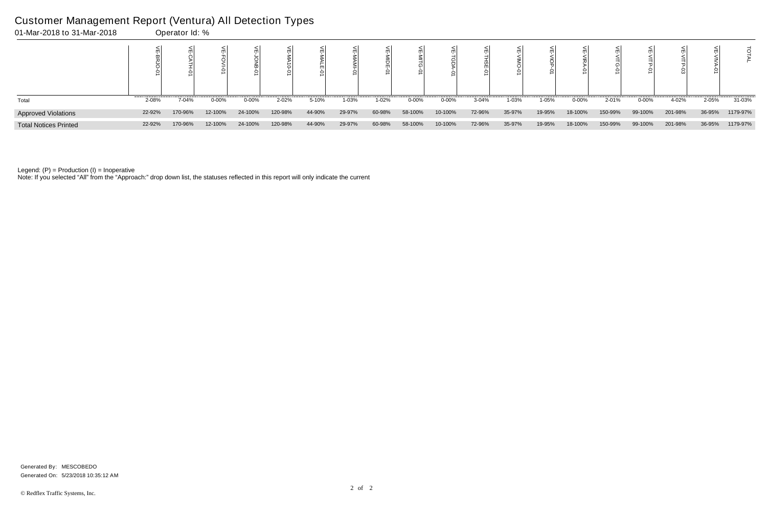| 01-Mar-2018 to 31-Mar-2018   |        | Operator Id: % |           |            |         |        |        |        |            |           |        |        |        |           |         |            |         |        |          |
|------------------------------|--------|----------------|-----------|------------|---------|--------|--------|--------|------------|-----------|--------|--------|--------|-----------|---------|------------|---------|--------|----------|
|                              |        |                |           |            |         |        |        |        |            |           |        |        |        |           |         |            |         |        |          |
| Total                        | 2-08%  | 7-04%          | $0 - 00%$ | $0 - 00\%$ | 2-02%   | 5-10%  | 1-03%  | 1-02%  | $0 - 00\%$ | $0 - 00%$ | 3-04%  | 1-03%  | 1-05%  | $0 - 00%$ | 2-01%   | $0 - 00\%$ | 4-02%   | 2-05%  | 31-03%   |
| <b>Approved Violations</b>   | 22-92% | 170-96%        | 12-100%   | 24-100%    | 120-98% | 44-90% | 29-97% | 60-98% | 58-100%    | 10-100%   | 72-96% | 35-97% | 19-95% | 18-100%   | 150-99% | 99-100%    | 201-98% | 36-95% | 1179-97% |
| <b>Total Notices Printed</b> | 22-92% | 170-96%        | 12-100%   | 24-100%    | 120-98% | 44-90% | 29-97% | 60-98% | 58-100%    | 10-100%   | 72-96% | 35-97% | 19-95% | 18-100%   | 150-99% | 99-100%    | 201-98% | 36-95% | 1179-97% |

Note: If you selected "All" from the "Approach:" drop down list, the statuses reflected in this report will only indicate the current

#### Customer Management Report (Ventura) All Detection Types

Generated On: 5/23/2018 10:35:12 AM Generated By: MESCOBEDO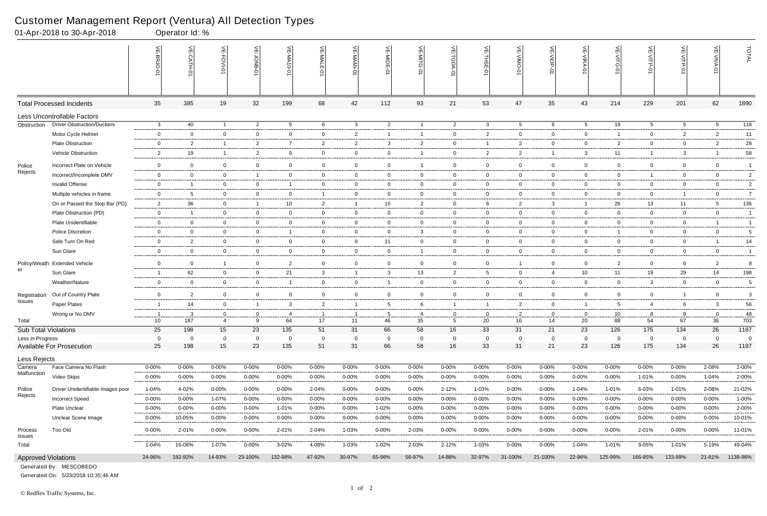|                                               | 01-Apr-2018 to 30-Apr-2018        |                          | Operator Id: %            |                |                |                         |                |                |                 |                |                |                |                 |                |                 |                                                                 |                |                 |                 |                |
|-----------------------------------------------|-----------------------------------|--------------------------|---------------------------|----------------|----------------|-------------------------|----------------|----------------|-----------------|----------------|----------------|----------------|-----------------|----------------|-----------------|-----------------------------------------------------------------|----------------|-----------------|-----------------|----------------|
|                                               |                                   |                          | $\widetilde{E}$<br>CATH-0 | 늰<br>FOVI-01   | 늦              | VE-MA'<br>$10 - 01$     | VE-MALE<br>ò   | ۴              | VE-MIDE-01      | VE-MITG-0      | VE-TGDA-0      | VE-THSE-01     | VE-VIMO-01      | VE-VIOP-01     | VE-VIRA-01      | $\stackrel{\textstyle<}{\scriptstyle\rm m}$<br><b>NITG</b><br>ò | VE-VITP-01     | VE-VITP-03      | $\leq$          | TOTAL          |
|                                               | <b>Total Processed Incidents</b>  | 35                       | 385                       | 19             | 32             | 199                     | 68             | 42             | 112             | 93             | 21             | 53             | 47              | 35             | 43              | 214                                                             | 229            | 201             | 62              | 1890           |
|                                               | Less Uncontrollable Factors       |                          |                           |                |                |                         |                |                |                 |                |                |                |                 |                |                 |                                                                 |                |                 |                 |                |
| Obstruction                                   | <b>Driver Obstruction/Duckers</b> | $\mathbf{3}$             | 40                        | $\overline{1}$ | $\overline{2}$ | $5\overline{)}$         | 6              | $\mathbf{3}$   | $\overline{2}$  | $\overline{1}$ | $\overline{2}$ | $\mathbf{3}$   | $5^{\circ}$     | 6              | $5\overline{)}$ | 19                                                              | $5^{\circ}$    | $5\overline{)}$ | 5 <sup>5</sup>  | 118            |
|                                               | Motor Cycle Helmet                | $\mathbf 0$              | $\overline{0}$            | $\overline{0}$ | $\mathbf 0$    | $\mathbf 0$             | $\mathbf{0}$   | $\overline{2}$ | -1              | $\mathbf{1}$   | $\mathbf{0}$   | $\overline{2}$ | $\mathbf{0}$    | $\overline{0}$ | $\mathbf 0$     | $\mathbf{1}$                                                    | $\overline{0}$ | $\overline{2}$  | $\overline{2}$  | 11             |
|                                               | <b>Plate Obstruction</b>          | $\overline{0}$           | $\overline{2}$            | $\overline{1}$ | $\overline{2}$ | $\overline{7}$          | $\overline{2}$ | $\overline{2}$ | $\mathbf{3}$    | $\overline{2}$ | $\mathbf 0$    | -1             | $\overline{2}$  | $\overline{0}$ | $\overline{0}$  | $\overline{2}$                                                  | $\overline{0}$ | $\overline{0}$  | $\overline{2}$  | 28             |
|                                               | Vehicle Obstruction               | $\overline{2}$           | 19                        | $\overline{1}$ | 2              | 9                       | $\mathbf{0}$   | $\overline{0}$ | $\mathbf 0$     |                | $\mathbf 0$    | $\overline{2}$ | $\overline{2}$  | $\overline{1}$ | $\mathbf{3}$    | 11                                                              | $\overline{1}$ | 3               |                 | 58             |
| Police<br>Rejects                             | Incorrect Plate on Vehicle        | $\overline{0}$           | $\overline{0}$            | $\overline{0}$ | $\mathbf 0$    | $\mathbf 0$             | $\mathbf 0$    | $\overline{0}$ | $\overline{0}$  | $\mathbf{1}$   | $\mathbf 0$    | $\overline{0}$ | $\mathbf 0$     | $\overline{0}$ | $\mathbf 0$     | $\mathbf 0$                                                     | $\overline{0}$ | $\mathbf 0$     | $\mathbf 0$     | $\overline{1}$ |
|                                               | Incorrect/Incomplete DMV          | $\overline{0}$           | $\overline{0}$            | $\overline{0}$ | $\overline{1}$ | $\mathbf{0}$            | $\mathbf{0}$   | $\overline{0}$ | $\overline{0}$  | $\mathbf{0}$   | $\overline{0}$ | $\overline{0}$ | $\mathbf{0}$    | $\overline{0}$ | $\overline{0}$  | $\mathbf 0$                                                     | $\mathbf{1}$   | $\mathbf{0}$    | $\mathbf{0}$    | $\overline{2}$ |
|                                               | <b>Invalid Offense</b>            | $\overline{0}$           | -1                        | $\overline{0}$ | $\mathbf 0$    | -1                      | $\mathbf{0}$   | $\overline{0}$ | $\mathbf 0$     | $\overline{0}$ | $\mathbf 0$    | $\overline{0}$ | $\mathbf{0}$    | $\mathbf{0}$   | $\mathbf 0$     | $\mathbf 0$                                                     | $\overline{0}$ | $\mathbf 0$     | $\mathbf 0$     | $\overline{c}$ |
|                                               | Multiple vehicles in frame        | $\overline{0}$           | -5                        | $\overline{0}$ | $\overline{0}$ | $\mathbf 0$             | $\mathbf{1}$   | $\overline{0}$ | $\overline{0}$  | $\overline{0}$ | $\overline{0}$ | $\overline{0}$ | $\mathbf{0}$    | $\overline{0}$ | $\overline{0}$  | $\overline{0}$                                                  | $\overline{0}$ | $\overline{1}$  | $\overline{0}$  | $\overline{7}$ |
|                                               | On or Passed the Stop Bar (PD).   | 2                        | 36                        | $\overline{0}$ | $\overline{1}$ | 10                      | $\overline{2}$ | $\overline{1}$ | 15              | $\overline{2}$ | $\mathbf{0}$   | 6              | $\overline{2}$  | $\mathbf{3}$   | $\overline{1}$  | 26                                                              | 13             | 11              | $5\overline{)}$ | 136            |
|                                               | Plate Obstruction (PD)            | $\mathbf 0$              | - 1                       | $\mathbf 0$    | $\overline{0}$ | 0                       | $\mathbf 0$    | $\overline{0}$ | $\mathbf{0}$    | $\mathbf 0$    | $\mathbf{0}$   | $\overline{0}$ | $\mathbf{0}$    | $\overline{0}$ | $\mathbf 0$     | $\mathbf 0$                                                     | $\mathbf 0$    | $\mathbf 0$     | $\mathbf 0$     | $\overline{1}$ |
|                                               | Plate Unidentifiable              | $\overline{0}$           | $\overline{0}$            | $\overline{0}$ | $\overline{0}$ | $\overline{0}$          | $\overline{0}$ | $\overline{0}$ | $\overline{0}$  | $\overline{0}$ | $\overline{0}$ | $\overline{0}$ | $\overline{0}$  | $\overline{0}$ | $\overline{0}$  | $\overline{0}$                                                  | $\overline{0}$ | $\mathbf 0$     | $\overline{1}$  | $\overline{1}$ |
|                                               | <b>Police Discretion</b>          | $\overline{0}$           | $\overline{0}$            | $\overline{0}$ | $\overline{0}$ | $\overline{\mathbf{1}}$ | $\mathbf{0}$   | $\overline{0}$ | $\overline{0}$  | 3              | $\overline{0}$ | $\overline{0}$ | $\mathbf{0}$    | $\overline{0}$ | $\mathbf 0$     | $\overline{1}$                                                  | $\overline{0}$ | $\mathbf 0$     | $\overline{0}$  | 5              |
|                                               | Safe Turn On Red                  | $\mathbf 0$              | 2                         | $\overline{0}$ | $\mathbf 0$    | $\overline{0}$          | $\mathbf{0}$   | $\mathbf 0$    | 11              | $\overline{0}$ | $\overline{0}$ | $\overline{0}$ | $\mathbf{0}$    | $\overline{0}$ | $\mathbf 0$     | $\overline{0}$                                                  | $\overline{0}$ | $\mathbf 0$     | - 1             | 14             |
|                                               | Sun Glare                         | $\mathbf 0$              | $\overline{0}$            | $\overline{0}$ | $\overline{0}$ | 0                       | $\overline{0}$ | $\overline{0}$ | $\overline{0}$  | $\overline{1}$ | $\mathbf 0$    | $\overline{0}$ | $\mathbf{0}$    | $\overline{0}$ | $\overline{0}$  | $\overline{0}$                                                  | $\overline{0}$ | $\mathbf 0$     | $\overline{0}$  | $\overline{1}$ |
| Policy/Weath<br>er                            | <b>Extended Vehicle</b>           | $\mathbf 0$              | $\overline{0}$            | $\overline{1}$ | $\overline{0}$ | $\overline{2}$          | $\mathbf 0$    | $\overline{0}$ | $\overline{0}$  | $\mathbf 0$    | $\mathbf 0$    | $\overline{0}$ | $\mathbf 1$     | $\overline{0}$ | $\overline{0}$  | 2                                                               | $\mathbf 0$    | $\mathbf 0$     | $\overline{2}$  | 8              |
|                                               | Sun Glare                         | -1                       | 62                        | $\mathbf 0$    | $\mathbf 0$    | 21                      | 3              | $\overline{1}$ | $\mathbf{3}$    | 13             | $\overline{2}$ | 5              | $\mathbf{0}$    | $\overline{4}$ | 10              | 11                                                              | 19             | 29              | 14              | 198            |
|                                               | Weather/Nature                    | $\mathbf 0$              | $\mathbf{0}$              | $\overline{0}$ | $\mathbf 0$    | - 1                     | $\mathbf{0}$   | $\overline{0}$ | -1              | $\overline{0}$ | $\mathbf{0}$   | $\overline{0}$ | $\mathbf{0}$    | $\overline{0}$ | $\mathbf 0$     | $\overline{0}$                                                  | 3              | $\mathbf 0$     | $\mathbf 0$     | 5              |
| Registration                                  | Out of Country Plate              | $\mathbf 0$              | 2                         | $\mathbf 0$    | $\mathbf 0$    | $\mathbf 0$             | $\mathbf 0$    | $\overline{0}$ | $\mathbf 0$     | $\mathbf 0$    | $\mathbf 0$    | $\overline{0}$ | $\mathbf 0$     | $\overline{0}$ | $\mathbf 0$     | $\mathbf 0$                                                     | $\mathbf 0$    | $\overline{1}$  | $\mathbf 0$     | 3              |
| Issues                                        | Paper Plates                      | -1                       | 14                        | $\overline{0}$ | $\overline{1}$ | $\mathbf{3}$            | $\overline{2}$ | $\overline{1}$ | $5\overline{)}$ | 6              | $\overline{1}$ | $\overline{1}$ | $\overline{2}$  | $\overline{0}$ | $\overline{1}$  | 5                                                               | 4              | 6               | $\mathbf{3}$    | 56             |
|                                               | Wrong or No DMV                   | $\overline{\phantom{0}}$ | 3                         | $\mathbf 0$    | $\mathbf 0$    | 4                       |                |                | 5               | $\overline{4}$ | $\mathbf 0$    | $\overline{0}$ | $\overline{2}$  | $\mathbf 0$    | $\mathbf 0$     | 10                                                              | 8              | 9               | $\mathbf 0$     | 48             |
| Total                                         |                                   | 10                       | 187                       | $\overline{4}$ | 9              | 64                      | 17             | 11             | 46              | 35             | 5              | 20             | 16 <sup>1</sup> | 14             | 20              | 88                                                              | 54             | 67              | 36              | 703            |
| Sub Total Violations                          |                                   | 25                       | 198                       | 15             | 23             | 135                     | 51             | 31             | 66              | 58             | 16             | 33             | 31              | 21             | 23              | 126                                                             | 175            | 134             | 26              | 1187           |
| Less in Progress<br>Available For Prosecution |                                   | 0                        | - 0                       | $\mathbf{0}$   | $\overline{0}$ | $\mathbf 0$             | $\mathbf 0$    | $\mathbf 0$    | 0               | 0              | $\mathbf 0$    | $\overline{0}$ | $\mathbf 0$     | $\mathbf 0$    | 0               | $\overline{\mathbf{0}}$                                         | $\mathbf 0$    | $\mathbf{0}$    | 0               | - 0            |
|                                               |                                   | 25                       | 198                       | 15             | 23             | 135                     | 51             | 31             | 66              | 58             | 16             | 33             | 31              | 21             | 23              | 126                                                             | 175            | 134             | 26              | 1187           |
| Less Rejects                                  |                                   |                          |                           |                |                |                         |                |                |                 |                |                |                |                 |                |                 |                                                                 |                |                 |                 |                |
| Camera<br>Malfunction                         | Face Camera No Flash              | $0 - 00\%$               | $0 - 00%$                 | $0 - 00%$      | $0 - 00%$      | $0 - 00%$               | $0 - 00\%$     | $0 - 00%$      | $0 - 00%$       | $0 - 00\%$     | $0 - 00\%$     | $0 - 00%$      | $0 - 00%$       | $0 - 00\%$     | $0 - 00%$       | 0-00%                                                           | $0 - 00%$      | $0 - 00%$       | 2-08%           | 2-00%          |
|                                               | Video Skips                       | $0 - 00%$                | $0 - 00\%$                | $0 - 00\%$     | 0-00%          | $0 - 00\%$              | $0 - 00\%$     | 0-00%          | $0 - 00\%$      | $0 - 00\%$     | $0 - 00\%$     | $0 - 00%$      | $0 - 00\%$      | $0 - 00\%$     | $0 - 00\%$      | $0 - 00\%$                                                      | 1-01%          | $0 - 00\%$      | $1 - 04%$       | 2-00%          |
| Police<br>Rejects                             | Driver Unidentifiable images poor | 1-04%                    | 4-02%                     | $0 - 00\%$     | $0 - 00%$      | $0 - 00%$               | 2-04%          | $0 - 00%$      | 0-00%           | $0 - 00%$      | 2-12%          | 1-03%          | 0-00%           | $0 - 00\%$     | 1-04%           | 1-01%                                                           | 6-03%          | 1-01%           | 2-08%           | 21-02%         |
|                                               | <b>Incorrect Speed</b>            | $0 - 00%$                | $0 - 00%$                 | 1-07%          | $0 - 00%$      | $0 - 00%$               | $0 - 00\%$     | $0 - 00\%$     | $0 - 00%$       | $0 - 00%$      | 0-00%          | $0 - 00%$      | $0 - 00%$       | $0 - 00%$      | $0 - 00\%$      | $0 - 00%$                                                       | $0 - 00%$      | $0 - 00\%$      | $0 - 00\%$      | 1-00%          |
|                                               | Plate Unclear                     | $0 - 00%$                | $0 - 00\%$                | 0-00%          | $0 - 00%$      | 1-01%                   | 0-00%          | 0-00%          | 1-02%           | 0-00%          | 0-00%          | $0 - 00%$      | $0 - 00%$       | $0 - 00\%$     | $0 - 00%$       | $0 - 00%$                                                       | 0-00%          | $0 - 00\%$      | $0 - 00\%$      | 2-00%          |
|                                               | Unclear Scene Image               | $0 - 00%$                | 10-05%                    | $0 - 00\%$     | $0 - 00\%$     | $0 - 00\%$              | $0 - 00\%$     | $0 - 00\%$     | $0 - 00%$       | $0 - 00\%$     | $0 - 00\%$     | $0 - 00%$      | 0-00%           | $0 - 00\%$     | $0 - 00\%$      | $0 - 00%$                                                       | $0 - 00\%$     | $0 - 00\%$      | $0 - 00\%$      | 10-01%         |
| Process<br><b>Issues</b>                      | Too Old                           | $0 - 00\%$               | 2-01%                     | $0 - 00\%$     | $0 - 00\%$     | 2-01%                   | 2-04%          | $1 - 03%$      | $0 - 00%$       | 2-03%          | $0 - 00\%$     | $0 - 00%$      | $0 - 00\%$      | $0 - 00\%$     | $0 - 00\%$      | $0 - 00\%$                                                      | 2-01%          | $0 - 00%$       | $0 - 00\%$      | 11-01%         |
| Total                                         |                                   | 1-04%                    | 16-08%                    | $1 - 07%$      | $0 - 00\%$     | 3-02%                   | 4-08%          | $1 - 03%$      | 1-02%           | 2-03%          | $2 - 12%$      | $1 - 03%$      | $0 - 00%$       | $0 - 00\%$     | 1-04%           | $1 - 01%$                                                       | $9 - 05%$      | 1-01%           | 5-19%           | 49-04%         |
| <b>Approved Violations</b>                    |                                   | 24-96%                   | 182-92%                   | 14-93%         | 23-100%        | 132-98%                 | 47-92%         | 30-97%         | 65-98%          | 56-97%         | 14-88%         | 32-97%         | 31-100%         | 21-100%        | 22-96%          | 125-99%                                                         | 166-95%        | 133-99%         | 21-81%          | 1138-96%       |

Generated On: 5/23/2018 10:35:46 AM